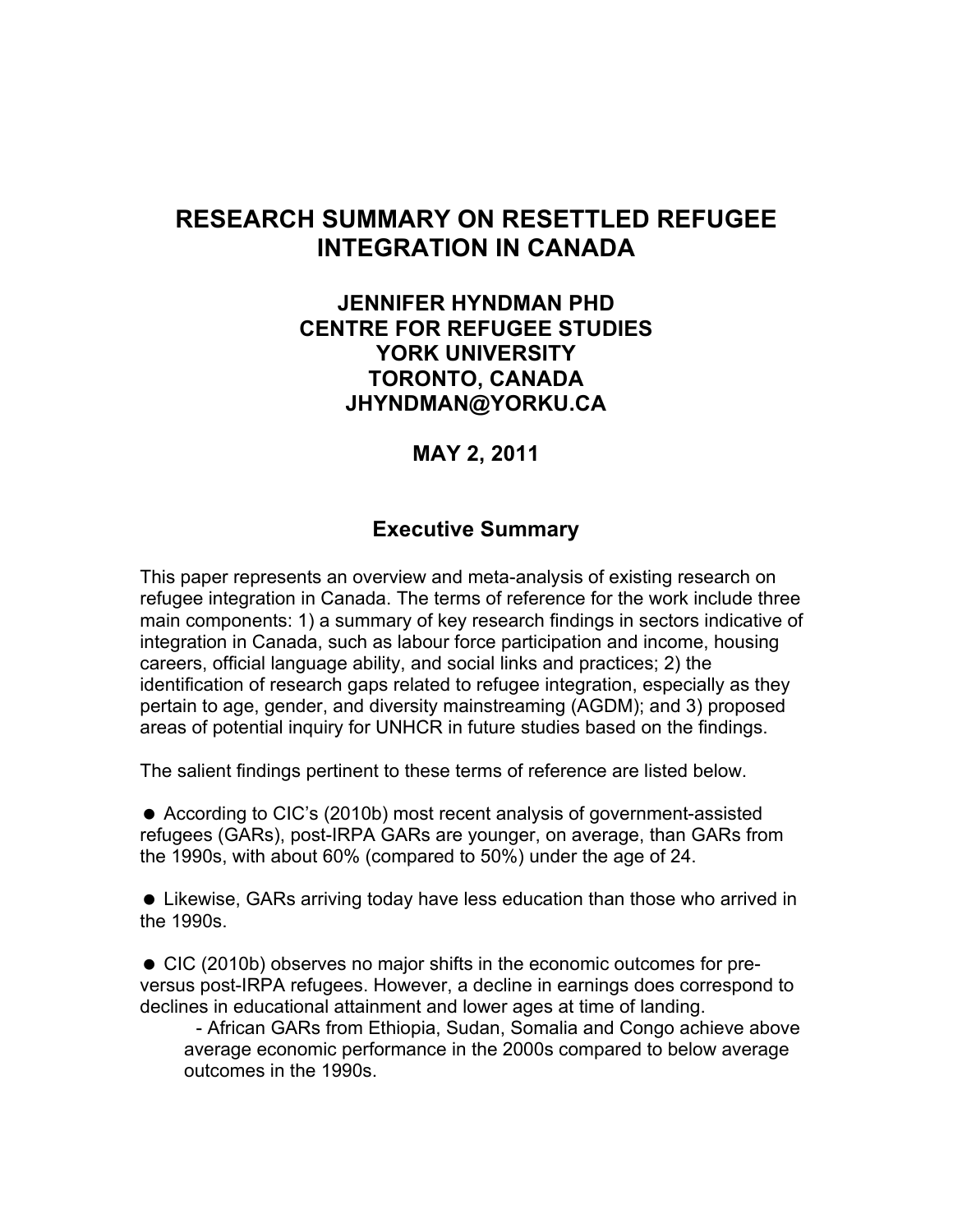## **RESEARCH SUMMARY ON RESETTLED REFUGEE INTEGRATION IN CANADA**

### **JENNIFER HYNDMAN PHD CENTRE FOR REFUGEE STUDIES YORK UNIVERSITY TORONTO, CANADA JHYNDMAN@YORKU.CA**

### **MAY 2, 2011**

### **Executive Summary**

This paper represents an overview and meta-analysis of existing research on refugee integration in Canada. The terms of reference for the work include three main components: 1) a summary of key research findings in sectors indicative of integration in Canada, such as labour force participation and income, housing careers, official language ability, and social links and practices; 2) the identification of research gaps related to refugee integration, especially as they pertain to age, gender, and diversity mainstreaming (AGDM); and 3) proposed areas of potential inquiry for UNHCR in future studies based on the findings.

The salient findings pertinent to these terms of reference are listed below.

 According to CIC's (2010b) most recent analysis of government-assisted refugees (GARs), post-IRPA GARs are younger, on average, than GARs from the 1990s, with about 60% (compared to 50%) under the age of 24.

 Likewise, GARs arriving today have less education than those who arrived in the 1990s.

 CIC (2010b) observes no major shifts in the economic outcomes for preversus post-IRPA refugees. However, a decline in earnings does correspond to declines in educational attainment and lower ages at time of landing.

- African GARs from Ethiopia, Sudan, Somalia and Congo achieve above average economic performance in the 2000s compared to below average outcomes in the 1990s.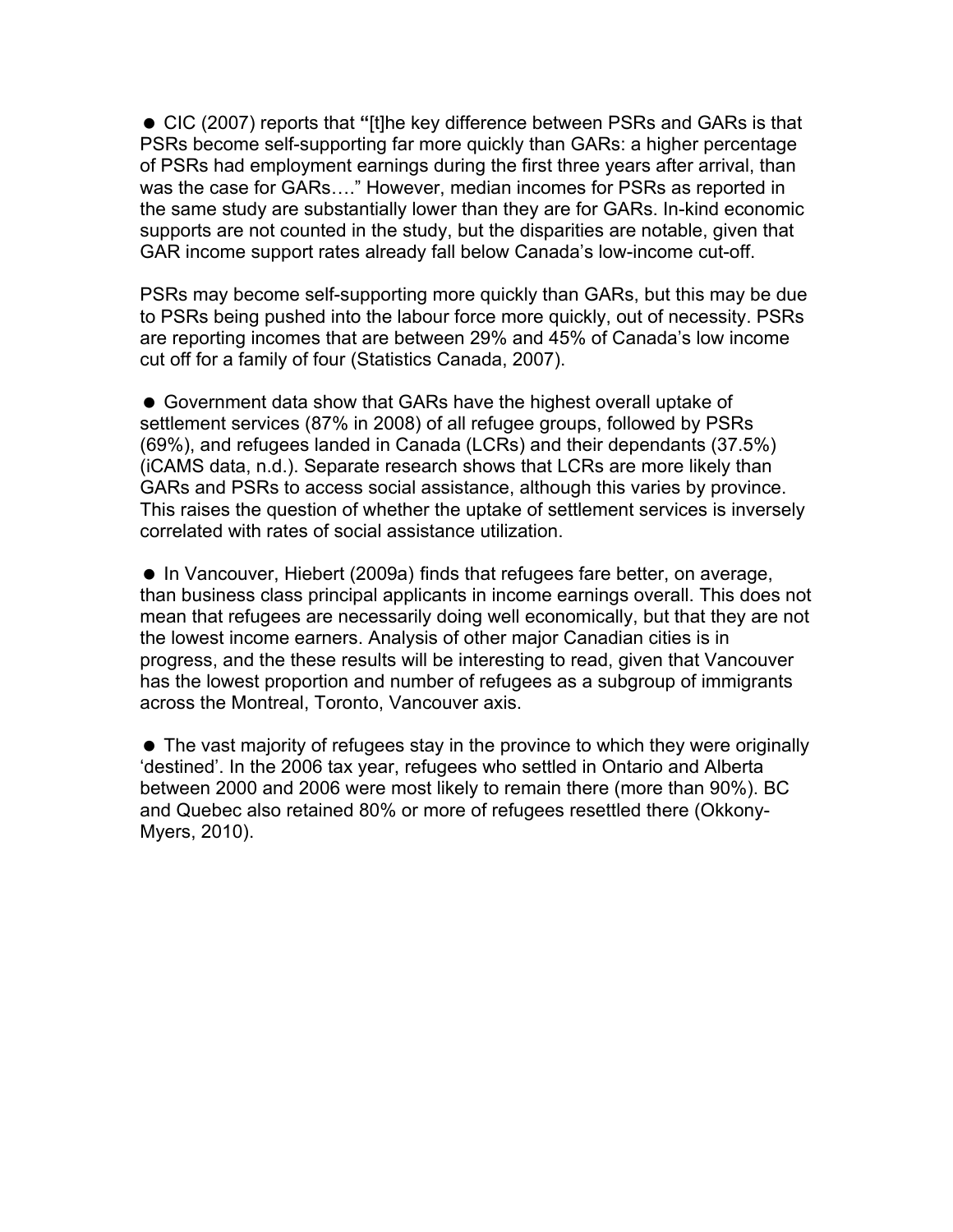CIC (2007) reports that **"**[t]he key difference between PSRs and GARs is that PSRs become self-supporting far more quickly than GARs: a higher percentage of PSRs had employment earnings during the first three years after arrival, than was the case for GARs…." However, median incomes for PSRs as reported in the same study are substantially lower than they are for GARs. In-kind economic supports are not counted in the study, but the disparities are notable, given that GAR income support rates already fall below Canada's low-income cut-off.

PSRs may become self-supporting more quickly than GARs, but this may be due to PSRs being pushed into the labour force more quickly, out of necessity. PSRs are reporting incomes that are between 29% and 45% of Canada's low income cut off for a family of four (Statistics Canada, 2007).

 Government data show that GARs have the highest overall uptake of settlement services (87% in 2008) of all refugee groups, followed by PSRs (69%), and refugees landed in Canada (LCRs) and their dependants (37.5%) (iCAMS data, n.d.). Separate research shows that LCRs are more likely than GARs and PSRs to access social assistance, although this varies by province. This raises the question of whether the uptake of settlement services is inversely correlated with rates of social assistance utilization.

 In Vancouver, Hiebert (2009a) finds that refugees fare better, on average, than business class principal applicants in income earnings overall. This does not mean that refugees are necessarily doing well economically, but that they are not the lowest income earners. Analysis of other major Canadian cities is in progress, and the these results will be interesting to read, given that Vancouver has the lowest proportion and number of refugees as a subgroup of immigrants across the Montreal, Toronto, Vancouver axis.

• The vast majority of refugees stay in the province to which they were originally 'destined'. In the 2006 tax year, refugees who settled in Ontario and Alberta between 2000 and 2006 were most likely to remain there (more than 90%). BC and Quebec also retained 80% or more of refugees resettled there (Okkony-Myers, 2010).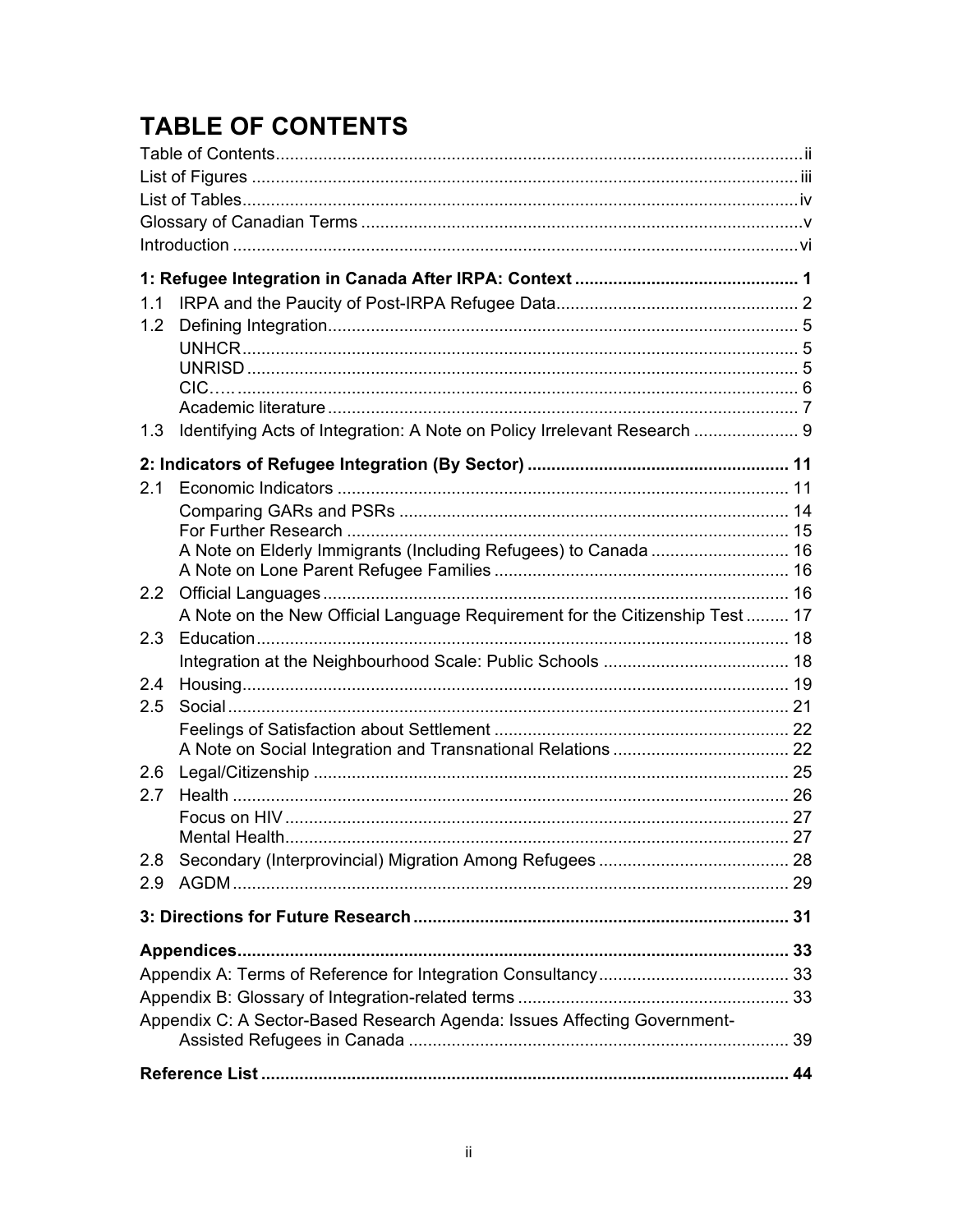# **TABLE OF CONTENTS**

| 1.1           |                                                                             |  |
|---------------|-----------------------------------------------------------------------------|--|
| 1.2           |                                                                             |  |
|               |                                                                             |  |
|               |                                                                             |  |
|               |                                                                             |  |
|               |                                                                             |  |
| 1.3           | Identifying Acts of Integration: A Note on Policy Irrelevant Research  9    |  |
|               |                                                                             |  |
| 2.1           |                                                                             |  |
|               |                                                                             |  |
|               |                                                                             |  |
|               |                                                                             |  |
|               |                                                                             |  |
| $2.2^{\circ}$ | A Note on the New Official Language Requirement for the Citizenship Test 17 |  |
| 2.3           |                                                                             |  |
|               |                                                                             |  |
| 2.4           |                                                                             |  |
| 2.5           |                                                                             |  |
|               |                                                                             |  |
|               |                                                                             |  |
| 2.6           |                                                                             |  |
| 2.7           |                                                                             |  |
|               |                                                                             |  |
|               |                                                                             |  |
| 2.8           |                                                                             |  |
| 2.9           |                                                                             |  |
|               |                                                                             |  |
|               |                                                                             |  |
|               |                                                                             |  |
|               |                                                                             |  |
|               | Appendix C: A Sector-Based Research Agenda: Issues Affecting Government-    |  |
|               |                                                                             |  |
|               |                                                                             |  |
|               |                                                                             |  |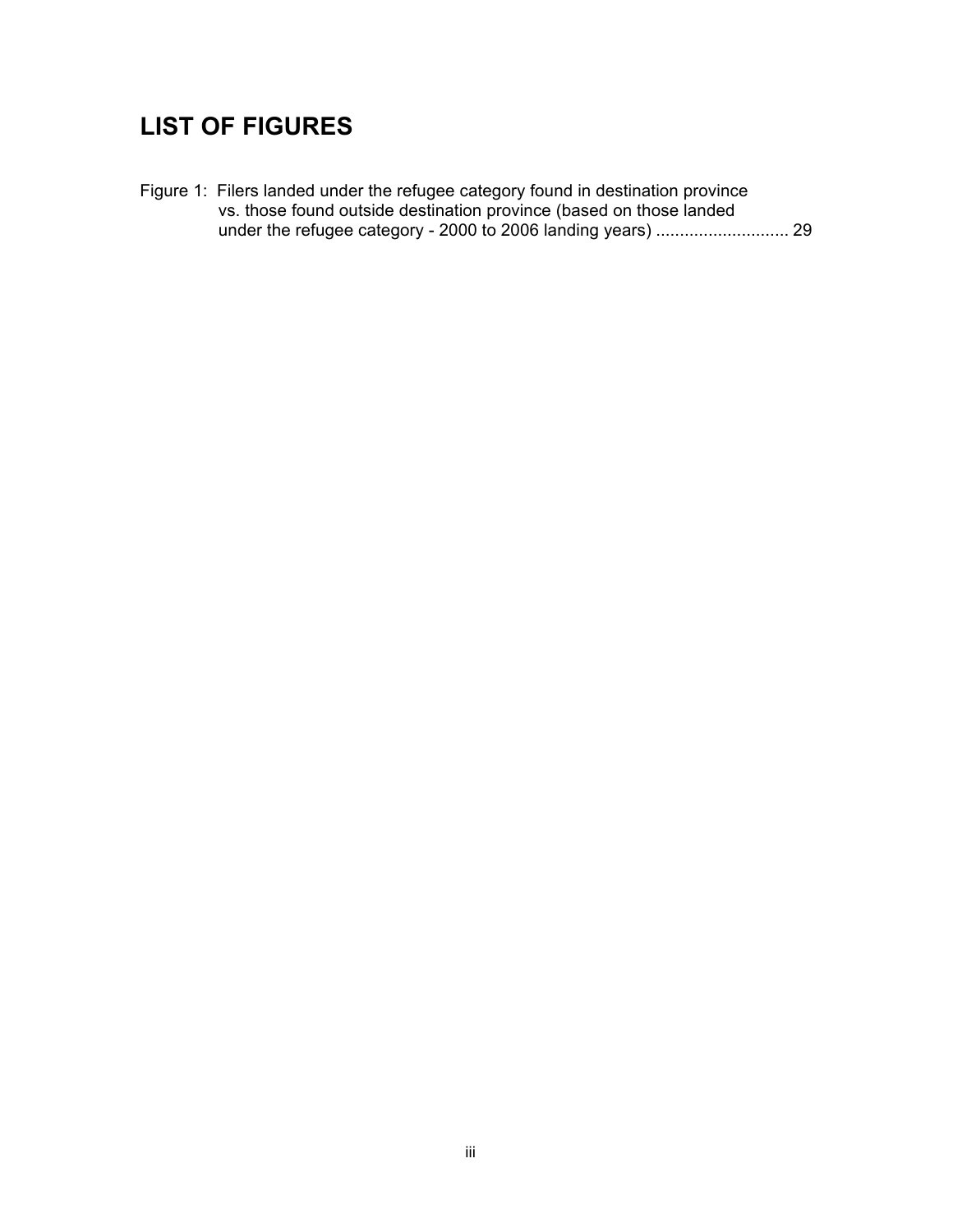# **LIST OF FIGURES**

Figure 1: Filers landed under the refugee category found in destination province vs. those found outside destination province (based on those landed under the refugee category - 2000 to 2006 landing years) ............................ 29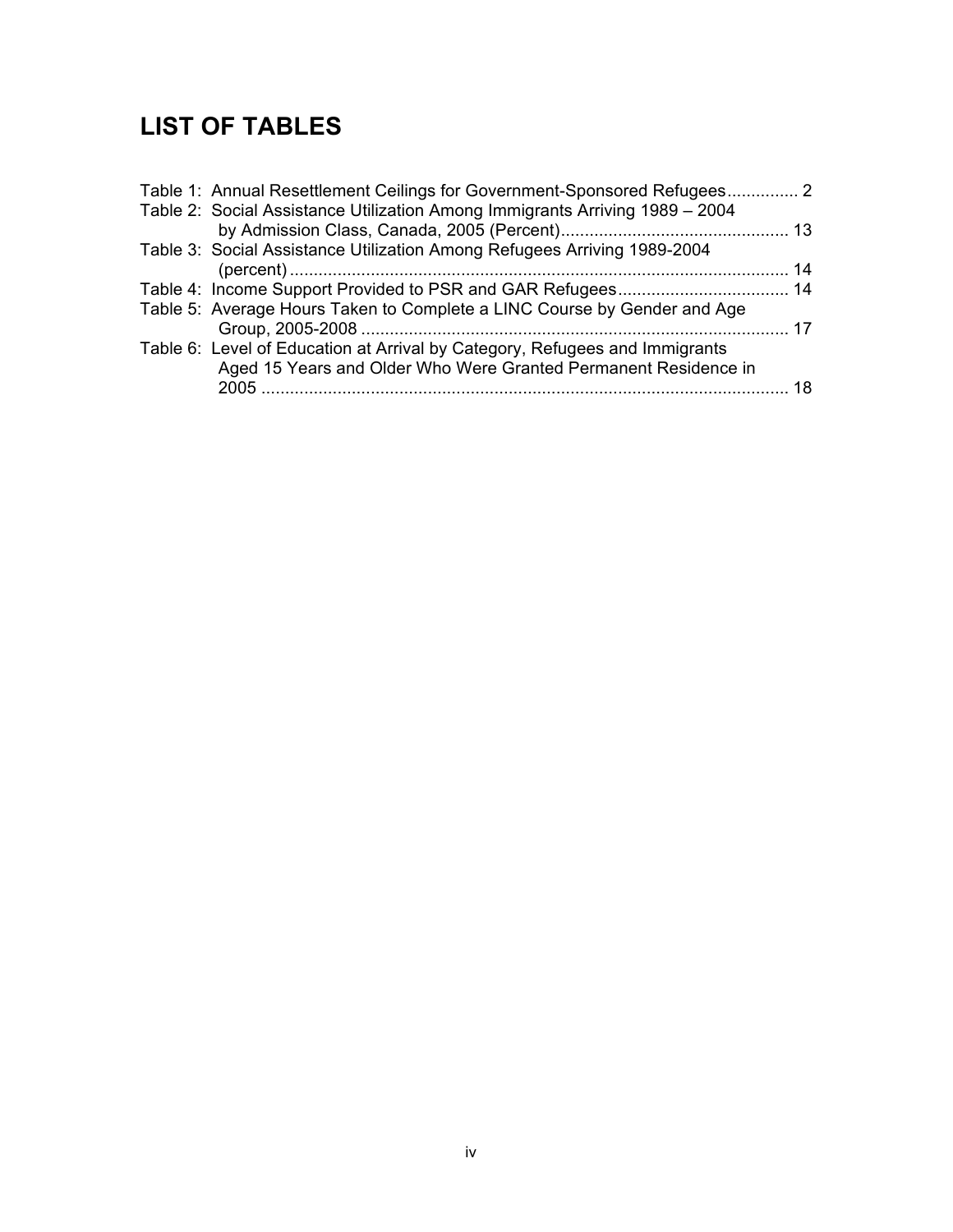# **LIST OF TABLES**

| Table 1: Annual Resettlement Ceilings for Government-Sponsored Refugees 2    |  |
|------------------------------------------------------------------------------|--|
| Table 2: Social Assistance Utilization Among Immigrants Arriving 1989 - 2004 |  |
|                                                                              |  |
| Table 3: Social Assistance Utilization Among Refugees Arriving 1989-2004     |  |
|                                                                              |  |
|                                                                              |  |
| Table 5: Average Hours Taken to Complete a LINC Course by Gender and Age     |  |
|                                                                              |  |
| Table 6: Level of Education at Arrival by Category, Refugees and Immigrants  |  |
| Aged 15 Years and Older Who Were Granted Permanent Residence in              |  |
|                                                                              |  |
|                                                                              |  |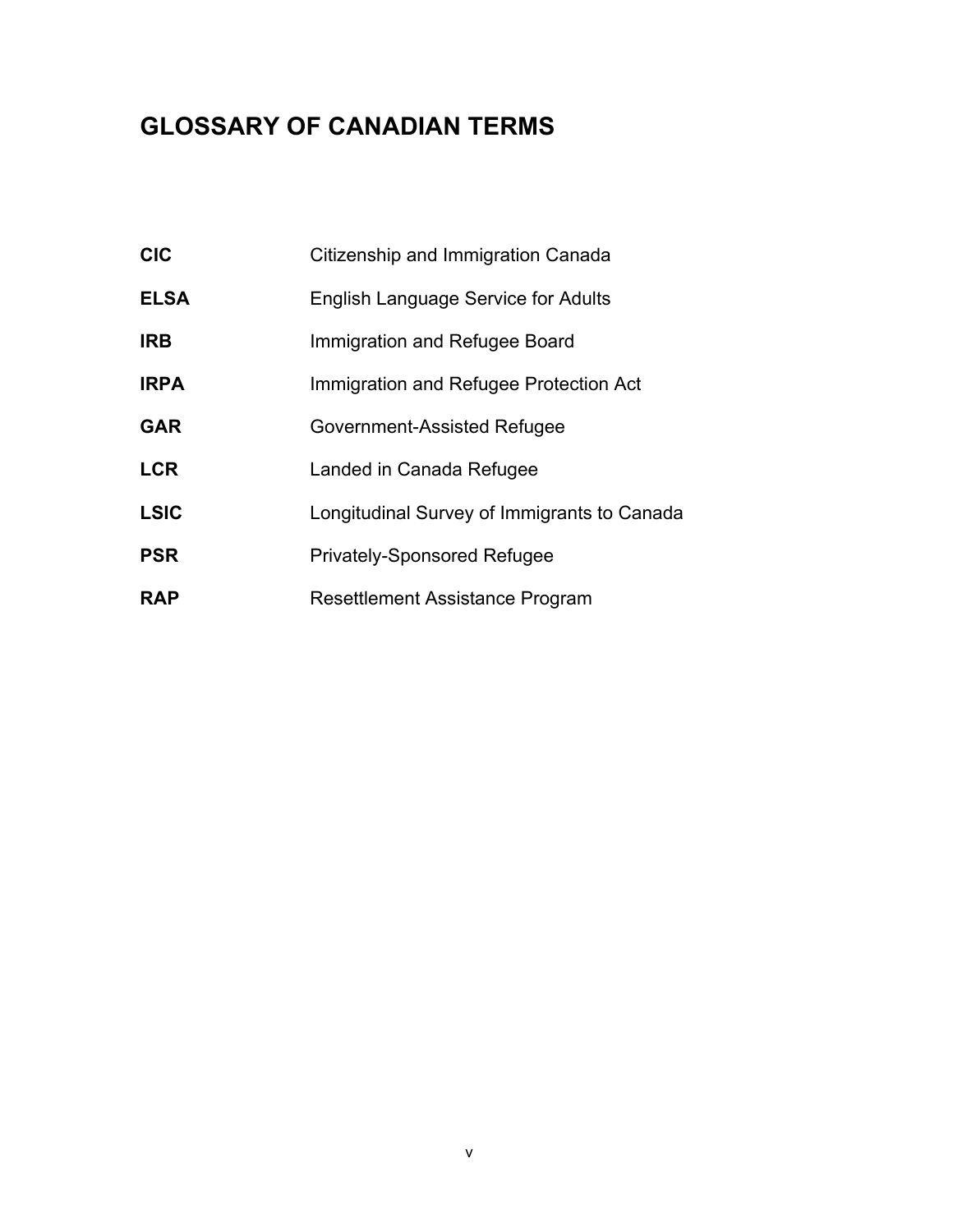# **GLOSSARY OF CANADIAN TERMS**

| <b>CIC</b>  | Citizenship and Immigration Canada          |
|-------------|---------------------------------------------|
| <b>ELSA</b> | <b>English Language Service for Adults</b>  |
| <b>IRB</b>  | Immigration and Refugee Board               |
| <b>IRPA</b> | Immigration and Refugee Protection Act      |
| <b>GAR</b>  | Government-Assisted Refugee                 |
| <b>LCR</b>  | Landed in Canada Refugee                    |
| <b>LSIC</b> | Longitudinal Survey of Immigrants to Canada |
| <b>PSR</b>  | <b>Privately-Sponsored Refugee</b>          |
| <b>RAP</b>  | <b>Resettlement Assistance Program</b>      |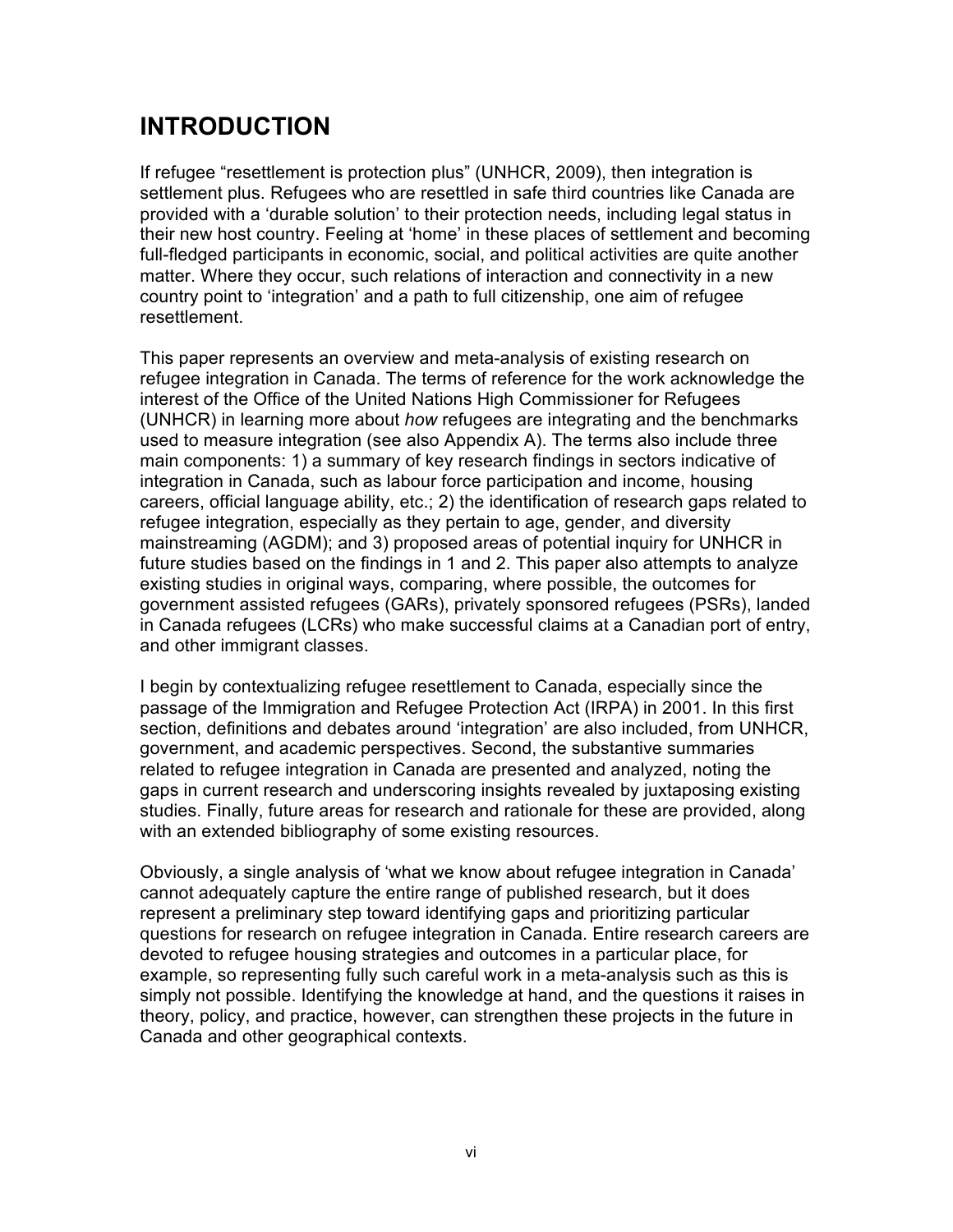## **INTRODUCTION**

If refugee "resettlement is protection plus" (UNHCR, 2009), then integration is settlement plus. Refugees who are resettled in safe third countries like Canada are provided with a 'durable solution' to their protection needs, including legal status in their new host country. Feeling at 'home' in these places of settlement and becoming full-fledged participants in economic, social, and political activities are quite another matter. Where they occur, such relations of interaction and connectivity in a new country point to 'integration' and a path to full citizenship, one aim of refugee resettlement.

This paper represents an overview and meta-analysis of existing research on refugee integration in Canada. The terms of reference for the work acknowledge the interest of the Office of the United Nations High Commissioner for Refugees (UNHCR) in learning more about *how* refugees are integrating and the benchmarks used to measure integration (see also Appendix A). The terms also include three main components: 1) a summary of key research findings in sectors indicative of integration in Canada, such as labour force participation and income, housing careers, official language ability, etc.; 2) the identification of research gaps related to refugee integration, especially as they pertain to age, gender, and diversity mainstreaming (AGDM); and 3) proposed areas of potential inquiry for UNHCR in future studies based on the findings in 1 and 2. This paper also attempts to analyze existing studies in original ways, comparing, where possible, the outcomes for government assisted refugees (GARs), privately sponsored refugees (PSRs), landed in Canada refugees (LCRs) who make successful claims at a Canadian port of entry, and other immigrant classes.

I begin by contextualizing refugee resettlement to Canada, especially since the passage of the Immigration and Refugee Protection Act (IRPA) in 2001. In this first section, definitions and debates around 'integration' are also included, from UNHCR, government, and academic perspectives. Second, the substantive summaries related to refugee integration in Canada are presented and analyzed, noting the gaps in current research and underscoring insights revealed by juxtaposing existing studies. Finally, future areas for research and rationale for these are provided, along with an extended bibliography of some existing resources.

Obviously, a single analysis of 'what we know about refugee integration in Canada' cannot adequately capture the entire range of published research, but it does represent a preliminary step toward identifying gaps and prioritizing particular questions for research on refugee integration in Canada. Entire research careers are devoted to refugee housing strategies and outcomes in a particular place, for example, so representing fully such careful work in a meta-analysis such as this is simply not possible. Identifying the knowledge at hand, and the questions it raises in theory, policy, and practice, however, can strengthen these projects in the future in Canada and other geographical contexts.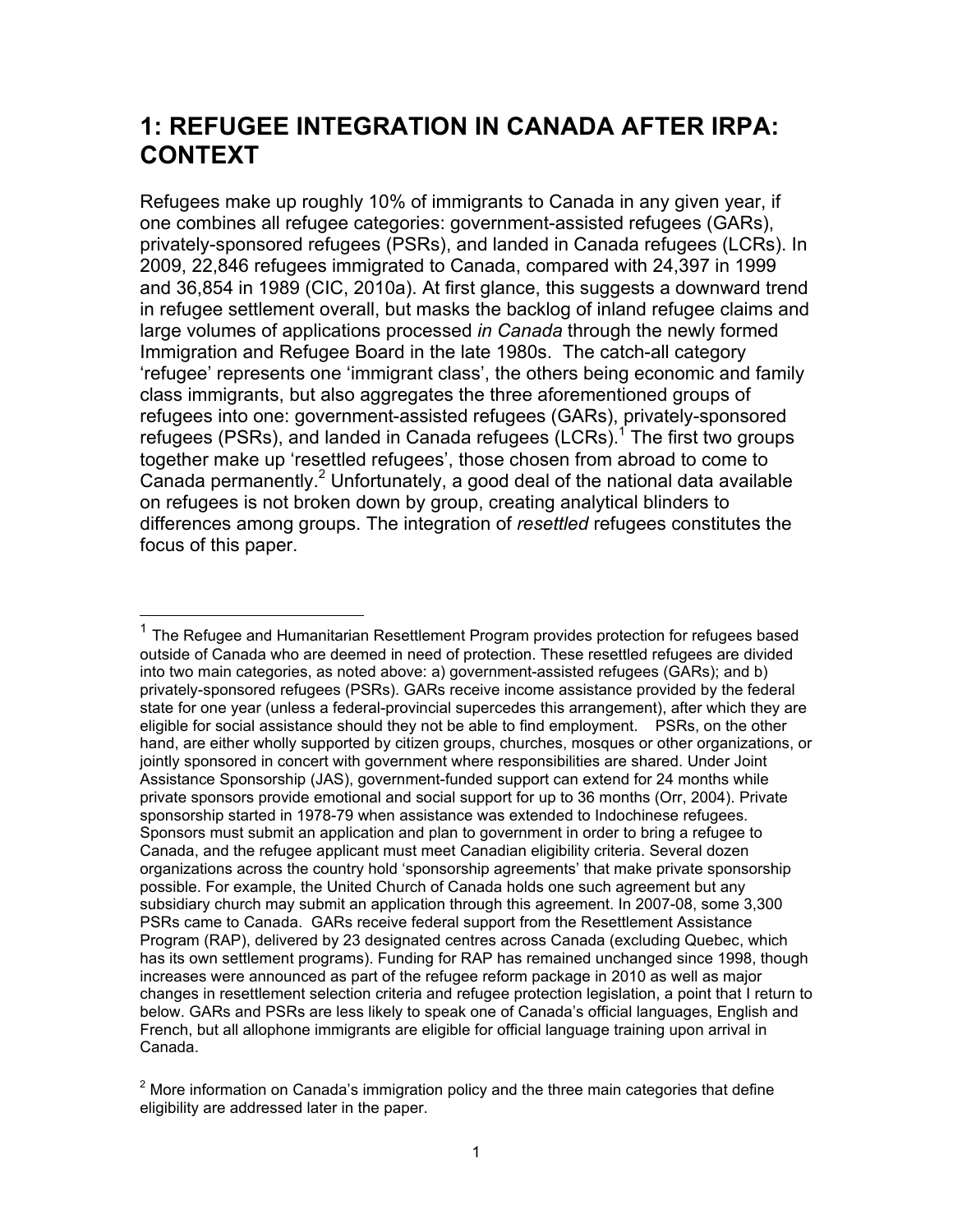## **1: REFUGEE INTEGRATION IN CANADA AFTER IRPA: CONTEXT**

Refugees make up roughly 10% of immigrants to Canada in any given year, if one combines all refugee categories: government-assisted refugees (GARs), privately-sponsored refugees (PSRs), and landed in Canada refugees (LCRs). In 2009, 22,846 refugees immigrated to Canada, compared with 24,397 in 1999 and 36,854 in 1989 (CIC, 2010a). At first glance, this suggests a downward trend in refugee settlement overall, but masks the backlog of inland refugee claims and large volumes of applications processed *in Canada* through the newly formed Immigration and Refugee Board in the late 1980s. The catch-all category 'refugee' represents one 'immigrant class', the others being economic and family class immigrants, but also aggregates the three aforementioned groups of refugees into one: government-assisted refugees (GARs), privately-sponsored refugees (PSRs), and landed in Canada refugees  $(LCRs)$ .<sup>1</sup> The first two groups together make up 'resettled refugees', those chosen from abroad to come to Canada permanently.<sup>2</sup> Unfortunately, a good deal of the national data available on refugees is not broken down by group, creating analytical blinders to differences among groups. The integration of *resettled* refugees constitutes the focus of this paper.

 <sup>1</sup> The Refugee and Humanitarian Resettlement Program provides protection for refugees based outside of Canada who are deemed in need of protection. These resettled refugees are divided into two main categories, as noted above: a) government-assisted refugees (GARs); and b) privately-sponsored refugees (PSRs). GARs receive income assistance provided by the federal state for one year (unless a federal-provincial supercedes this arrangement), after which they are eligible for social assistance should they not be able to find employment. PSRs, on the other hand, are either wholly supported by citizen groups, churches, mosques or other organizations, or jointly sponsored in concert with government where responsibilities are shared. Under Joint Assistance Sponsorship (JAS), government-funded support can extend for 24 months while private sponsors provide emotional and social support for up to 36 months (Orr, 2004). Private sponsorship started in 1978-79 when assistance was extended to Indochinese refugees. Sponsors must submit an application and plan to government in order to bring a refugee to Canada, and the refugee applicant must meet Canadian eligibility criteria. Several dozen organizations across the country hold 'sponsorship agreements' that make private sponsorship possible. For example, the United Church of Canada holds one such agreement but any subsidiary church may submit an application through this agreement. In 2007-08, some 3,300 PSRs came to Canada. GARs receive federal support from the Resettlement Assistance Program (RAP), delivered by 23 designated centres across Canada (excluding Quebec, which has its own settlement programs). Funding for RAP has remained unchanged since 1998, though increases were announced as part of the refugee reform package in 2010 as well as major changes in resettlement selection criteria and refugee protection legislation, a point that I return to below. GARs and PSRs are less likely to speak one of Canada's official languages, English and French, but all allophone immigrants are eligible for official language training upon arrival in Canada.

 $2$  More information on Canada's immigration policy and the three main categories that define eligibility are addressed later in the paper.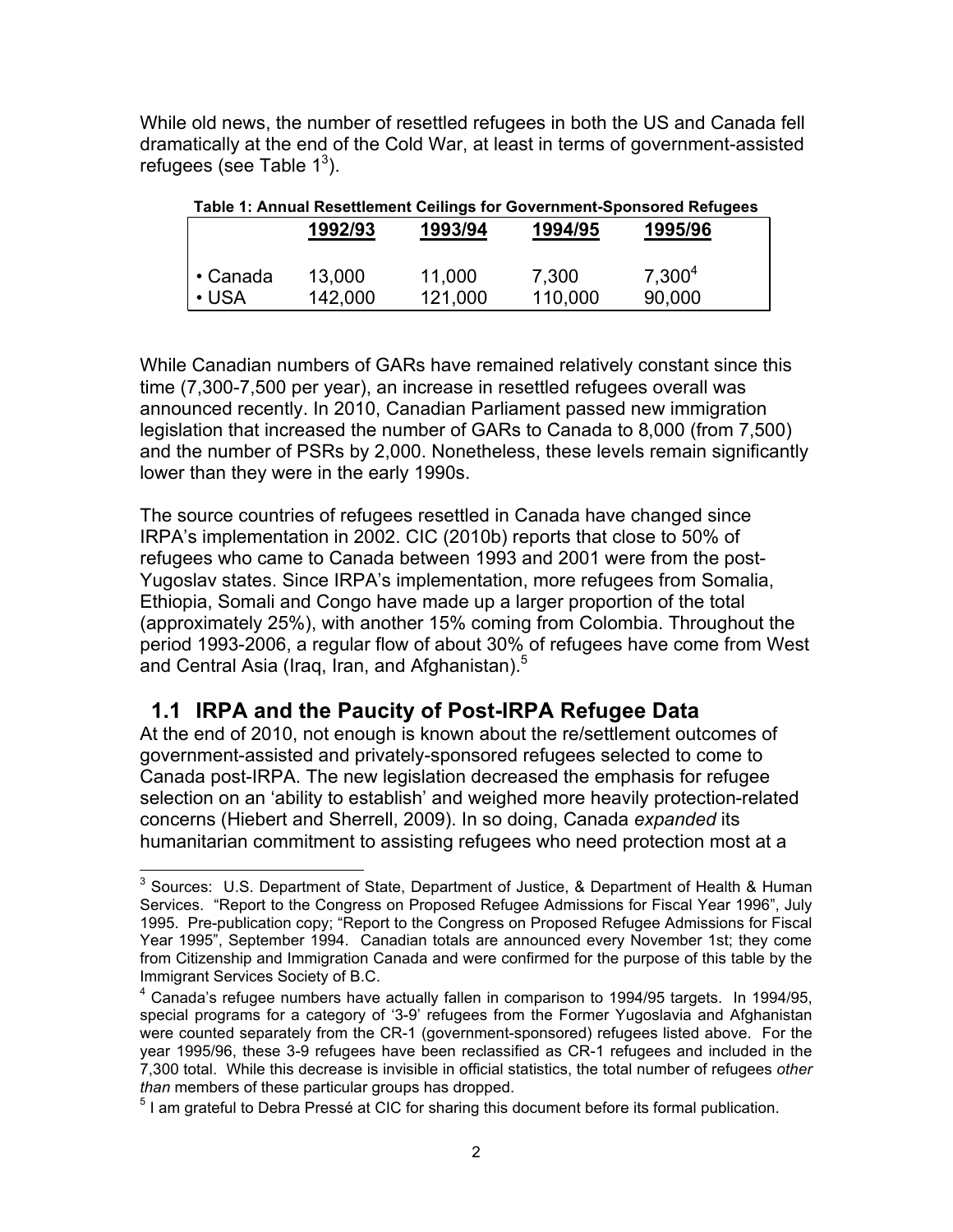While old news, the number of resettled refugees in both the US and Canada fell dramatically at the end of the Cold War, at least in terms of government-assisted refugees (see Table  $1^3$ ).

| Table 1: Annual Resettlement Ceilings for Government-Sponsored Refugees |                   |                   |                  |                     |  |  |
|-------------------------------------------------------------------------|-------------------|-------------------|------------------|---------------------|--|--|
|                                                                         | 1992/93           | 1993/94           | 1994/95          | 1995/96             |  |  |
|                                                                         |                   |                   |                  |                     |  |  |
| $\cdot$ Canada<br>$\cdot$ USA                                           | 13,000<br>142,000 | 11,000<br>121,000 | 7,300<br>110,000 | $7,300^4$<br>90,000 |  |  |

While Canadian numbers of GARs have remained relatively constant since this time (7,300-7,500 per year), an increase in resettled refugees overall was announced recently. In 2010, Canadian Parliament passed new immigration legislation that increased the number of GARs to Canada to 8,000 (from 7,500) and the number of PSRs by 2,000. Nonetheless, these levels remain significantly lower than they were in the early 1990s.

The source countries of refugees resettled in Canada have changed since IRPA's implementation in 2002. CIC (2010b) reports that close to 50% of refugees who came to Canada between 1993 and 2001 were from the post-Yugoslav states. Since IRPA's implementation, more refugees from Somalia, Ethiopia, Somali and Congo have made up a larger proportion of the total (approximately 25%), with another 15% coming from Colombia. Throughout the period 1993-2006, a regular flow of about 30% of refugees have come from West and Central Asia (Iraq, Iran, and Afghanistan).<sup>5</sup>

### **1.1 IRPA and the Paucity of Post-IRPA Refugee Data**

At the end of 2010, not enough is known about the re/settlement outcomes of government-assisted and privately-sponsored refugees selected to come to Canada post-IRPA. The new legislation decreased the emphasis for refugee selection on an 'ability to establish' and weighed more heavily protection-related concerns (Hiebert and Sherrell, 2009). In so doing, Canada *expanded* its humanitarian commitment to assisting refugees who need protection most at a

 <sup>3</sup> Sources: U.S. Department of State, Department of Justice, & Department of Health & Human Services. "Report to the Congress on Proposed Refugee Admissions for Fiscal Year 1996", July 1995. Pre-publication copy; "Report to the Congress on Proposed Refugee Admissions for Fiscal Year 1995", September 1994. Canadian totals are announced every November 1st; they come from Citizenship and Immigration Canada and were confirmed for the purpose of this table by the Immigrant Services Society of B.C.

<sup>&</sup>lt;sup>4</sup> Canada's refugee numbers have actually fallen in comparison to 1994/95 targets. In 1994/95, special programs for a category of '3-9' refugees from the Former Yugoslavia and Afghanistan were counted separately from the CR-1 (government-sponsored) refugees listed above. For the year 1995/96, these 3-9 refugees have been reclassified as CR-1 refugees and included in the 7,300 total. While this decrease is invisible in official statistics, the total number of refugees *other than* members of these particular groups has dropped.

 $<sup>5</sup>$  I am grateful to Debra Pressé at CIC for sharing this document before its formal publication.</sup>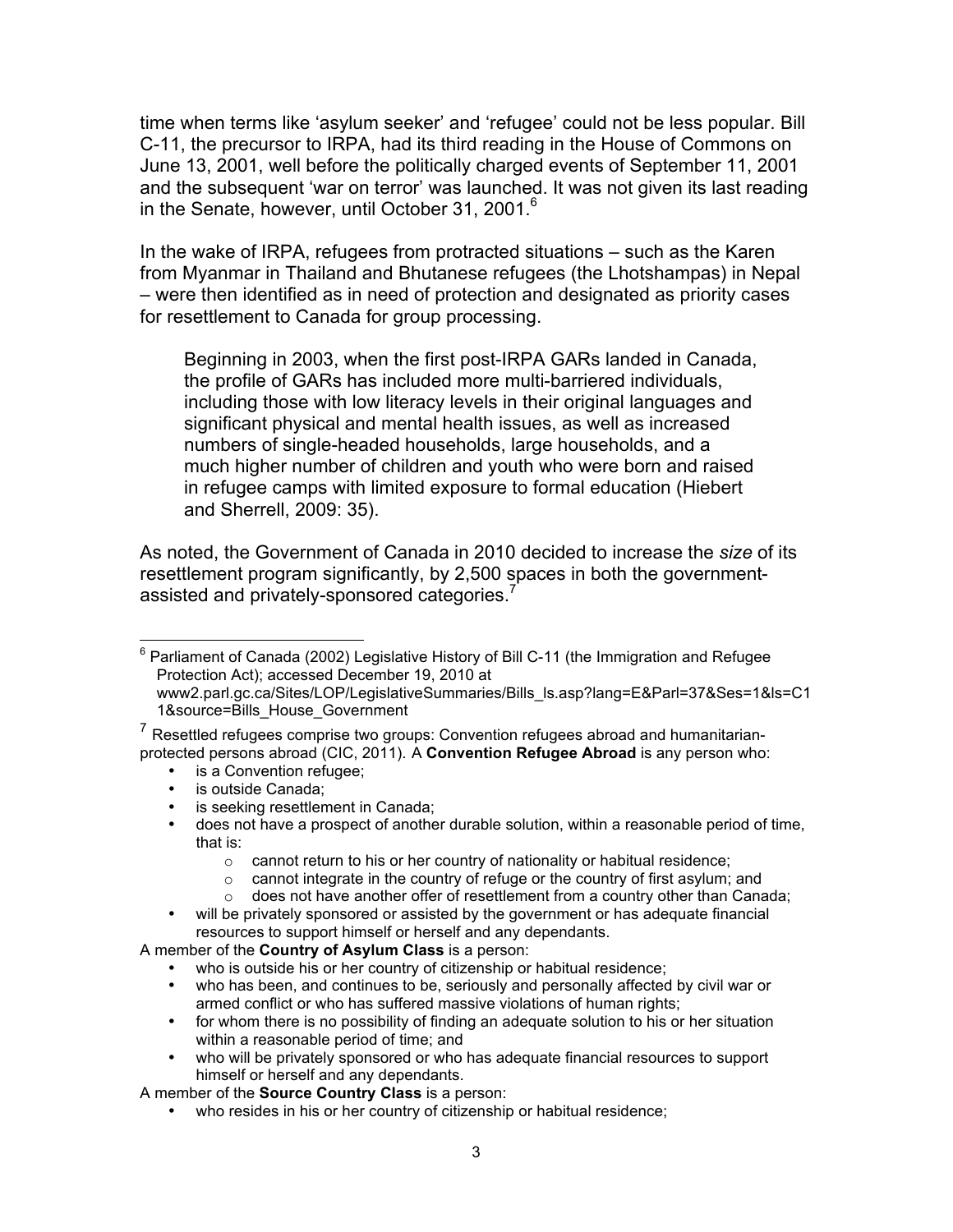time when terms like 'asylum seeker' and 'refugee' could not be less popular. Bill C-11, the precursor to IRPA, had its third reading in the House of Commons on June 13, 2001, well before the politically charged events of September 11, 2001 and the subsequent 'war on terror' was launched. It was not given its last reading in the Senate, however, until October 31, 2001. $6$ 

In the wake of IRPA, refugees from protracted situations – such as the Karen from Myanmar in Thailand and Bhutanese refugees (the Lhotshampas) in Nepal – were then identified as in need of protection and designated as priority cases for resettlement to Canada for group processing.

Beginning in 2003, when the first post-IRPA GARs landed in Canada, the profile of GARs has included more multi-barriered individuals, including those with low literacy levels in their original languages and significant physical and mental health issues, as well as increased numbers of single-headed households, large households, and a much higher number of children and youth who were born and raised in refugee camps with limited exposure to formal education (Hiebert and Sherrell, 2009: 35).

As noted, the Government of Canada in 2010 decided to increase the *size* of its resettlement program significantly, by 2,500 spaces in both the governmentassisted and privately-sponsored categories.<sup>7</sup>

- is a Convention refugee;
- is outside Canada;
- is seeking resettlement in Canada;
- does not have a prospect of another durable solution, within a reasonable period of time, that is:
	- o cannot return to his or her country of nationality or habitual residence;
	- o cannot integrate in the country of refuge or the country of first asylum; and
	- $\circ$  does not have another offer of resettlement from a country other than Canada;
- will be privately sponsored or assisted by the government or has adequate financial resources to support himself or herself and any dependants.

A member of the **Country of Asylum Class** is a person:

- who is outside his or her country of citizenship or habitual residence;
- who has been, and continues to be, seriously and personally affected by civil war or armed conflict or who has suffered massive violations of human rights;
- for whom there is no possibility of finding an adequate solution to his or her situation within a reasonable period of time; and
- who will be privately sponsored or who has adequate financial resources to support himself or herself and any dependants.

A member of the **Source Country Class** is a person:

• who resides in his or her country of citizenship or habitual residence;

 <sup>6</sup> Parliament of Canada (2002) Legislative History of Bill C-11 (the Immigration and Refugee Protection Act); accessed December 19, 2010 at

www2.parl.gc.ca/Sites/LOP/LegislativeSummaries/Bills\_ls.asp?lang=E&Parl=37&Ses=1&ls=C1 1&source=Bills\_House\_Government

<sup>7</sup> Resettled refugees comprise two groups: Convention refugees abroad and humanitarianprotected persons abroad (CIC, 2011). A **Convention Refugee Abroad** is any person who: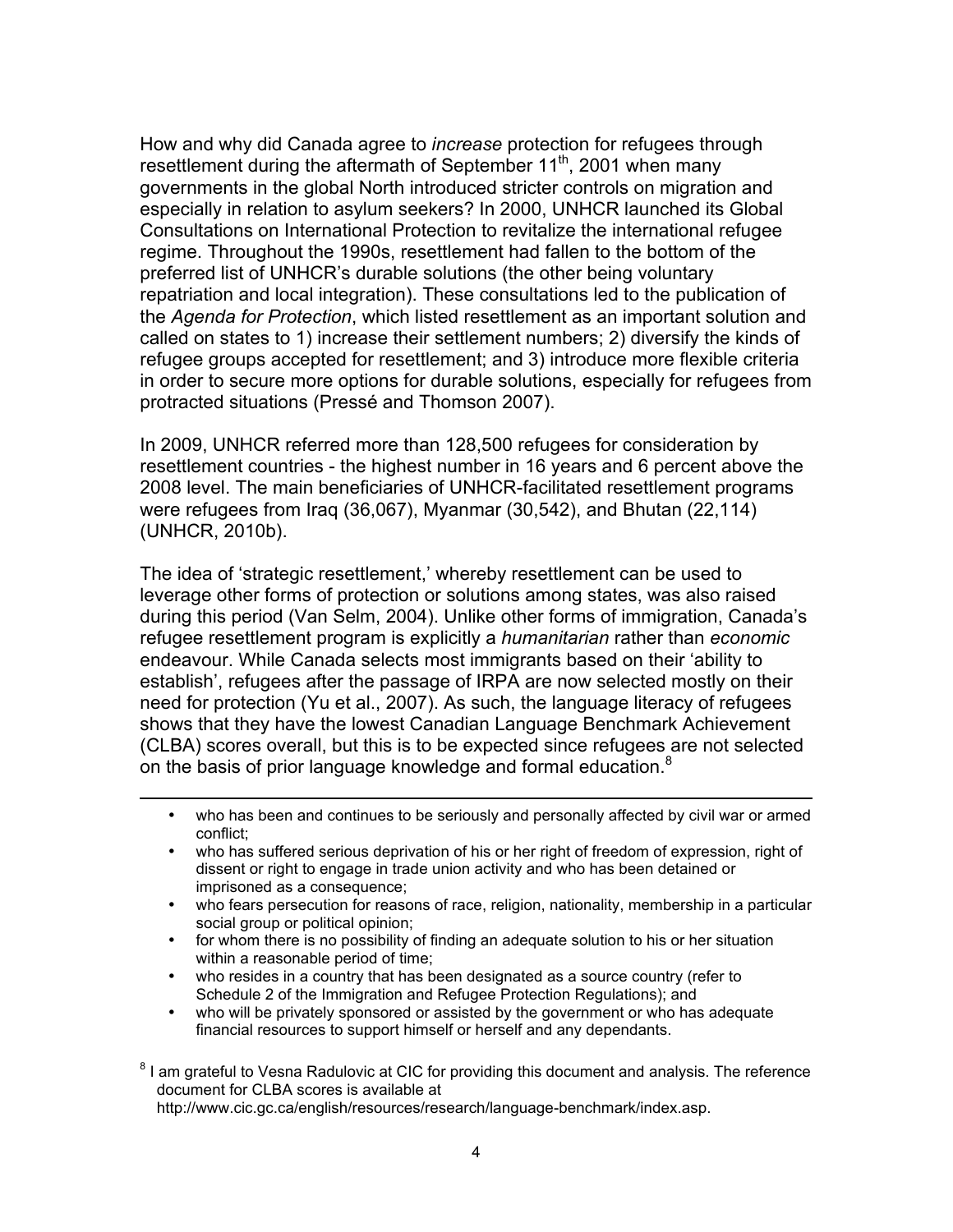How and why did Canada agree to *increase* protection for refugees through resettlement during the aftermath of September 11<sup>th</sup>, 2001 when many governments in the global North introduced stricter controls on migration and especially in relation to asylum seekers? In 2000, UNHCR launched its Global Consultations on International Protection to revitalize the international refugee regime. Throughout the 1990s, resettlement had fallen to the bottom of the preferred list of UNHCR's durable solutions (the other being voluntary repatriation and local integration). These consultations led to the publication of the *Agenda for Protection*, which listed resettlement as an important solution and called on states to 1) increase their settlement numbers; 2) diversify the kinds of refugee groups accepted for resettlement; and 3) introduce more flexible criteria in order to secure more options for durable solutions, especially for refugees from protracted situations (Pressé and Thomson 2007).

In 2009, UNHCR referred more than 128,500 refugees for consideration by resettlement countries - the highest number in 16 years and 6 percent above the 2008 level. The main beneficiaries of UNHCR-facilitated resettlement programs were refugees from Iraq (36,067), Myanmar (30,542), and Bhutan (22,114) (UNHCR, 2010b).

The idea of 'strategic resettlement,' whereby resettlement can be used to leverage other forms of protection or solutions among states, was also raised during this period (Van Selm, 2004). Unlike other forms of immigration, Canada's refugee resettlement program is explicitly a *humanitarian* rather than *economic* endeavour. While Canada selects most immigrants based on their 'ability to establish', refugees after the passage of IRPA are now selected mostly on their need for protection (Yu et al., 2007). As such, the language literacy of refugees shows that they have the lowest Canadian Language Benchmark Achievement (CLBA) scores overall, but this is to be expected since refugees are not selected on the basis of prior language knowledge and formal education.<sup>8</sup>

- who has been and continues to be seriously and personally affected by civil war or armed conflict;
- who has suffered serious deprivation of his or her right of freedom of expression, right of dissent or right to engage in trade union activity and who has been detained or imprisoned as a consequence;
- who fears persecution for reasons of race, religion, nationality, membership in a particular social group or political opinion;
- for whom there is no possibility of finding an adequate solution to his or her situation within a reasonable period of time;
- who resides in a country that has been designated as a source country (refer to Schedule 2 of the Immigration and Refugee Protection Regulations); and

<u>.</u>

• who will be privately sponsored or assisted by the government or who has adequate financial resources to support himself or herself and any dependants.

<sup>8</sup> I am grateful to Vesna Radulovic at CIC for providing this document and analysis. The reference document for CLBA scores is available at http://www.cic.gc.ca/english/resources/research/language-benchmark/index.asp.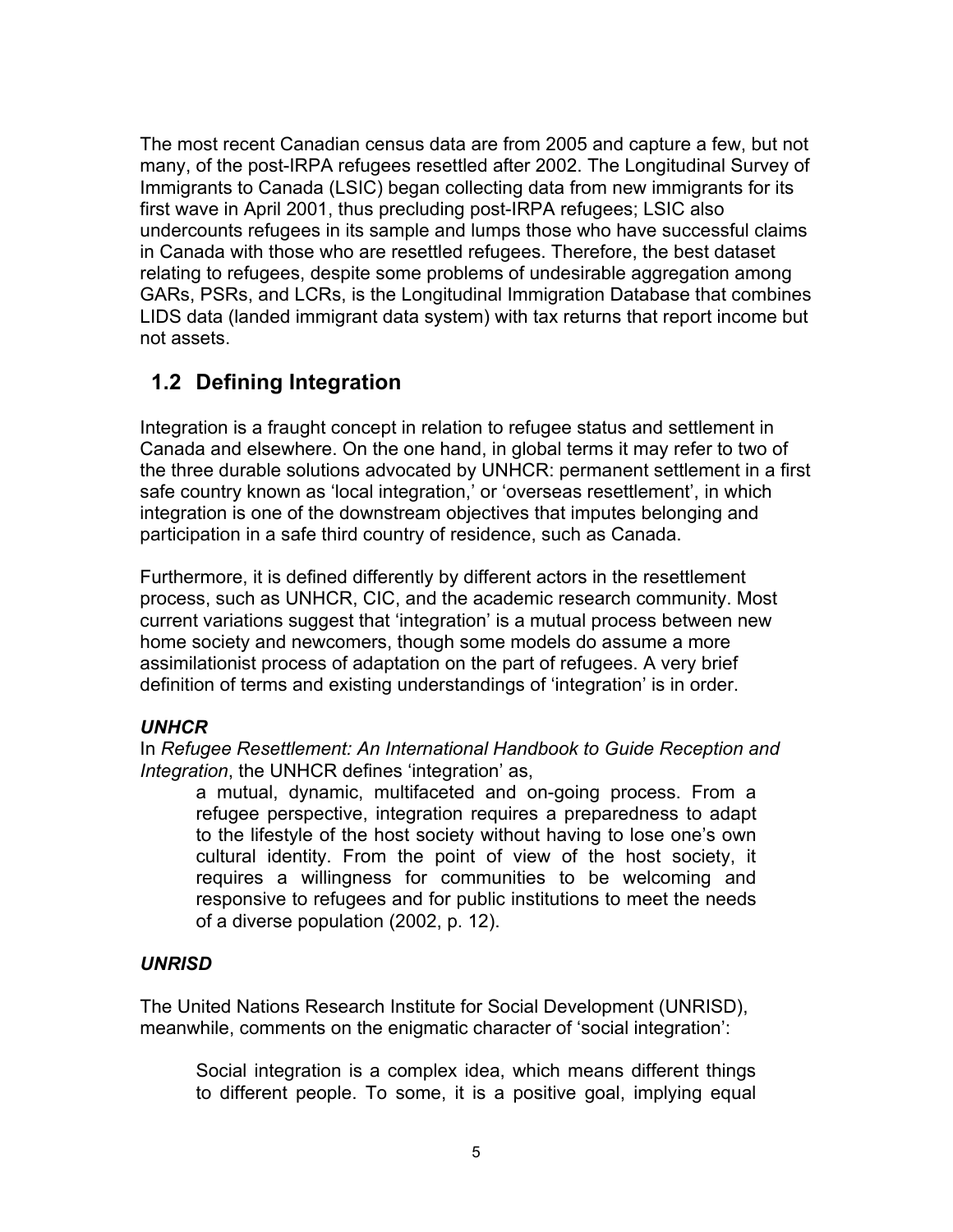The most recent Canadian census data are from 2005 and capture a few, but not many, of the post-IRPA refugees resettled after 2002. The Longitudinal Survey of Immigrants to Canada (LSIC) began collecting data from new immigrants for its first wave in April 2001, thus precluding post-IRPA refugees; LSIC also undercounts refugees in its sample and lumps those who have successful claims in Canada with those who are resettled refugees. Therefore, the best dataset relating to refugees, despite some problems of undesirable aggregation among GARs, PSRs, and LCRs, is the Longitudinal Immigration Database that combines LIDS data (landed immigrant data system) with tax returns that report income but not assets.

### **1.2 Defining Integration**

Integration is a fraught concept in relation to refugee status and settlement in Canada and elsewhere. On the one hand, in global terms it may refer to two of the three durable solutions advocated by UNHCR: permanent settlement in a first safe country known as 'local integration,' or 'overseas resettlement', in which integration is one of the downstream objectives that imputes belonging and participation in a safe third country of residence, such as Canada.

Furthermore, it is defined differently by different actors in the resettlement process, such as UNHCR, CIC, and the academic research community. Most current variations suggest that 'integration' is a mutual process between new home society and newcomers, though some models do assume a more assimilationist process of adaptation on the part of refugees. A very brief definition of terms and existing understandings of 'integration' is in order.

### *UNHCR*

In *Refugee Resettlement: An International Handbook to Guide Reception and Integration*, the UNHCR defines 'integration' as,

a mutual, dynamic, multifaceted and on-going process. From a refugee perspective, integration requires a preparedness to adapt to the lifestyle of the host society without having to lose one's own cultural identity. From the point of view of the host society, it requires a willingness for communities to be welcoming and responsive to refugees and for public institutions to meet the needs of a diverse population (2002, p. 12).

### *UNRISD*

The United Nations Research Institute for Social Development (UNRISD), meanwhile, comments on the enigmatic character of 'social integration':

Social integration is a complex idea, which means different things to different people. To some, it is a positive goal, implying equal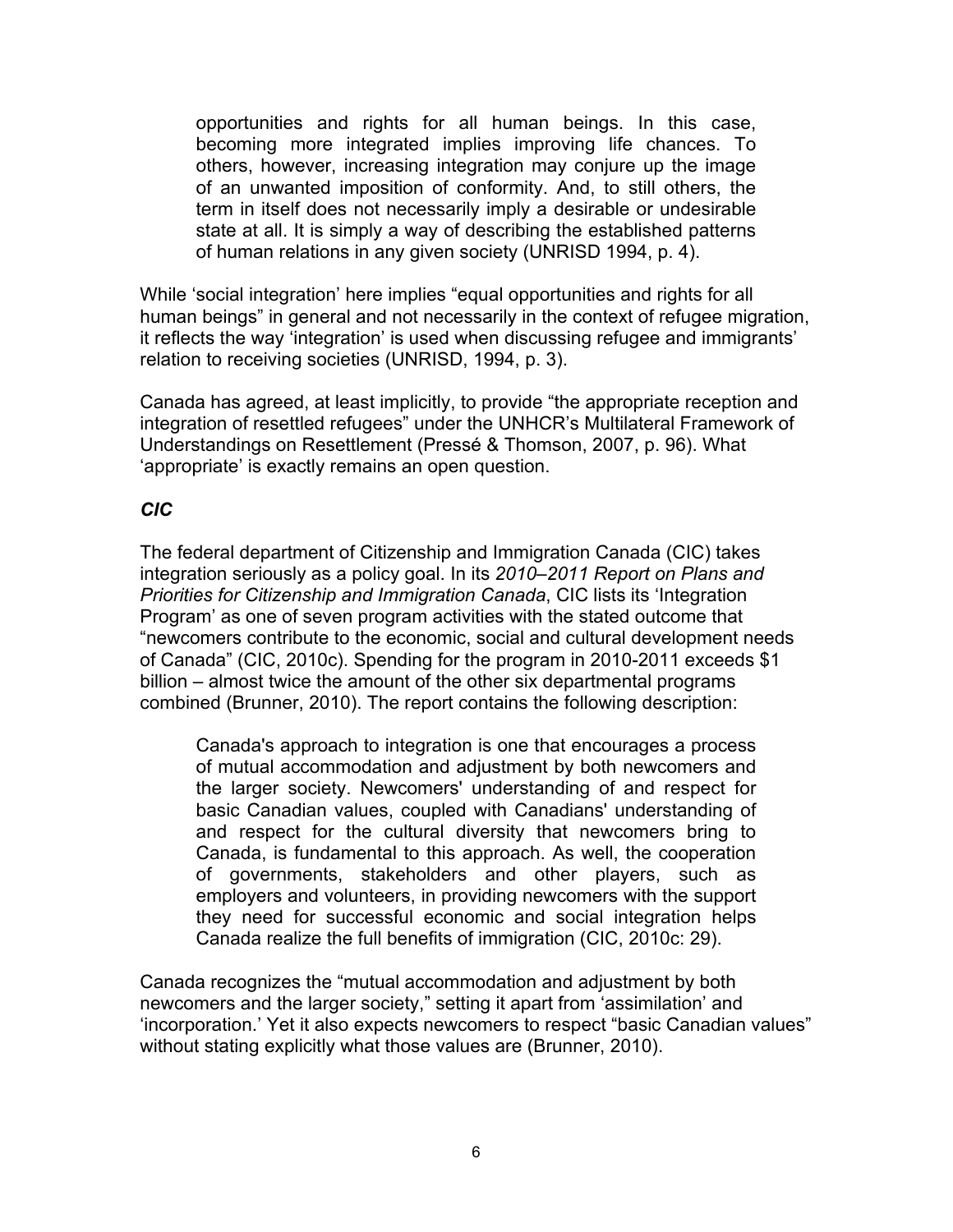opportunities and rights for all human beings. In this case, becoming more integrated implies improving life chances. To others, however, increasing integration may conjure up the image of an unwanted imposition of conformity. And, to still others, the term in itself does not necessarily imply a desirable or undesirable state at all. It is simply a way of describing the established patterns of human relations in any given society (UNRISD 1994, p. 4).

While 'social integration' here implies "equal opportunities and rights for all human beings" in general and not necessarily in the context of refugee migration, it reflects the way 'integration' is used when discussing refugee and immigrants' relation to receiving societies (UNRISD, 1994, p. 3).

Canada has agreed, at least implicitly, to provide "the appropriate reception and integration of resettled refugees" under the UNHCR's Multilateral Framework of Understandings on Resettlement (Pressé & Thomson, 2007, p. 96). What 'appropriate' is exactly remains an open question.

### *CIC*

The federal department of Citizenship and Immigration Canada (CIC) takes integration seriously as a policy goal. In its *2010–2011 Report on Plans and Priorities for Citizenship and Immigration Canada*, CIC lists its 'Integration Program' as one of seven program activities with the stated outcome that "newcomers contribute to the economic, social and cultural development needs of Canada" (CIC, 2010c). Spending for the program in 2010-2011 exceeds \$1 billion – almost twice the amount of the other six departmental programs combined (Brunner, 2010). The report contains the following description:

Canada's approach to integration is one that encourages a process of mutual accommodation and adjustment by both newcomers and the larger society. Newcomers' understanding of and respect for basic Canadian values, coupled with Canadians' understanding of and respect for the cultural diversity that newcomers bring to Canada, is fundamental to this approach. As well, the cooperation of governments, stakeholders and other players, such as employers and volunteers, in providing newcomers with the support they need for successful economic and social integration helps Canada realize the full benefits of immigration (CIC, 2010c: 29).

Canada recognizes the "mutual accommodation and adjustment by both newcomers and the larger society," setting it apart from 'assimilation' and 'incorporation.' Yet it also expects newcomers to respect "basic Canadian values" without stating explicitly what those values are (Brunner, 2010).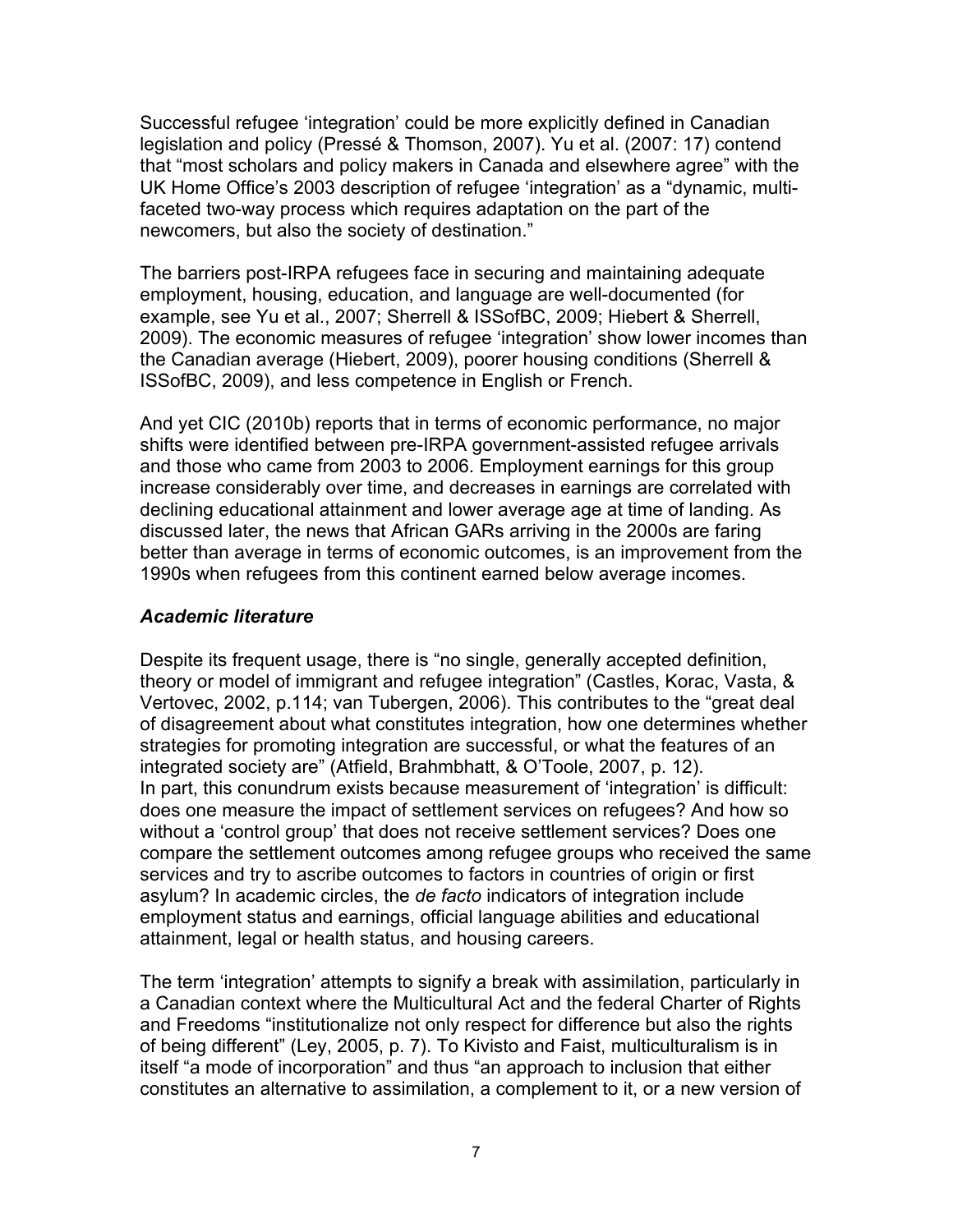Successful refugee 'integration' could be more explicitly defined in Canadian legislation and policy (Pressé & Thomson, 2007). Yu et al. (2007: 17) contend that "most scholars and policy makers in Canada and elsewhere agree" with the UK Home Office's 2003 description of refugee 'integration' as a "dynamic, multifaceted two-way process which requires adaptation on the part of the newcomers, but also the society of destination."

The barriers post-IRPA refugees face in securing and maintaining adequate employment, housing, education, and language are well-documented (for example, see Yu et al., 2007; Sherrell & ISSofBC, 2009; Hiebert & Sherrell, 2009). The economic measures of refugee 'integration' show lower incomes than the Canadian average (Hiebert, 2009), poorer housing conditions (Sherrell & ISSofBC, 2009), and less competence in English or French.

And yet CIC (2010b) reports that in terms of economic performance, no major shifts were identified between pre-IRPA government-assisted refugee arrivals and those who came from 2003 to 2006. Employment earnings for this group increase considerably over time, and decreases in earnings are correlated with declining educational attainment and lower average age at time of landing. As discussed later, the news that African GARs arriving in the 2000s are faring better than average in terms of economic outcomes, is an improvement from the 1990s when refugees from this continent earned below average incomes.

#### *Academic literature*

Despite its frequent usage, there is "no single, generally accepted definition, theory or model of immigrant and refugee integration" (Castles, Korac, Vasta, & Vertovec, 2002, p.114; van Tubergen, 2006). This contributes to the "great deal of disagreement about what constitutes integration, how one determines whether strategies for promoting integration are successful, or what the features of an integrated society are" (Atfield, Brahmbhatt, & O'Toole, 2007, p. 12). In part, this conundrum exists because measurement of 'integration' is difficult: does one measure the impact of settlement services on refugees? And how so without a 'control group' that does not receive settlement services? Does one compare the settlement outcomes among refugee groups who received the same services and try to ascribe outcomes to factors in countries of origin or first asylum? In academic circles, the *de facto* indicators of integration include employment status and earnings, official language abilities and educational attainment, legal or health status, and housing careers.

The term 'integration' attempts to signify a break with assimilation, particularly in a Canadian context where the Multicultural Act and the federal Charter of Rights and Freedoms "institutionalize not only respect for difference but also the rights of being different" (Ley, 2005, p. 7). To Kivisto and Faist, multiculturalism is in itself "a mode of incorporation" and thus "an approach to inclusion that either constitutes an alternative to assimilation, a complement to it, or a new version of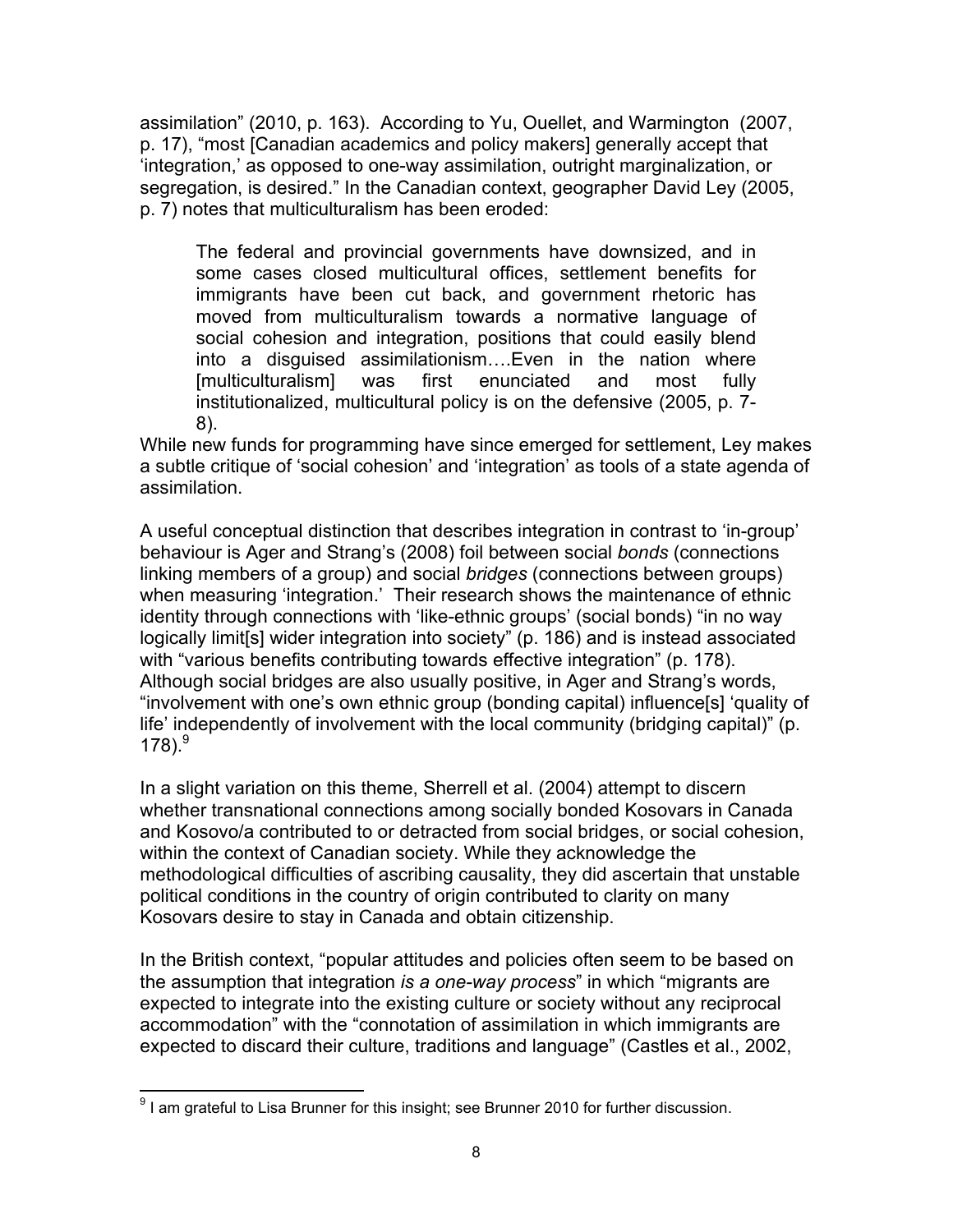assimilation" (2010, p. 163). According to Yu, Ouellet, and Warmington (2007, p. 17), "most [Canadian academics and policy makers] generally accept that 'integration,' as opposed to one-way assimilation, outright marginalization, or segregation, is desired." In the Canadian context, geographer David Ley (2005, p. 7) notes that multiculturalism has been eroded:

The federal and provincial governments have downsized, and in some cases closed multicultural offices, settlement benefits for immigrants have been cut back, and government rhetoric has moved from multiculturalism towards a normative language of social cohesion and integration, positions that could easily blend into a disguised assimilationism….Even in the nation where [multiculturalism] was first enunciated and most fully institutionalized, multicultural policy is on the defensive (2005, p. 7- 8).

While new funds for programming have since emerged for settlement, Ley makes a subtle critique of 'social cohesion' and 'integration' as tools of a state agenda of assimilation.

A useful conceptual distinction that describes integration in contrast to 'in-group' behaviour is Ager and Strang's (2008) foil between social *bonds* (connections linking members of a group) and social *bridges* (connections between groups) when measuring 'integration.' Their research shows the maintenance of ethnic identity through connections with 'like-ethnic groups' (social bonds) "in no way logically limit[s] wider integration into society" (p. 186) and is instead associated with "various benefits contributing towards effective integration" (p. 178). Although social bridges are also usually positive, in Ager and Strang's words, "involvement with one's own ethnic group (bonding capital) influence[s] 'quality of life' independently of involvement with the local community (bridging capital)" (p. 178). $^{9}$ 

In a slight variation on this theme, Sherrell et al. (2004) attempt to discern whether transnational connections among socially bonded Kosovars in Canada and Kosovo/a contributed to or detracted from social bridges, or social cohesion, within the context of Canadian society. While they acknowledge the methodological difficulties of ascribing causality, they did ascertain that unstable political conditions in the country of origin contributed to clarity on many Kosovars desire to stay in Canada and obtain citizenship.

In the British context, "popular attitudes and policies often seem to be based on the assumption that integration *is a one-way process*" in which "migrants are expected to integrate into the existing culture or society without any reciprocal accommodation" with the "connotation of assimilation in which immigrants are expected to discard their culture, traditions and language" (Castles et al., 2002,

 <sup>9</sup> I am grateful to Lisa Brunner for this insight; see Brunner 2010 for further discussion.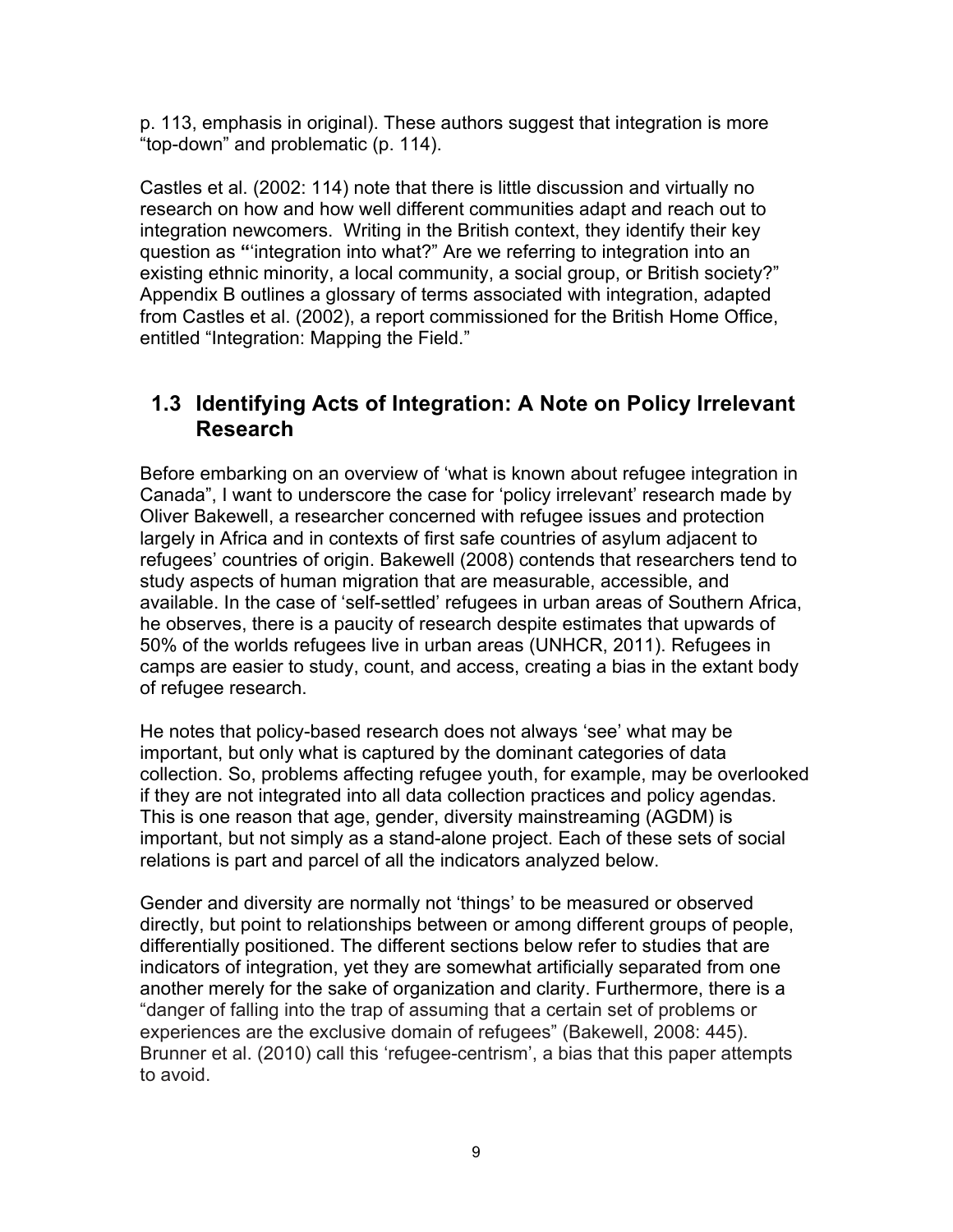p. 113, emphasis in original). These authors suggest that integration is more "top-down" and problematic (p. 114).

Castles et al. (2002: 114) note that there is little discussion and virtually no research on how and how well different communities adapt and reach out to integration newcomers. Writing in the British context, they identify their key question as **"**'integration into what?" Are we referring to integration into an existing ethnic minority, a local community, a social group, or British society?" Appendix B outlines a glossary of terms associated with integration, adapted from Castles et al. (2002), a report commissioned for the British Home Office, entitled "Integration: Mapping the Field."

### **1.3 Identifying Acts of Integration: A Note on Policy Irrelevant Research**

Before embarking on an overview of 'what is known about refugee integration in Canada", I want to underscore the case for 'policy irrelevant' research made by Oliver Bakewell, a researcher concerned with refugee issues and protection largely in Africa and in contexts of first safe countries of asylum adjacent to refugees' countries of origin. Bakewell (2008) contends that researchers tend to study aspects of human migration that are measurable, accessible, and available. In the case of 'self-settled' refugees in urban areas of Southern Africa, he observes, there is a paucity of research despite estimates that upwards of 50% of the worlds refugees live in urban areas (UNHCR, 2011). Refugees in camps are easier to study, count, and access, creating a bias in the extant body of refugee research.

He notes that policy-based research does not always 'see' what may be important, but only what is captured by the dominant categories of data collection. So, problems affecting refugee youth, for example, may be overlooked if they are not integrated into all data collection practices and policy agendas. This is one reason that age, gender, diversity mainstreaming (AGDM) is important, but not simply as a stand-alone project. Each of these sets of social relations is part and parcel of all the indicators analyzed below.

Gender and diversity are normally not 'things' to be measured or observed directly, but point to relationships between or among different groups of people, differentially positioned. The different sections below refer to studies that are indicators of integration, yet they are somewhat artificially separated from one another merely for the sake of organization and clarity. Furthermore, there is a "danger of falling into the trap of assuming that a certain set of problems or experiences are the exclusive domain of refugees" (Bakewell, 2008: 445). Brunner et al. (2010) call this 'refugee-centrism', a bias that this paper attempts to avoid.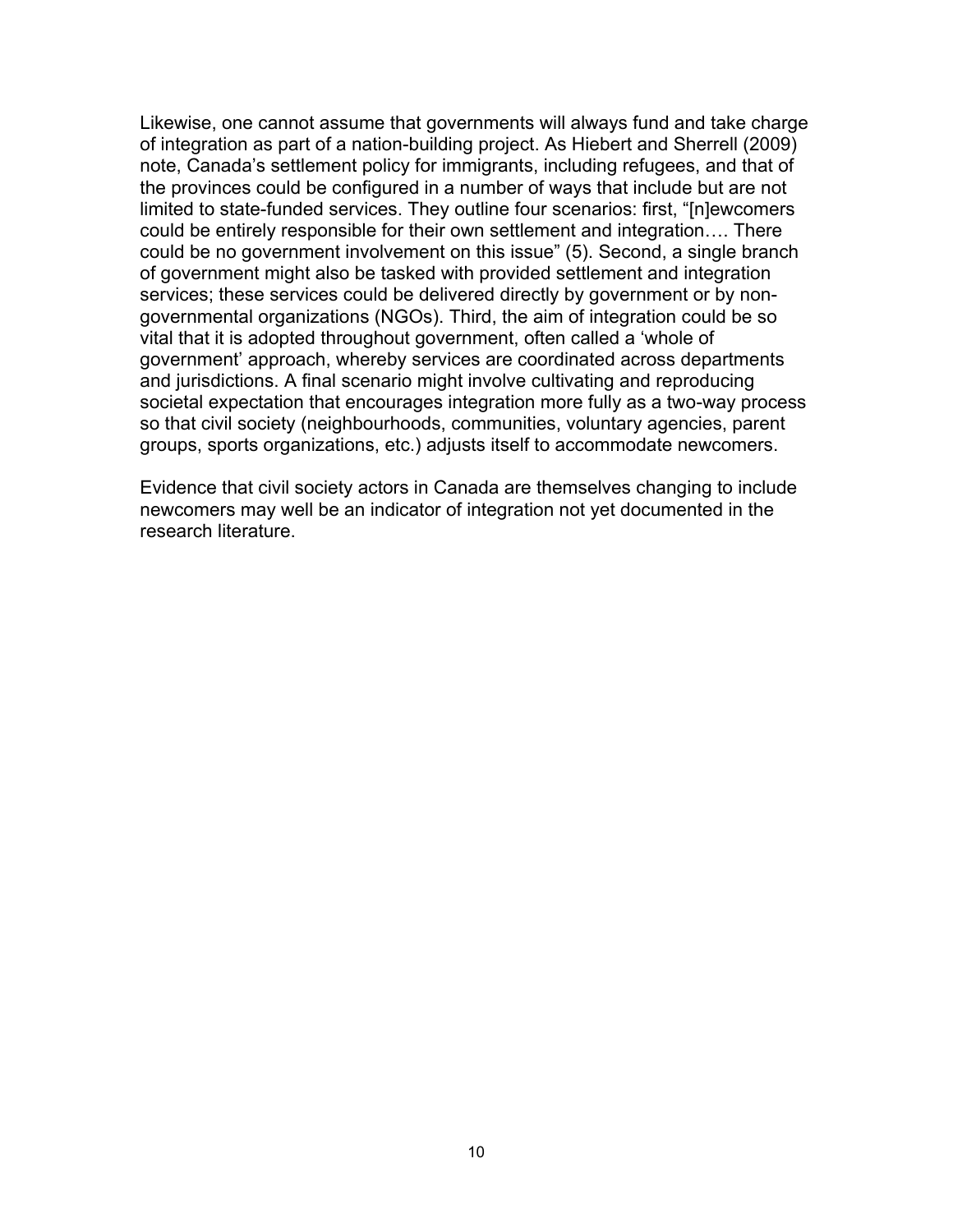Likewise, one cannot assume that governments will always fund and take charge of integration as part of a nation-building project. As Hiebert and Sherrell (2009) note, Canada's settlement policy for immigrants, including refugees, and that of the provinces could be configured in a number of ways that include but are not limited to state-funded services. They outline four scenarios: first, "[n]ewcomers could be entirely responsible for their own settlement and integration…. There could be no government involvement on this issue" (5). Second, a single branch of government might also be tasked with provided settlement and integration services; these services could be delivered directly by government or by nongovernmental organizations (NGOs). Third, the aim of integration could be so vital that it is adopted throughout government, often called a 'whole of government' approach, whereby services are coordinated across departments and jurisdictions. A final scenario might involve cultivating and reproducing societal expectation that encourages integration more fully as a two-way process so that civil society (neighbourhoods, communities, voluntary agencies, parent groups, sports organizations, etc.) adjusts itself to accommodate newcomers.

Evidence that civil society actors in Canada are themselves changing to include newcomers may well be an indicator of integration not yet documented in the research literature.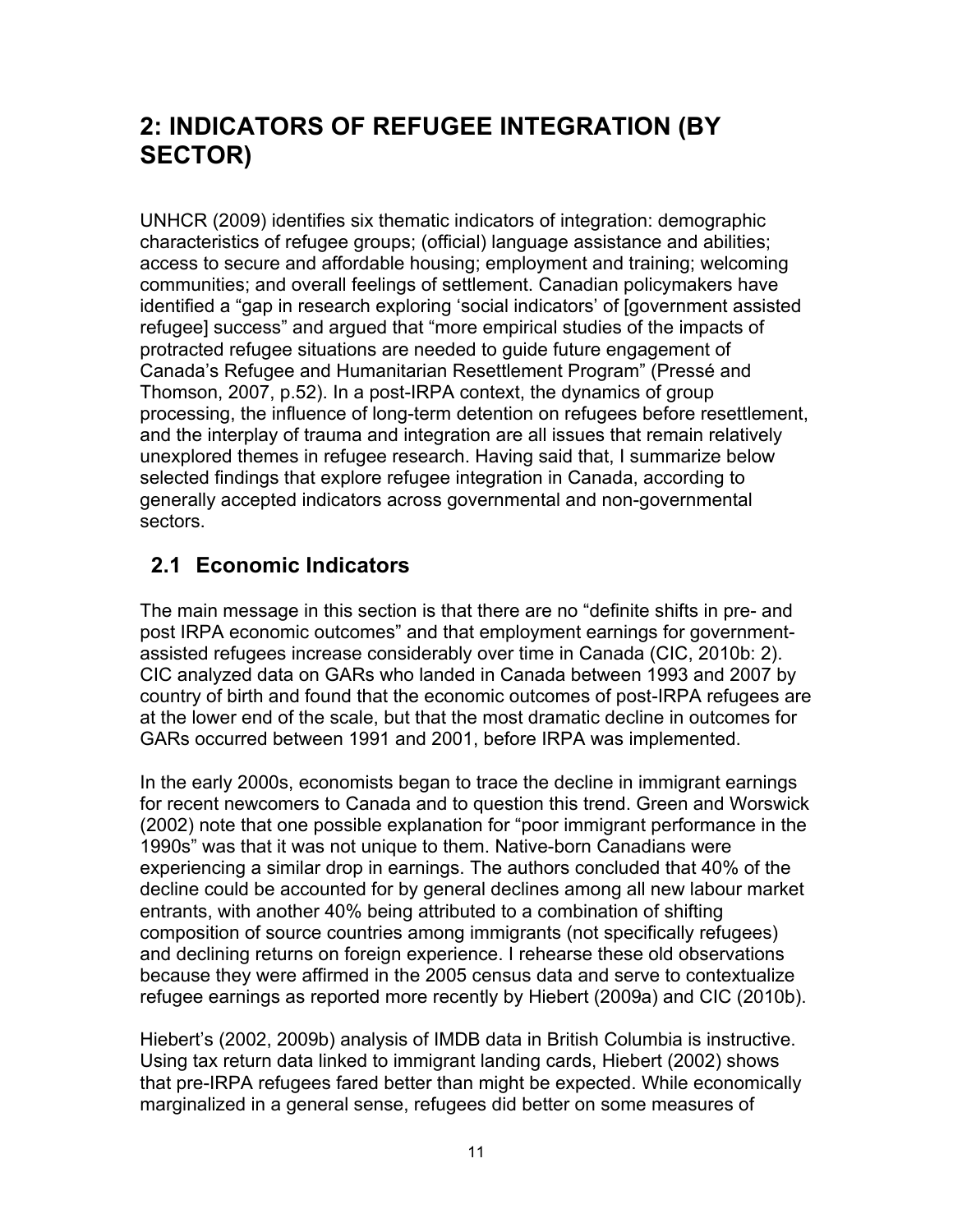## **2: INDICATORS OF REFUGEE INTEGRATION (BY SECTOR)**

UNHCR (2009) identifies six thematic indicators of integration: demographic characteristics of refugee groups; (official) language assistance and abilities; access to secure and affordable housing; employment and training; welcoming communities; and overall feelings of settlement. Canadian policymakers have identified a "gap in research exploring 'social indicators' of [government assisted refugee] success" and argued that "more empirical studies of the impacts of protracted refugee situations are needed to guide future engagement of Canada's Refugee and Humanitarian Resettlement Program" (Pressé and Thomson, 2007, p.52). In a post-IRPA context, the dynamics of group processing, the influence of long-term detention on refugees before resettlement, and the interplay of trauma and integration are all issues that remain relatively unexplored themes in refugee research. Having said that, I summarize below selected findings that explore refugee integration in Canada, according to generally accepted indicators across governmental and non-governmental sectors.

## **2.1 Economic Indicators**

The main message in this section is that there are no "definite shifts in pre- and post IRPA economic outcomes" and that employment earnings for governmentassisted refugees increase considerably over time in Canada (CIC, 2010b: 2). CIC analyzed data on GARs who landed in Canada between 1993 and 2007 by country of birth and found that the economic outcomes of post-IRPA refugees are at the lower end of the scale, but that the most dramatic decline in outcomes for GARs occurred between 1991 and 2001, before IRPA was implemented.

In the early 2000s, economists began to trace the decline in immigrant earnings for recent newcomers to Canada and to question this trend. Green and Worswick (2002) note that one possible explanation for "poor immigrant performance in the 1990s" was that it was not unique to them. Native-born Canadians were experiencing a similar drop in earnings. The authors concluded that 40% of the decline could be accounted for by general declines among all new labour market entrants, with another 40% being attributed to a combination of shifting composition of source countries among immigrants (not specifically refugees) and declining returns on foreign experience. I rehearse these old observations because they were affirmed in the 2005 census data and serve to contextualize refugee earnings as reported more recently by Hiebert (2009a) and CIC (2010b).

Hiebert's (2002, 2009b) analysis of IMDB data in British Columbia is instructive. Using tax return data linked to immigrant landing cards, Hiebert (2002) shows that pre-IRPA refugees fared better than might be expected. While economically marginalized in a general sense, refugees did better on some measures of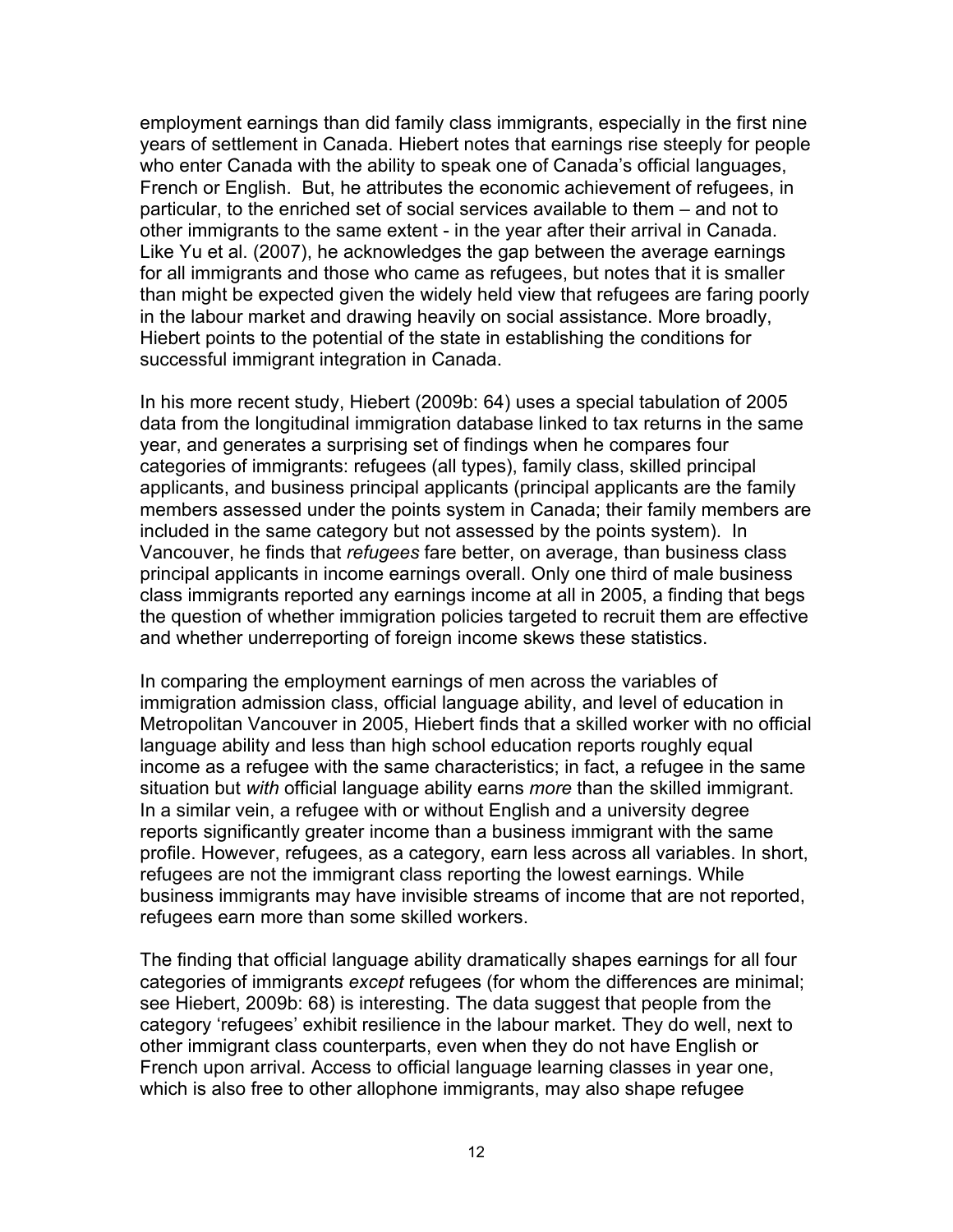employment earnings than did family class immigrants, especially in the first nine years of settlement in Canada. Hiebert notes that earnings rise steeply for people who enter Canada with the ability to speak one of Canada's official languages, French or English. But, he attributes the economic achievement of refugees, in particular, to the enriched set of social services available to them – and not to other immigrants to the same extent - in the year after their arrival in Canada. Like Yu et al. (2007), he acknowledges the gap between the average earnings for all immigrants and those who came as refugees, but notes that it is smaller than might be expected given the widely held view that refugees are faring poorly in the labour market and drawing heavily on social assistance. More broadly, Hiebert points to the potential of the state in establishing the conditions for successful immigrant integration in Canada.

In his more recent study, Hiebert (2009b: 64) uses a special tabulation of 2005 data from the longitudinal immigration database linked to tax returns in the same year, and generates a surprising set of findings when he compares four categories of immigrants: refugees (all types), family class, skilled principal applicants, and business principal applicants (principal applicants are the family members assessed under the points system in Canada; their family members are included in the same category but not assessed by the points system). In Vancouver, he finds that *refugees* fare better, on average, than business class principal applicants in income earnings overall. Only one third of male business class immigrants reported any earnings income at all in 2005, a finding that begs the question of whether immigration policies targeted to recruit them are effective and whether underreporting of foreign income skews these statistics.

In comparing the employment earnings of men across the variables of immigration admission class, official language ability, and level of education in Metropolitan Vancouver in 2005, Hiebert finds that a skilled worker with no official language ability and less than high school education reports roughly equal income as a refugee with the same characteristics; in fact, a refugee in the same situation but *with* official language ability earns *more* than the skilled immigrant. In a similar vein, a refugee with or without English and a university degree reports significantly greater income than a business immigrant with the same profile. However, refugees, as a category, earn less across all variables. In short, refugees are not the immigrant class reporting the lowest earnings. While business immigrants may have invisible streams of income that are not reported, refugees earn more than some skilled workers.

The finding that official language ability dramatically shapes earnings for all four categories of immigrants *except* refugees (for whom the differences are minimal; see Hiebert, 2009b: 68) is interesting. The data suggest that people from the category 'refugees' exhibit resilience in the labour market. They do well, next to other immigrant class counterparts, even when they do not have English or French upon arrival. Access to official language learning classes in year one, which is also free to other allophone immigrants, may also shape refugee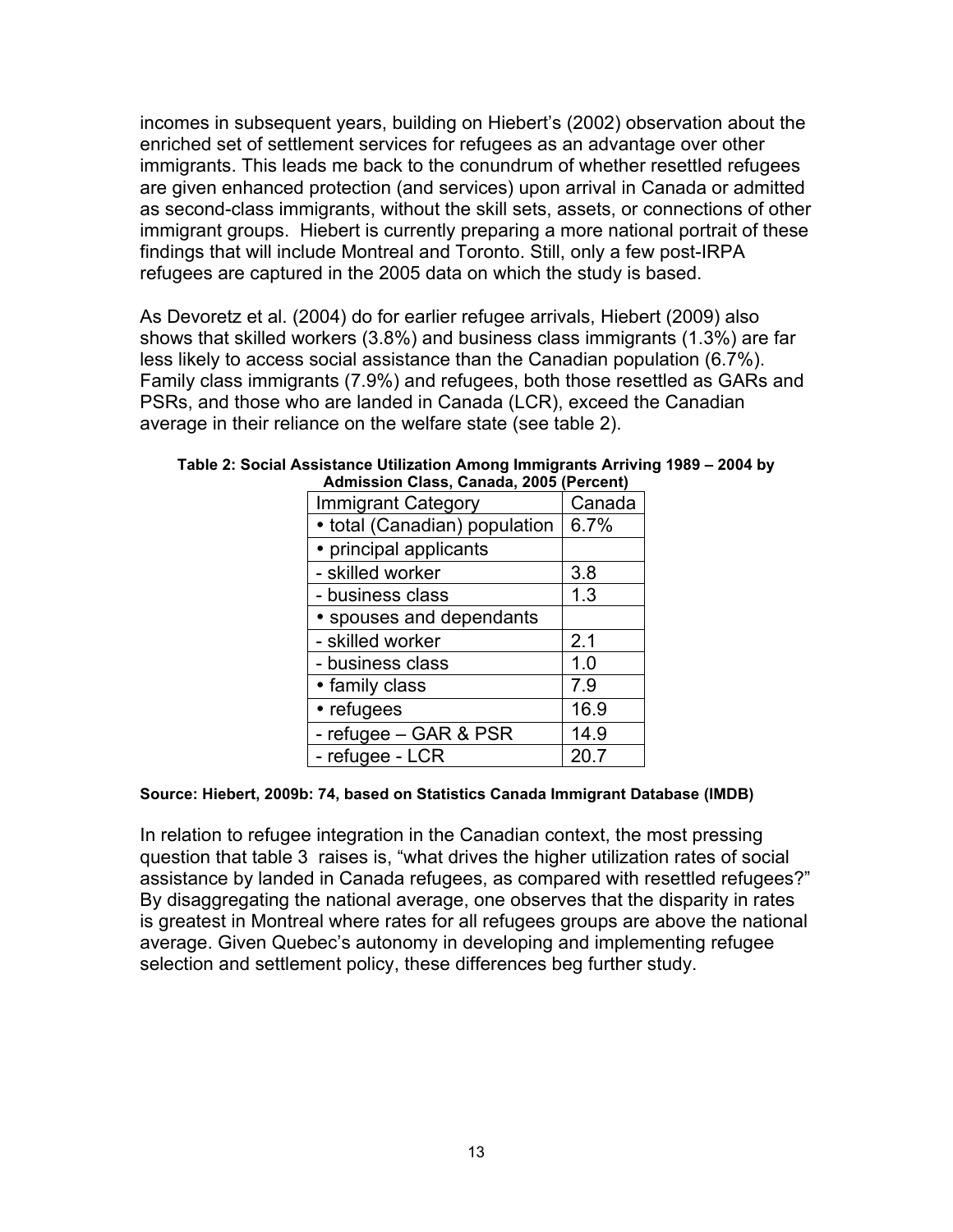incomes in subsequent years, building on Hiebert's (2002) observation about the enriched set of settlement services for refugees as an advantage over other immigrants. This leads me back to the conundrum of whether resettled refugees are given enhanced protection (and services) upon arrival in Canada or admitted as second-class immigrants, without the skill sets, assets, or connections of other immigrant groups. Hiebert is currently preparing a more national portrait of these findings that will include Montreal and Toronto. Still, only a few post-IRPA refugees are captured in the 2005 data on which the study is based.

As Devoretz et al. (2004) do for earlier refugee arrivals, Hiebert (2009) also shows that skilled workers (3.8%) and business class immigrants (1.3%) are far less likely to access social assistance than the Canadian population (6.7%). Family class immigrants (7.9%) and refugees, both those resettled as GARs and PSRs, and those who are landed in Canada (LCR), exceed the Canadian average in their reliance on the welfare state (see table 2).

| Admission Class, Canada, 2005 (Percent) |        |
|-----------------------------------------|--------|
| <b>Immigrant Category</b>               | Canada |
| • total (Canadian) population           | 6.7%   |
| • principal applicants                  |        |
| - skilled worker                        | 3.8    |
| - business class                        | 1.3    |
| • spouses and dependants                |        |
| - skilled worker                        | 2.1    |
| - business class                        | 1.0    |
| • family class                          | 7.9    |
| • refugees                              | 16.9   |
| - refugee - GAR & PSR                   | 14.9   |
| - refugee - LCR                         | 20.7   |

**Table 2: Social Assistance Utilization Among Immigrants Arriving 1989 – 2004 by** 

#### **Source: Hiebert, 2009b: 74, based on Statistics Canada Immigrant Database (IMDB)**

In relation to refugee integration in the Canadian context, the most pressing question that table 3 raises is, "what drives the higher utilization rates of social assistance by landed in Canada refugees, as compared with resettled refugees?" By disaggregating the national average, one observes that the disparity in rates is greatest in Montreal where rates for all refugees groups are above the national average. Given Quebec's autonomy in developing and implementing refugee selection and settlement policy, these differences beg further study.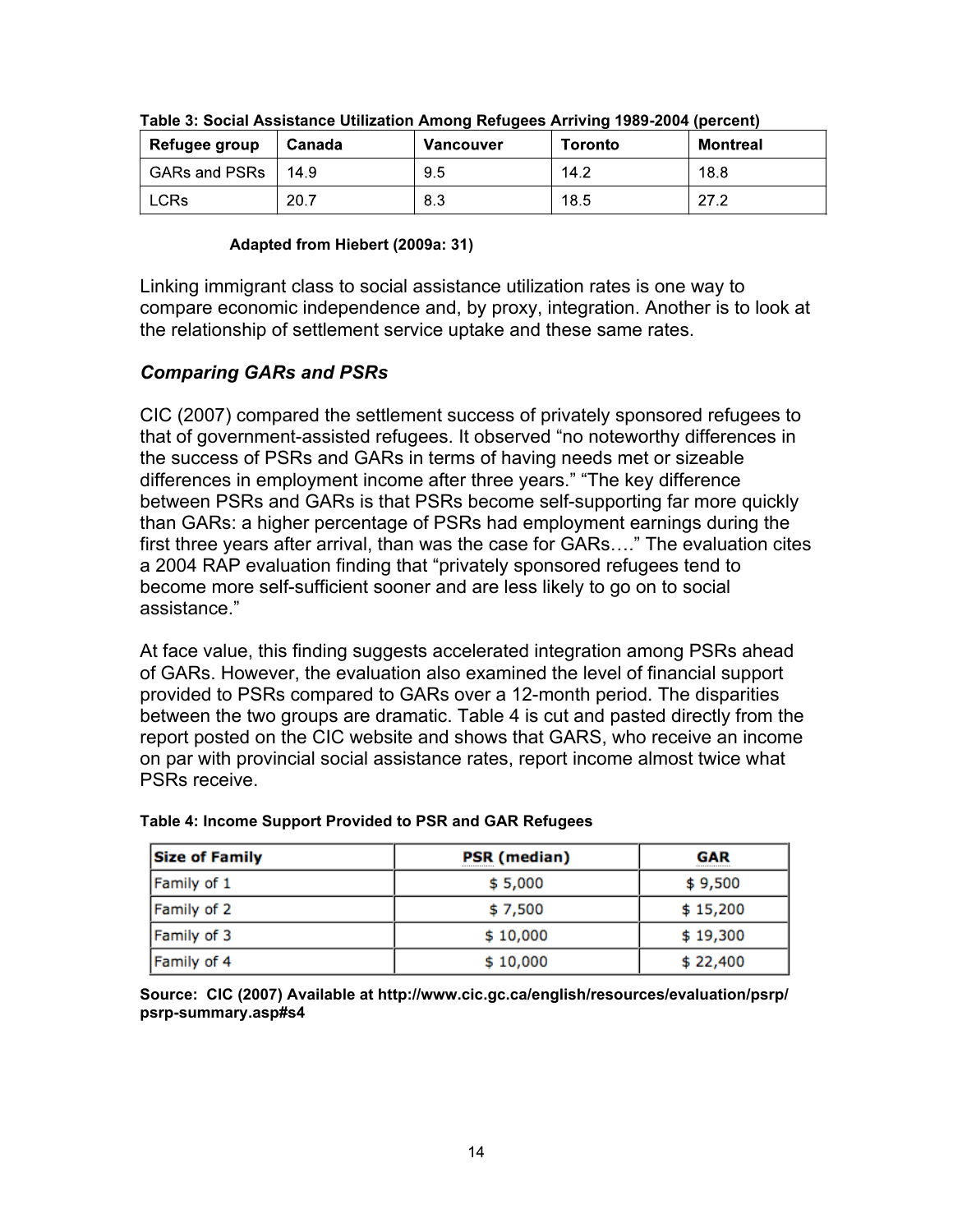| , Refugee group      | Canada | Vancouver | <b>Toronto</b> | <b>Montreal</b> |
|----------------------|--------|-----------|----------------|-----------------|
| <b>GARs and PSRs</b> | 14.9   | 9.5       | 14.2           | 18.8            |
| LCR <sub>s</sub>     | 20.7   | 8.3       | 18.5           | 27.2            |

| Table 3: Social Assistance Utilization Among Refugees Arriving 1989-2004 (percent) |  |  |
|------------------------------------------------------------------------------------|--|--|

#### **Adapted from Hiebert (2009a: 31)**

Linking immigrant class to social assistance utilization rates is one way to compare economic independence and, by proxy, integration. Another is to look at the relationship of settlement service uptake and these same rates.

#### *Comparing GARs and PSRs*

CIC (2007) compared the settlement success of privately sponsored refugees to that of government-assisted refugees. It observed "no noteworthy differences in the success of PSRs and GARs in terms of having needs met or sizeable differences in employment income after three years." "The key difference between PSRs and GARs is that PSRs become self-supporting far more quickly than GARs: a higher percentage of PSRs had employment earnings during the first three years after arrival, than was the case for GARs…." The evaluation cites a 2004 RAP evaluation finding that "privately sponsored refugees tend to become more self-sufficient sooner and are less likely to go on to social assistance."

At face value, this finding suggests accelerated integration among PSRs ahead of GARs. However, the evaluation also examined the level of financial support provided to PSRs compared to GARs over a 12-month period. The disparities between the two groups are dramatic. Table 4 is cut and pasted directly from the report posted on the CIC website and shows that GARS, who receive an income on par with provincial social assistance rates, report income almost twice what PSRs receive.

| <b>Size of Family</b> | <b>PSR (median)</b> | <b>GAR</b><br> |  |
|-----------------------|---------------------|----------------|--|
| Family of 1           | \$5,000             | \$9,500        |  |
| Family of 2           | \$7,500             | \$15,200       |  |
| Family of 3           | \$10,000            | \$19,300       |  |
| Family of 4           | \$10,000            | \$22,400       |  |

#### **Table 4: Income Support Provided to PSR and GAR Refugees**

**Source: CIC (2007) Available at http://www.cic.gc.ca/english/resources/evaluation/psrp/ psrp-summary.asp#s4**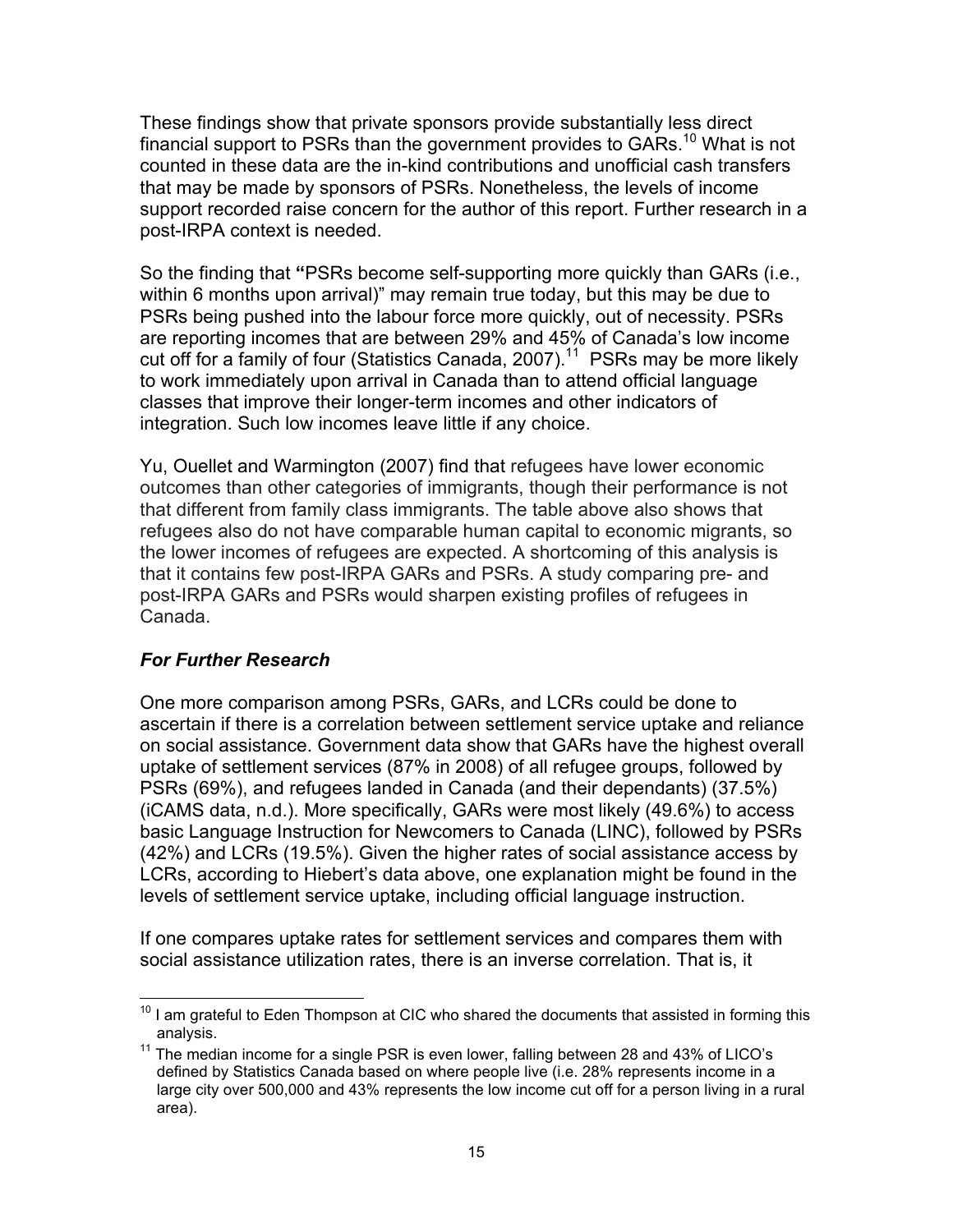These findings show that private sponsors provide substantially less direct financial support to PSRs than the government provides to GARs.<sup>10</sup> What is not counted in these data are the in-kind contributions and unofficial cash transfers that may be made by sponsors of PSRs. Nonetheless, the levels of income support recorded raise concern for the author of this report. Further research in a post-IRPA context is needed.

So the finding that **"**PSRs become self-supporting more quickly than GARs (i.e., within 6 months upon arrival)" may remain true today, but this may be due to PSRs being pushed into the labour force more quickly, out of necessity. PSRs are reporting incomes that are between 29% and 45% of Canada's low income cut off for a family of four (Statistics Canada, 2007).<sup>11</sup> PSRs may be more likely to work immediately upon arrival in Canada than to attend official language classes that improve their longer-term incomes and other indicators of integration. Such low incomes leave little if any choice.

Yu, Ouellet and Warmington (2007) find that refugees have lower economic outcomes than other categories of immigrants, though their performance is not that different from family class immigrants. The table above also shows that refugees also do not have comparable human capital to economic migrants, so the lower incomes of refugees are expected. A shortcoming of this analysis is that it contains few post-IRPA GARs and PSRs. A study comparing pre- and post-IRPA GARs and PSRs would sharpen existing profiles of refugees in Canada.

### *For Further Research*

One more comparison among PSRs, GARs, and LCRs could be done to ascertain if there is a correlation between settlement service uptake and reliance on social assistance. Government data show that GARs have the highest overall uptake of settlement services (87% in 2008) of all refugee groups, followed by PSRs (69%), and refugees landed in Canada (and their dependants) (37.5%) (iCAMS data, n.d.). More specifically, GARs were most likely (49.6%) to access basic Language Instruction for Newcomers to Canada (LINC), followed by PSRs (42%) and LCRs (19.5%). Given the higher rates of social assistance access by LCRs, according to Hiebert's data above, one explanation might be found in the levels of settlement service uptake, including official language instruction.

If one compares uptake rates for settlement services and compares them with social assistance utilization rates, there is an inverse correlation. That is, it

 $10$  I am grateful to Eden Thompson at CIC who shared the documents that assisted in forming this analysis.

<sup>&</sup>lt;sup>11</sup> The median income for a single PSR is even lower, falling between 28 and 43% of LICO's defined by Statistics Canada based on where people live (i.e. 28% represents income in a large city over 500,000 and 43% represents the low income cut off for a person living in a rural area).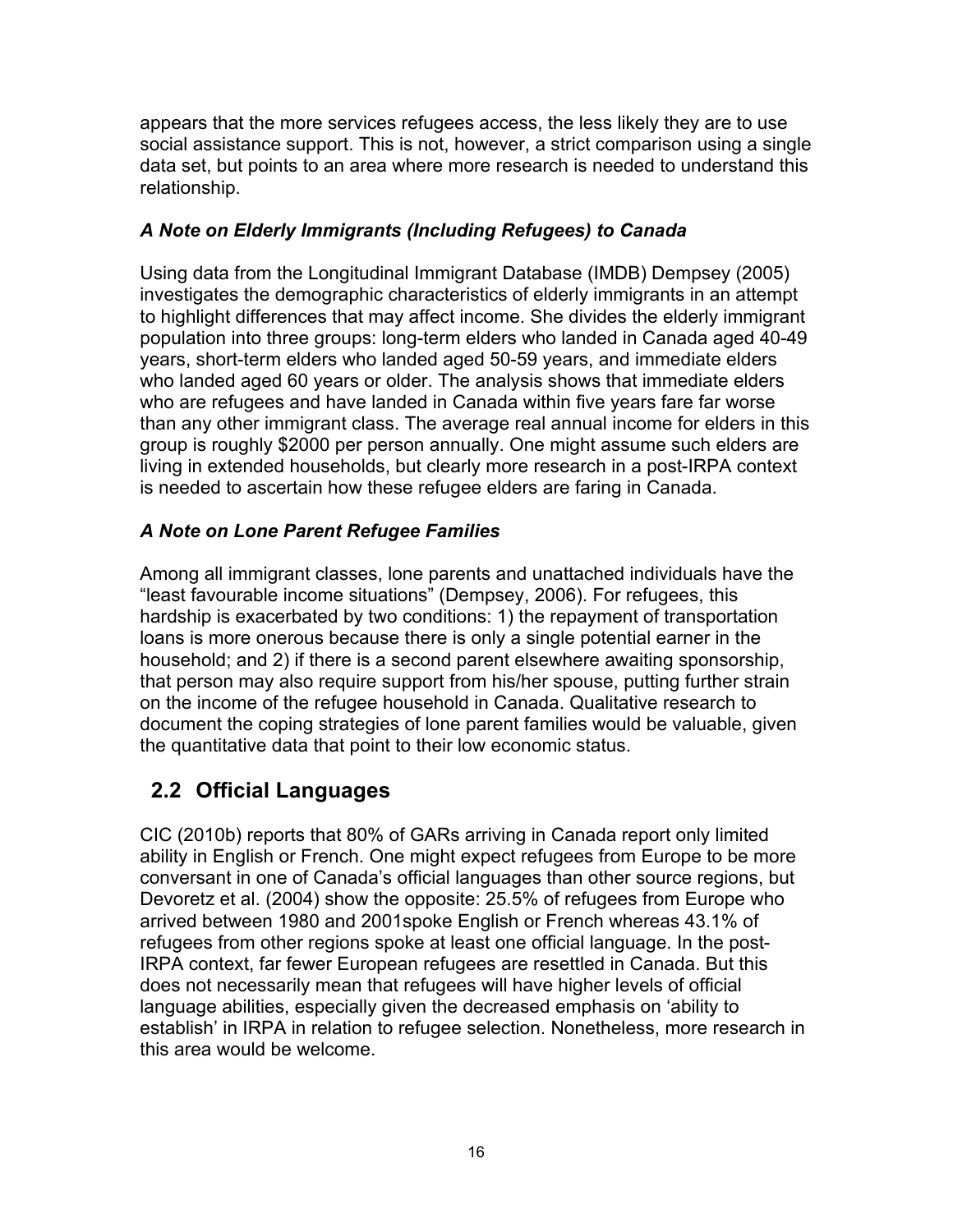appears that the more services refugees access, the less likely they are to use social assistance support. This is not, however, a strict comparison using a single data set, but points to an area where more research is needed to understand this relationship.

### *A Note on Elderly Immigrants (Including Refugees) to Canada*

Using data from the Longitudinal Immigrant Database (IMDB) Dempsey (2005) investigates the demographic characteristics of elderly immigrants in an attempt to highlight differences that may affect income. She divides the elderly immigrant population into three groups: long-term elders who landed in Canada aged 40-49 years, short-term elders who landed aged 50-59 years, and immediate elders who landed aged 60 years or older. The analysis shows that immediate elders who are refugees and have landed in Canada within five years fare far worse than any other immigrant class. The average real annual income for elders in this group is roughly \$2000 per person annually. One might assume such elders are living in extended households, but clearly more research in a post-IRPA context is needed to ascertain how these refugee elders are faring in Canada.

### *A Note on Lone Parent Refugee Families*

Among all immigrant classes, lone parents and unattached individuals have the "least favourable income situations" (Dempsey, 2006). For refugees, this hardship is exacerbated by two conditions: 1) the repayment of transportation loans is more onerous because there is only a single potential earner in the household; and 2) if there is a second parent elsewhere awaiting sponsorship, that person may also require support from his/her spouse, putting further strain on the income of the refugee household in Canada. Qualitative research to document the coping strategies of lone parent families would be valuable, given the quantitative data that point to their low economic status.

## **2.2 Official Languages**

CIC (2010b) reports that 80% of GARs arriving in Canada report only limited ability in English or French. One might expect refugees from Europe to be more conversant in one of Canada's official languages than other source regions, but Devoretz et al. (2004) show the opposite: 25.5% of refugees from Europe who arrived between 1980 and 2001spoke English or French whereas 43.1% of refugees from other regions spoke at least one official language. In the post-IRPA context, far fewer European refugees are resettled in Canada. But this does not necessarily mean that refugees will have higher levels of official language abilities, especially given the decreased emphasis on 'ability to establish' in IRPA in relation to refugee selection. Nonetheless, more research in this area would be welcome.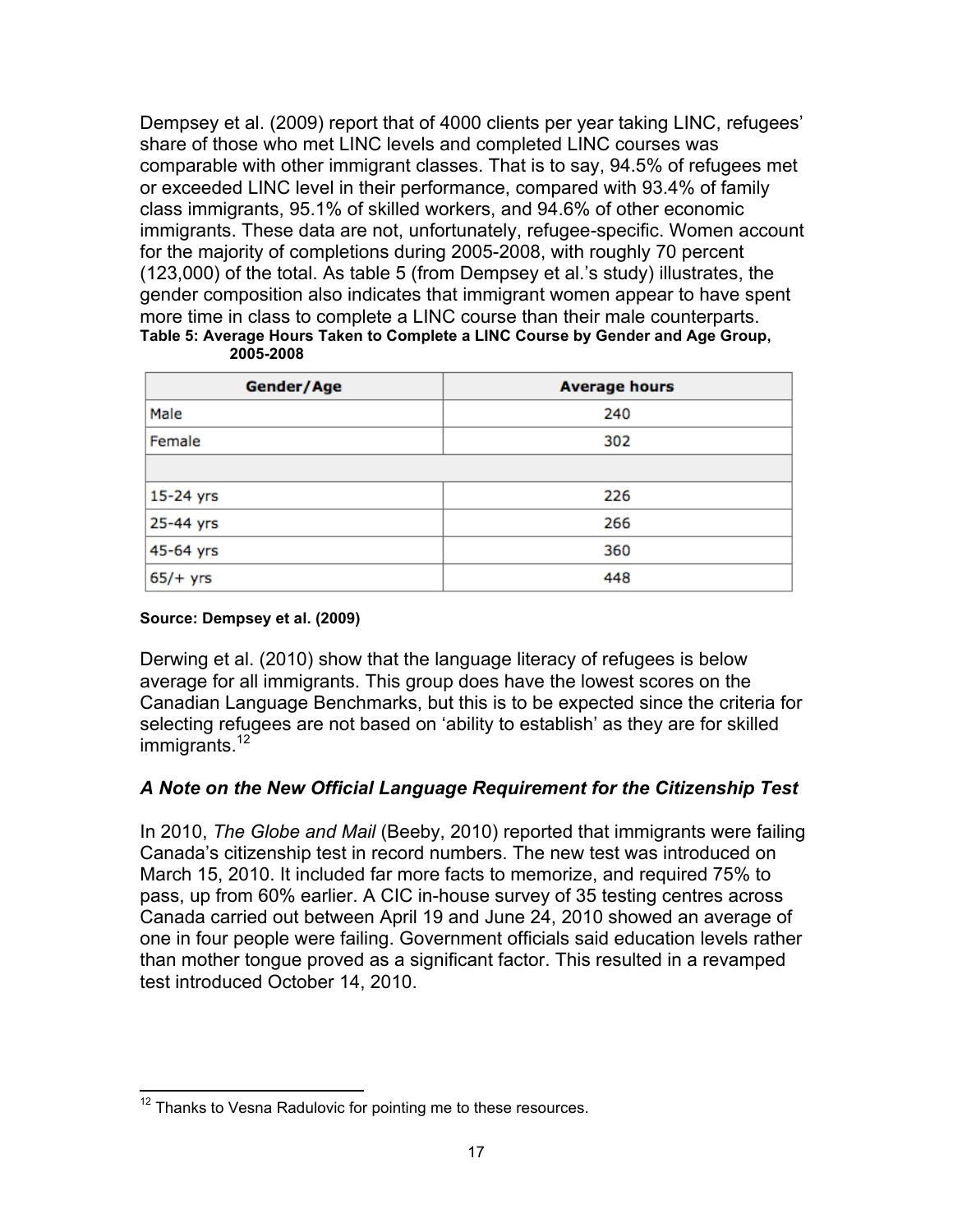Dempsey et al. (2009) report that of 4000 clients per year taking LINC, refugees' share of those who met LINC levels and completed LINC courses was comparable with other immigrant classes. That is to say, 94.5% of refugees met or exceeded LINC level in their performance, compared with 93.4% of family class immigrants, 95.1% of skilled workers, and 94.6% of other economic immigrants. These data are not, unfortunately, refugee-specific. Women account for the majority of completions during 2005-2008, with roughly 70 percent (123,000) of the total. As table 5 (from Dempsey et al.'s study) illustrates, the gender composition also indicates that immigrant women appear to have spent more time in class to complete a LINC course than their male counterparts. **Table 5: Average Hours Taken to Complete a LINC Course by Gender and Age Group,** 

| Gender/Age | <b>Average hours</b> |  |  |
|------------|----------------------|--|--|
| Male       | 240                  |  |  |
| Female     | 302                  |  |  |
|            |                      |  |  |
| 15-24 yrs  | 226                  |  |  |
| 25-44 yrs  | 266                  |  |  |
| 45-64 yrs  | 360                  |  |  |
| $65/+$ yrs | 448                  |  |  |

**2005-2008**

#### **Source: Dempsey et al. (2009)**

Derwing et al. (2010) show that the language literacy of refugees is below average for all immigrants. This group does have the lowest scores on the Canadian Language Benchmarks, but this is to be expected since the criteria for selecting refugees are not based on 'ability to establish' as they are for skilled immigrants.<sup>12</sup>

#### *A Note on the New Official Language Requirement for the Citizenship Test*

In 2010, *The Globe and Mail* (Beeby, 2010) reported that immigrants were failing Canada's citizenship test in record numbers. The new test was introduced on March 15, 2010. It included far more facts to memorize, and required 75% to pass, up from 60% earlier. A CIC in-house survey of 35 testing centres across Canada carried out between April 19 and June 24, 2010 showed an average of one in four people were failing. Government officials said education levels rather than mother tongue proved as a significant factor. This resulted in a revamped test introduced October 14, 2010.

 $12$  Thanks to Vesna Radulovic for pointing me to these resources.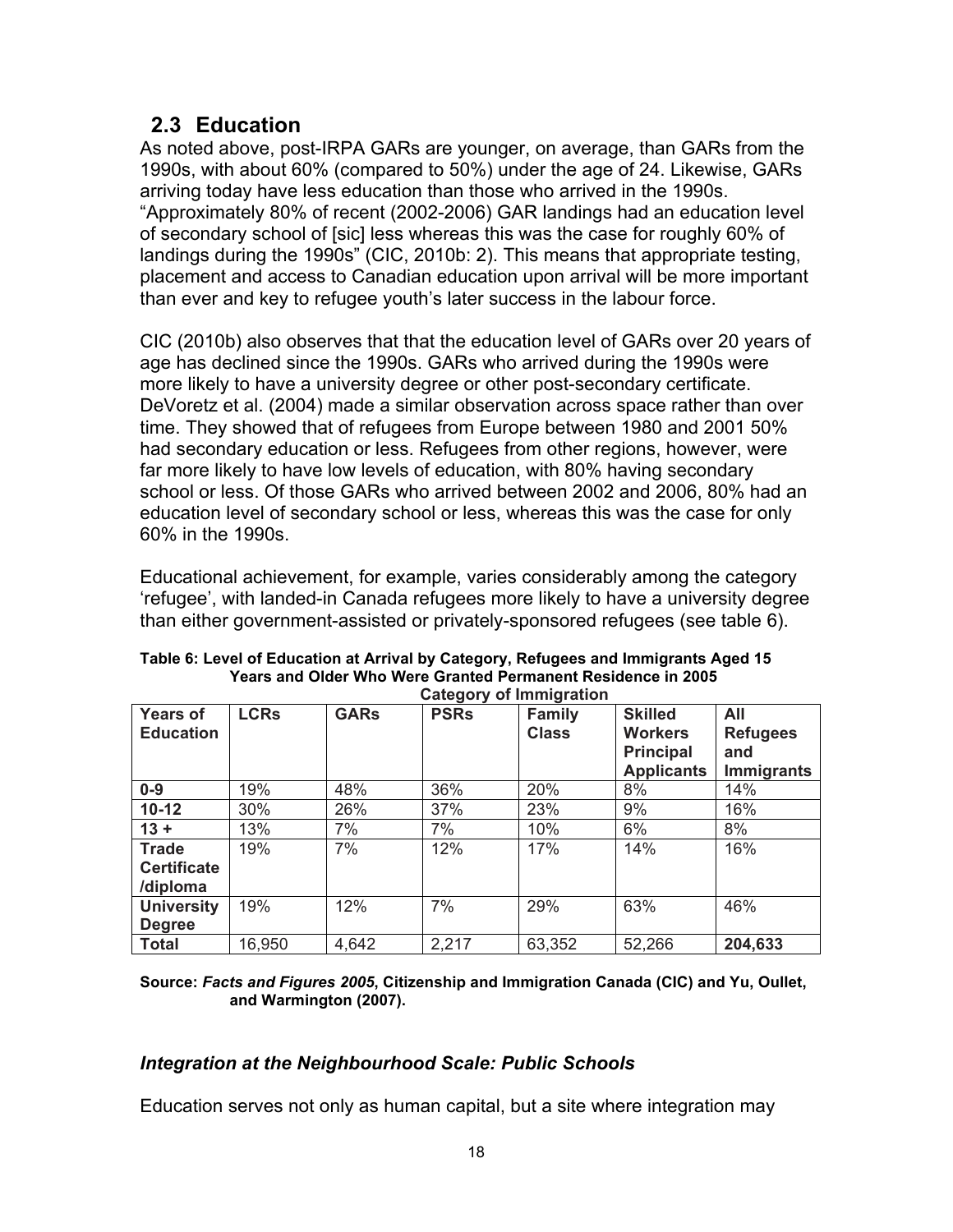### **2.3 Education**

As noted above, post-IRPA GARs are younger, on average, than GARs from the 1990s, with about 60% (compared to 50%) under the age of 24. Likewise, GARs arriving today have less education than those who arrived in the 1990s. "Approximately 80% of recent (2002-2006) GAR landings had an education level of secondary school of [sic] less whereas this was the case for roughly 60% of landings during the 1990s" (CIC, 2010b: 2). This means that appropriate testing, placement and access to Canadian education upon arrival will be more important than ever and key to refugee youth's later success in the labour force.

CIC (2010b) also observes that that the education level of GARs over 20 years of age has declined since the 1990s. GARs who arrived during the 1990s were more likely to have a university degree or other post-secondary certificate. DeVoretz et al. (2004) made a similar observation across space rather than over time. They showed that of refugees from Europe between 1980 and 2001 50% had secondary education or less. Refugees from other regions, however, were far more likely to have low levels of education, with 80% having secondary school or less. Of those GARs who arrived between 2002 and 2006, 80% had an education level of secondary school or less, whereas this was the case for only 60% in the 1990s.

Educational achievement, for example, varies considerably among the category 'refugee', with landed-in Canada refugees more likely to have a university degree than either government-assisted or privately-sponsored refugees (see table 6).

|                                                | <b>Category of Immigration</b> |             |             |                               |                                                                           |                                                    |  |
|------------------------------------------------|--------------------------------|-------------|-------------|-------------------------------|---------------------------------------------------------------------------|----------------------------------------------------|--|
| <b>Years of</b><br><b>Education</b>            | <b>LCRs</b>                    | <b>GARs</b> | <b>PSRs</b> | <b>Family</b><br><b>Class</b> | <b>Skilled</b><br><b>Workers</b><br><b>Principal</b><br><b>Applicants</b> | All<br><b>Refugees</b><br>and<br><b>Immigrants</b> |  |
| $0-9$                                          | 19%                            | 48%         | 36%         | 20%                           | 8%                                                                        | 14%                                                |  |
| $10 - 12$                                      | 30%                            | 26%         | 37%         | 23%                           | 9%                                                                        | 16%                                                |  |
| $13 +$                                         | 13%                            | 7%          | 7%          | 10%                           | 6%                                                                        | 8%                                                 |  |
| <b>Trade</b><br><b>Certificate</b><br>/diploma | 19%                            | 7%          | 12%         | 17%                           | 14%                                                                       | 16%                                                |  |
| <b>University</b><br><b>Degree</b>             | 19%                            | 12%         | 7%          | 29%                           | 63%                                                                       | 46%                                                |  |
| <b>Total</b>                                   | 16,950                         | 4,642       | 2,217       | 63,352                        | 52,266                                                                    | 204,633                                            |  |

**Table 6: Level of Education at Arrival by Category, Refugees and Immigrants Aged 15 Years and Older Who Were Granted Permanent Residence in 2005**

**Source:** *Facts and Figures 2005***, Citizenship and Immigration Canada (CIC) and Yu, Oullet, and Warmington (2007).**

### *Integration at the Neighbourhood Scale: Public Schools*

Education serves not only as human capital, but a site where integration may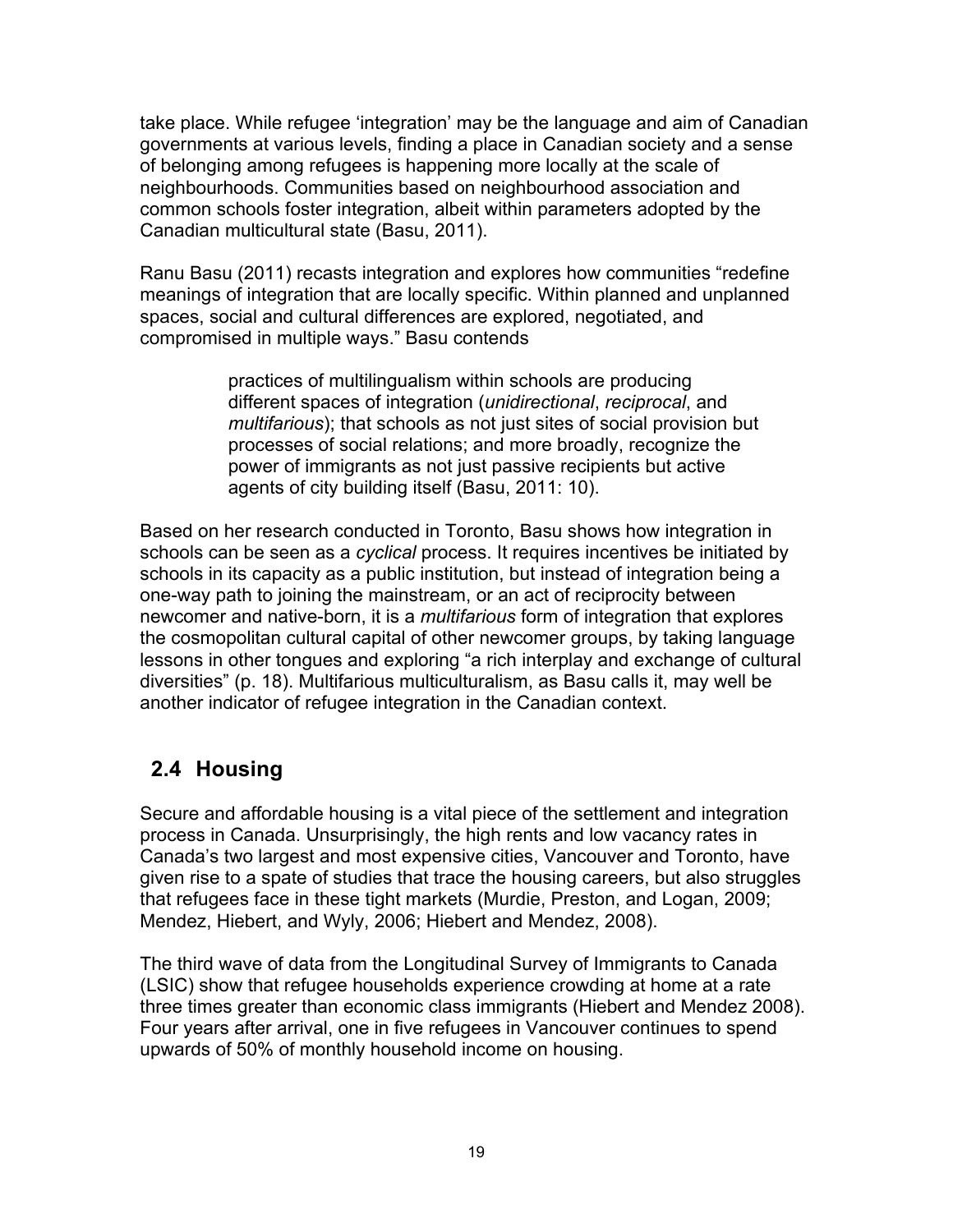take place. While refugee 'integration' may be the language and aim of Canadian governments at various levels, finding a place in Canadian society and a sense of belonging among refugees is happening more locally at the scale of neighbourhoods. Communities based on neighbourhood association and common schools foster integration, albeit within parameters adopted by the Canadian multicultural state (Basu, 2011).

Ranu Basu (2011) recasts integration and explores how communities "redefine meanings of integration that are locally specific. Within planned and unplanned spaces, social and cultural differences are explored, negotiated, and compromised in multiple ways." Basu contends

> practices of multilingualism within schools are producing different spaces of integration (*unidirectional*, *reciprocal*, and *multifarious*); that schools as not just sites of social provision but processes of social relations; and more broadly, recognize the power of immigrants as not just passive recipients but active agents of city building itself (Basu, 2011: 10).

Based on her research conducted in Toronto, Basu shows how integration in schools can be seen as a *cyclical* process. It requires incentives be initiated by schools in its capacity as a public institution, but instead of integration being a one-way path to joining the mainstream, or an act of reciprocity between newcomer and native-born, it is a *multifarious* form of integration that explores the cosmopolitan cultural capital of other newcomer groups, by taking language lessons in other tongues and exploring "a rich interplay and exchange of cultural diversities" (p. 18). Multifarious multiculturalism, as Basu calls it, may well be another indicator of refugee integration in the Canadian context.

### **2.4 Housing**

Secure and affordable housing is a vital piece of the settlement and integration process in Canada. Unsurprisingly, the high rents and low vacancy rates in Canada's two largest and most expensive cities, Vancouver and Toronto, have given rise to a spate of studies that trace the housing careers, but also struggles that refugees face in these tight markets (Murdie, Preston, and Logan, 2009; Mendez, Hiebert, and Wyly, 2006; Hiebert and Mendez, 2008).

The third wave of data from the Longitudinal Survey of Immigrants to Canada (LSIC) show that refugee households experience crowding at home at a rate three times greater than economic class immigrants (Hiebert and Mendez 2008). Four years after arrival, one in five refugees in Vancouver continues to spend upwards of 50% of monthly household income on housing.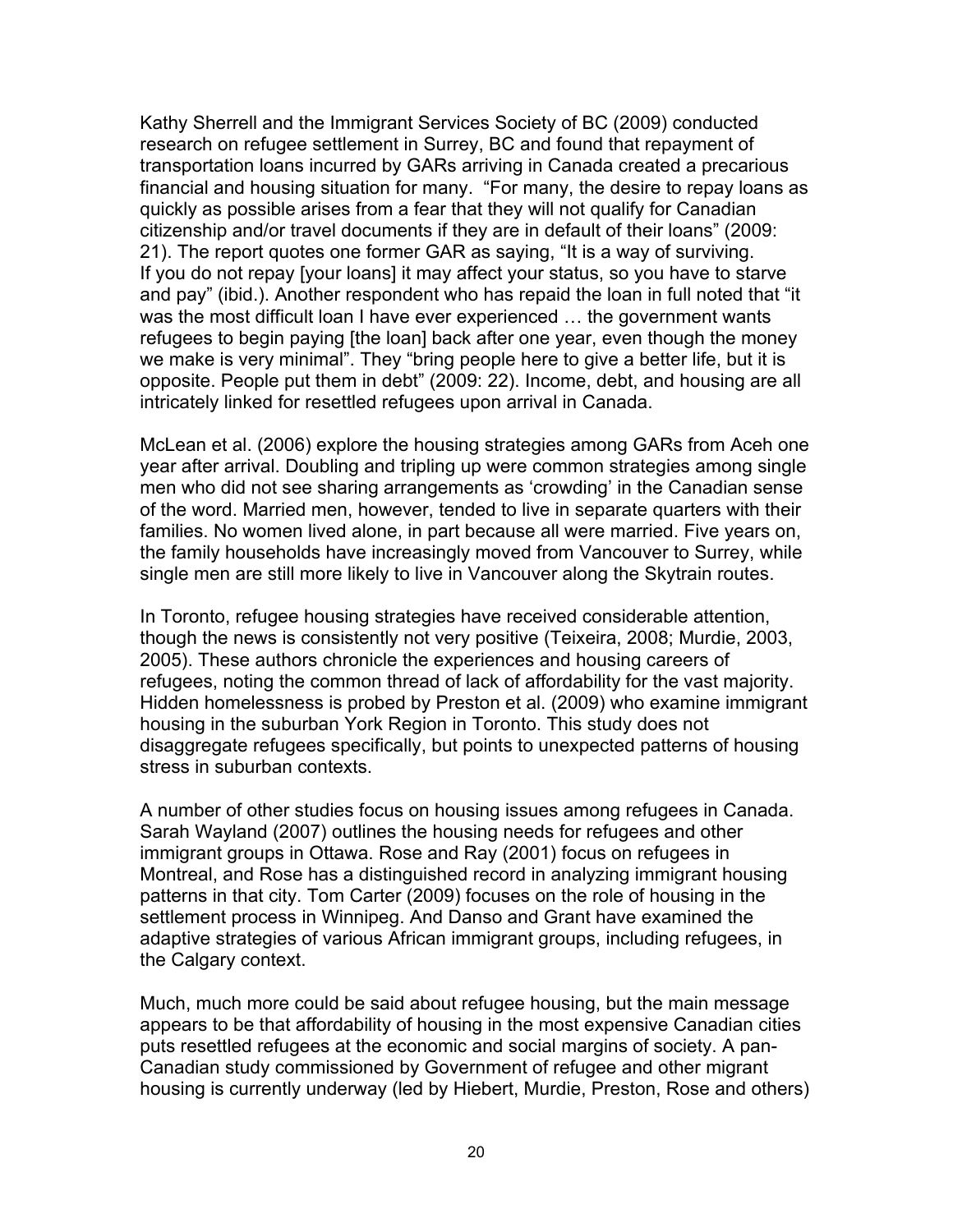Kathy Sherrell and the Immigrant Services Society of BC (2009) conducted research on refugee settlement in Surrey, BC and found that repayment of transportation loans incurred by GARs arriving in Canada created a precarious financial and housing situation for many. "For many, the desire to repay loans as quickly as possible arises from a fear that they will not qualify for Canadian citizenship and/or travel documents if they are in default of their loans" (2009: 21). The report quotes one former GAR as saying, "It is a way of surviving. If you do not repay [your loans] it may affect your status, so you have to starve and pay" (ibid.). Another respondent who has repaid the loan in full noted that "it was the most difficult loan I have ever experienced … the government wants refugees to begin paying [the loan] back after one year, even though the money we make is very minimal". They "bring people here to give a better life, but it is opposite. People put them in debt" (2009: 22). Income, debt, and housing are all intricately linked for resettled refugees upon arrival in Canada.

McLean et al. (2006) explore the housing strategies among GARs from Aceh one year after arrival. Doubling and tripling up were common strategies among single men who did not see sharing arrangements as 'crowding' in the Canadian sense of the word. Married men, however, tended to live in separate quarters with their families. No women lived alone, in part because all were married. Five years on, the family households have increasingly moved from Vancouver to Surrey, while single men are still more likely to live in Vancouver along the Skytrain routes.

In Toronto, refugee housing strategies have received considerable attention, though the news is consistently not very positive (Teixeira, 2008; Murdie, 2003, 2005). These authors chronicle the experiences and housing careers of refugees, noting the common thread of lack of affordability for the vast majority. Hidden homelessness is probed by Preston et al. (2009) who examine immigrant housing in the suburban York Region in Toronto. This study does not disaggregate refugees specifically, but points to unexpected patterns of housing stress in suburban contexts.

A number of other studies focus on housing issues among refugees in Canada. Sarah Wayland (2007) outlines the housing needs for refugees and other immigrant groups in Ottawa. Rose and Ray (2001) focus on refugees in Montreal, and Rose has a distinguished record in analyzing immigrant housing patterns in that city. Tom Carter (2009) focuses on the role of housing in the settlement process in Winnipeg. And Danso and Grant have examined the adaptive strategies of various African immigrant groups, including refugees, in the Calgary context.

Much, much more could be said about refugee housing, but the main message appears to be that affordability of housing in the most expensive Canadian cities puts resettled refugees at the economic and social margins of society. A pan-Canadian study commissioned by Government of refugee and other migrant housing is currently underway (led by Hiebert, Murdie, Preston, Rose and others)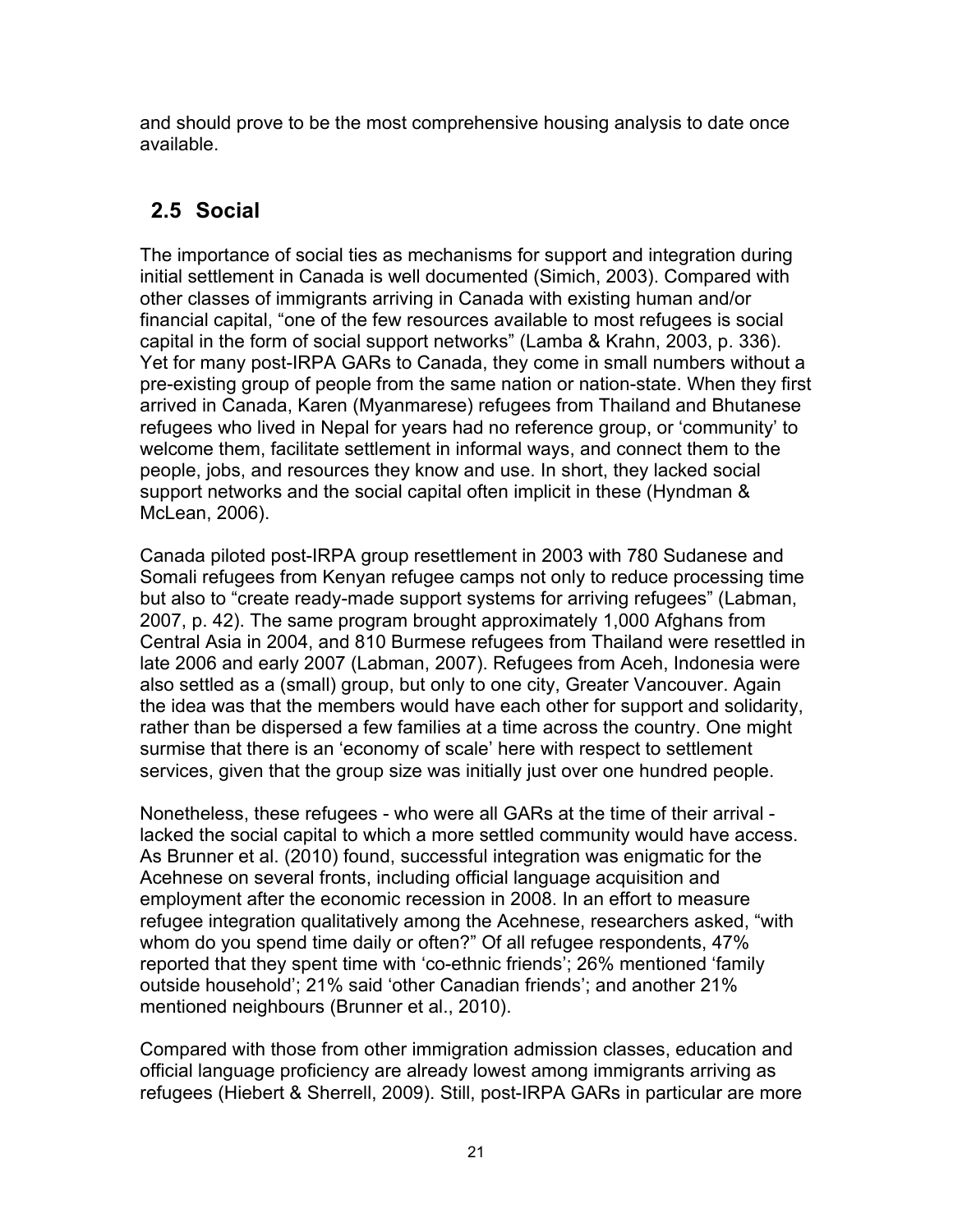and should prove to be the most comprehensive housing analysis to date once available.

### **2.5 Social**

The importance of social ties as mechanisms for support and integration during initial settlement in Canada is well documented (Simich, 2003). Compared with other classes of immigrants arriving in Canada with existing human and/or financial capital, "one of the few resources available to most refugees is social capital in the form of social support networks" (Lamba & Krahn, 2003, p. 336). Yet for many post-IRPA GARs to Canada, they come in small numbers without a pre-existing group of people from the same nation or nation-state. When they first arrived in Canada, Karen (Myanmarese) refugees from Thailand and Bhutanese refugees who lived in Nepal for years had no reference group, or 'community' to welcome them, facilitate settlement in informal ways, and connect them to the people, jobs, and resources they know and use. In short, they lacked social support networks and the social capital often implicit in these (Hyndman & McLean, 2006).

Canada piloted post-IRPA group resettlement in 2003 with 780 Sudanese and Somali refugees from Kenyan refugee camps not only to reduce processing time but also to "create ready-made support systems for arriving refugees" (Labman, 2007, p. 42). The same program brought approximately 1,000 Afghans from Central Asia in 2004, and 810 Burmese refugees from Thailand were resettled in late 2006 and early 2007 (Labman, 2007). Refugees from Aceh, Indonesia were also settled as a (small) group, but only to one city, Greater Vancouver. Again the idea was that the members would have each other for support and solidarity, rather than be dispersed a few families at a time across the country. One might surmise that there is an 'economy of scale' here with respect to settlement services, given that the group size was initially just over one hundred people.

Nonetheless, these refugees - who were all GARs at the time of their arrival lacked the social capital to which a more settled community would have access. As Brunner et al. (2010) found, successful integration was enigmatic for the Acehnese on several fronts, including official language acquisition and employment after the economic recession in 2008. In an effort to measure refugee integration qualitatively among the Acehnese, researchers asked, "with whom do you spend time daily or often?" Of all refugee respondents, 47% reported that they spent time with 'co-ethnic friends'; 26% mentioned 'family outside household'; 21% said 'other Canadian friends'; and another 21% mentioned neighbours (Brunner et al., 2010).

Compared with those from other immigration admission classes, education and official language proficiency are already lowest among immigrants arriving as refugees (Hiebert & Sherrell, 2009). Still, post-IRPA GARs in particular are more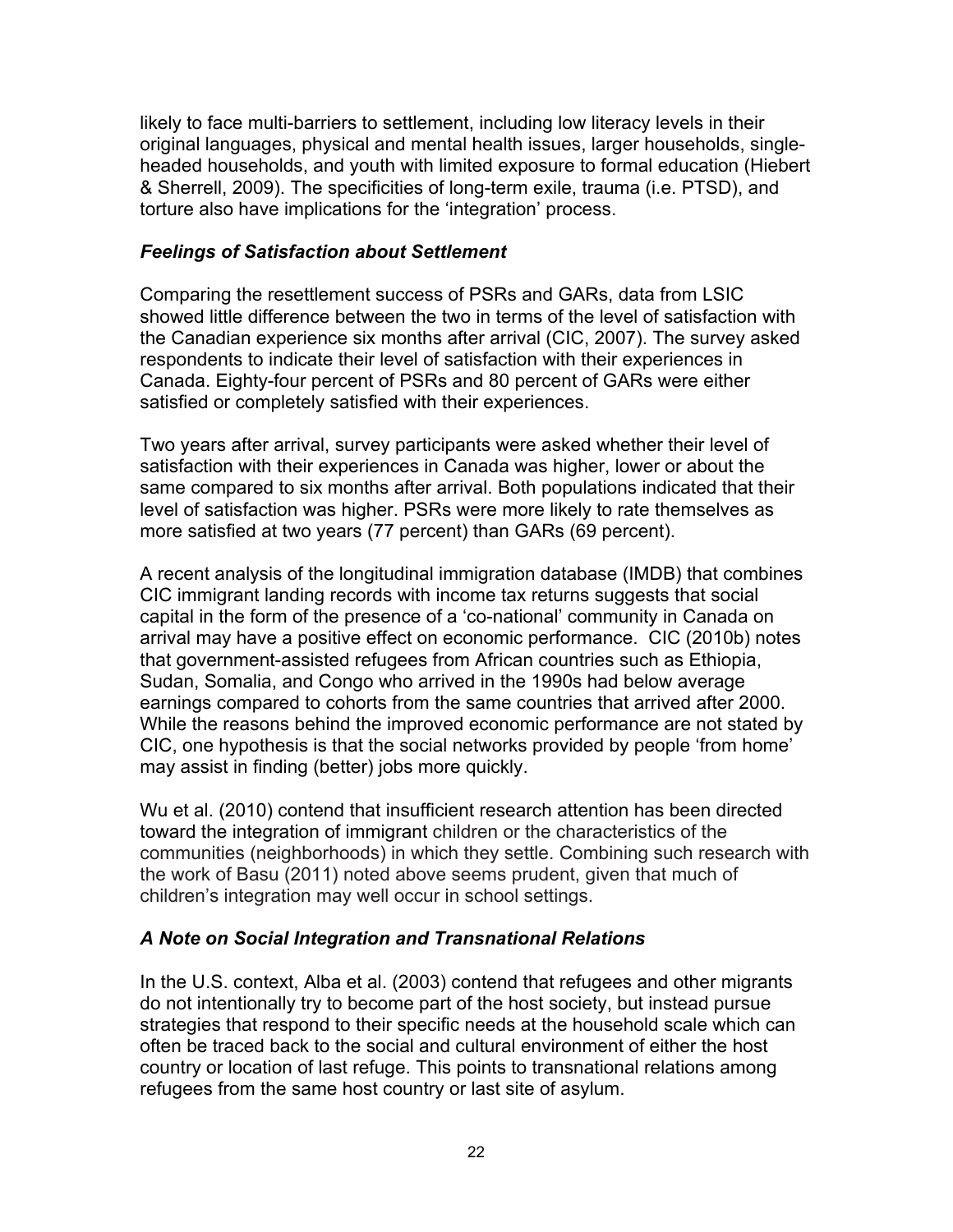likely to face multi-barriers to settlement, including low literacy levels in their original languages, physical and mental health issues, larger households, singleheaded households, and youth with limited exposure to formal education (Hiebert & Sherrell, 2009). The specificities of long-term exile, trauma (i.e. PTSD), and torture also have implications for the 'integration' process.

#### *Feelings of Satisfaction about Settlement*

Comparing the resettlement success of PSRs and GARs, data from LSIC showed little difference between the two in terms of the level of satisfaction with the Canadian experience six months after arrival (CIC, 2007). The survey asked respondents to indicate their level of satisfaction with their experiences in Canada. Eighty-four percent of PSRs and 80 percent of GARs were either satisfied or completely satisfied with their experiences.

Two years after arrival, survey participants were asked whether their level of satisfaction with their experiences in Canada was higher, lower or about the same compared to six months after arrival. Both populations indicated that their level of satisfaction was higher. PSRs were more likely to rate themselves as more satisfied at two years (77 percent) than GARs (69 percent).

A recent analysis of the longitudinal immigration database (IMDB) that combines CIC immigrant landing records with income tax returns suggests that social capital in the form of the presence of a 'co-national' community in Canada on arrival may have a positive effect on economic performance. CIC (2010b) notes that government-assisted refugees from African countries such as Ethiopia, Sudan, Somalia, and Congo who arrived in the 1990s had below average earnings compared to cohorts from the same countries that arrived after 2000. While the reasons behind the improved economic performance are not stated by CIC, one hypothesis is that the social networks provided by people 'from home' may assist in finding (better) jobs more quickly.

Wu et al. (2010) contend that insufficient research attention has been directed toward the integration of immigrant children or the characteristics of the communities (neighborhoods) in which they settle. Combining such research with the work of Basu (2011) noted above seems prudent, given that much of children's integration may well occur in school settings.

### *A Note on Social Integration and Transnational Relations*

In the U.S. context, Alba et al. (2003) contend that refugees and other migrants do not intentionally try to become part of the host society, but instead pursue strategies that respond to their specific needs at the household scale which can often be traced back to the social and cultural environment of either the host country or location of last refuge. This points to transnational relations among refugees from the same host country or last site of asylum.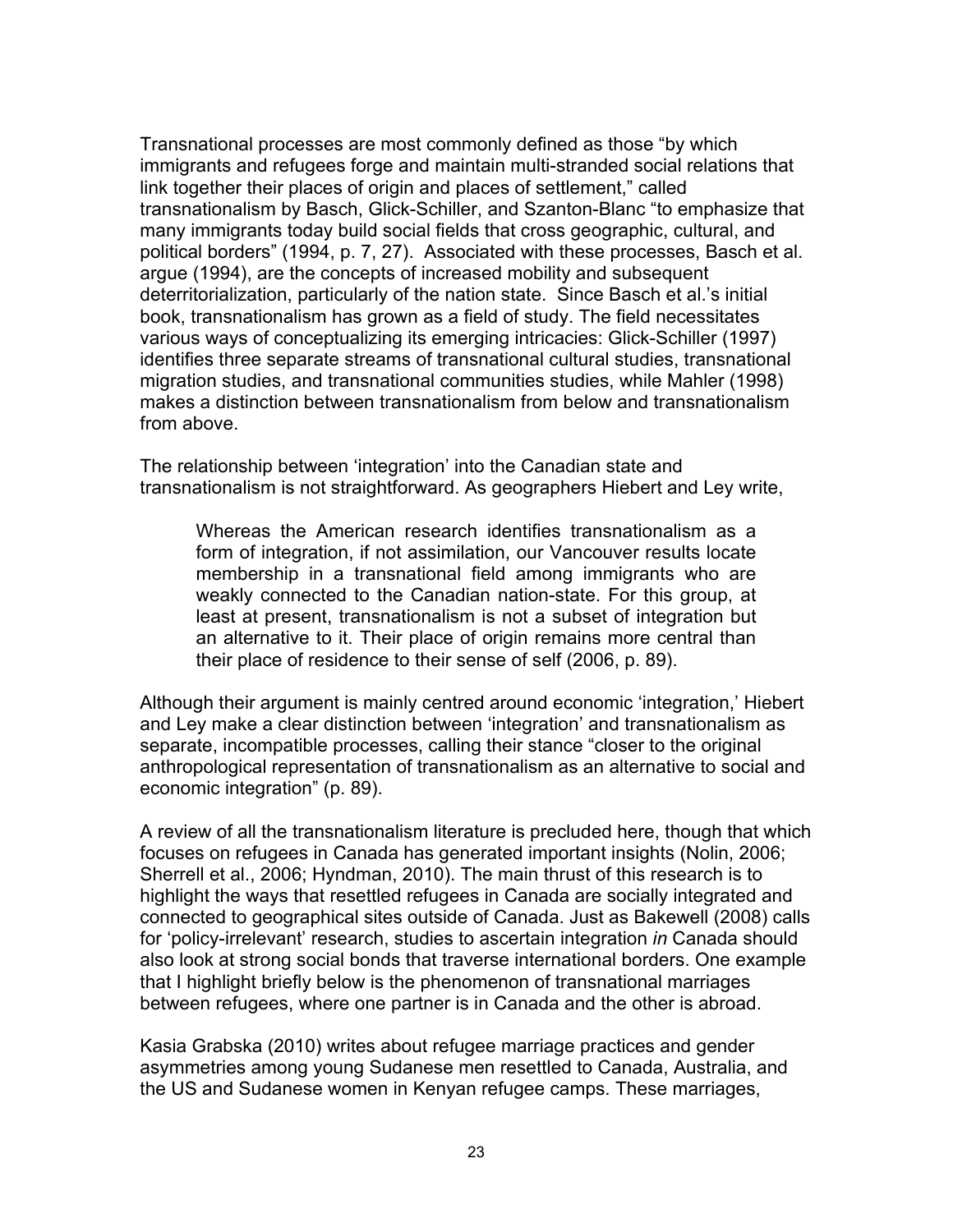Transnational processes are most commonly defined as those "by which immigrants and refugees forge and maintain multi-stranded social relations that link together their places of origin and places of settlement," called transnationalism by Basch, Glick-Schiller, and Szanton-Blanc "to emphasize that many immigrants today build social fields that cross geographic, cultural, and political borders" (1994, p. 7, 27). Associated with these processes, Basch et al. argue (1994), are the concepts of increased mobility and subsequent deterritorialization, particularly of the nation state. Since Basch et al.'s initial book, transnationalism has grown as a field of study. The field necessitates various ways of conceptualizing its emerging intricacies: Glick-Schiller (1997) identifies three separate streams of transnational cultural studies, transnational migration studies, and transnational communities studies, while Mahler (1998) makes a distinction between transnationalism from below and transnationalism from above.

The relationship between 'integration' into the Canadian state and transnationalism is not straightforward. As geographers Hiebert and Ley write,

Whereas the American research identifies transnationalism as a form of integration, if not assimilation, our Vancouver results locate membership in a transnational field among immigrants who are weakly connected to the Canadian nation-state. For this group, at least at present, transnationalism is not a subset of integration but an alternative to it. Their place of origin remains more central than their place of residence to their sense of self (2006, p. 89).

Although their argument is mainly centred around economic 'integration,' Hiebert and Ley make a clear distinction between 'integration' and transnationalism as separate, incompatible processes, calling their stance "closer to the original anthropological representation of transnationalism as an alternative to social and economic integration" (p. 89).

A review of all the transnationalism literature is precluded here, though that which focuses on refugees in Canada has generated important insights (Nolin, 2006; Sherrell et al., 2006; Hyndman, 2010). The main thrust of this research is to highlight the ways that resettled refugees in Canada are socially integrated and connected to geographical sites outside of Canada. Just as Bakewell (2008) calls for 'policy-irrelevant' research, studies to ascertain integration *in* Canada should also look at strong social bonds that traverse international borders. One example that I highlight briefly below is the phenomenon of transnational marriages between refugees, where one partner is in Canada and the other is abroad.

Kasia Grabska (2010) writes about refugee marriage practices and gender asymmetries among young Sudanese men resettled to Canada, Australia, and the US and Sudanese women in Kenyan refugee camps. These marriages,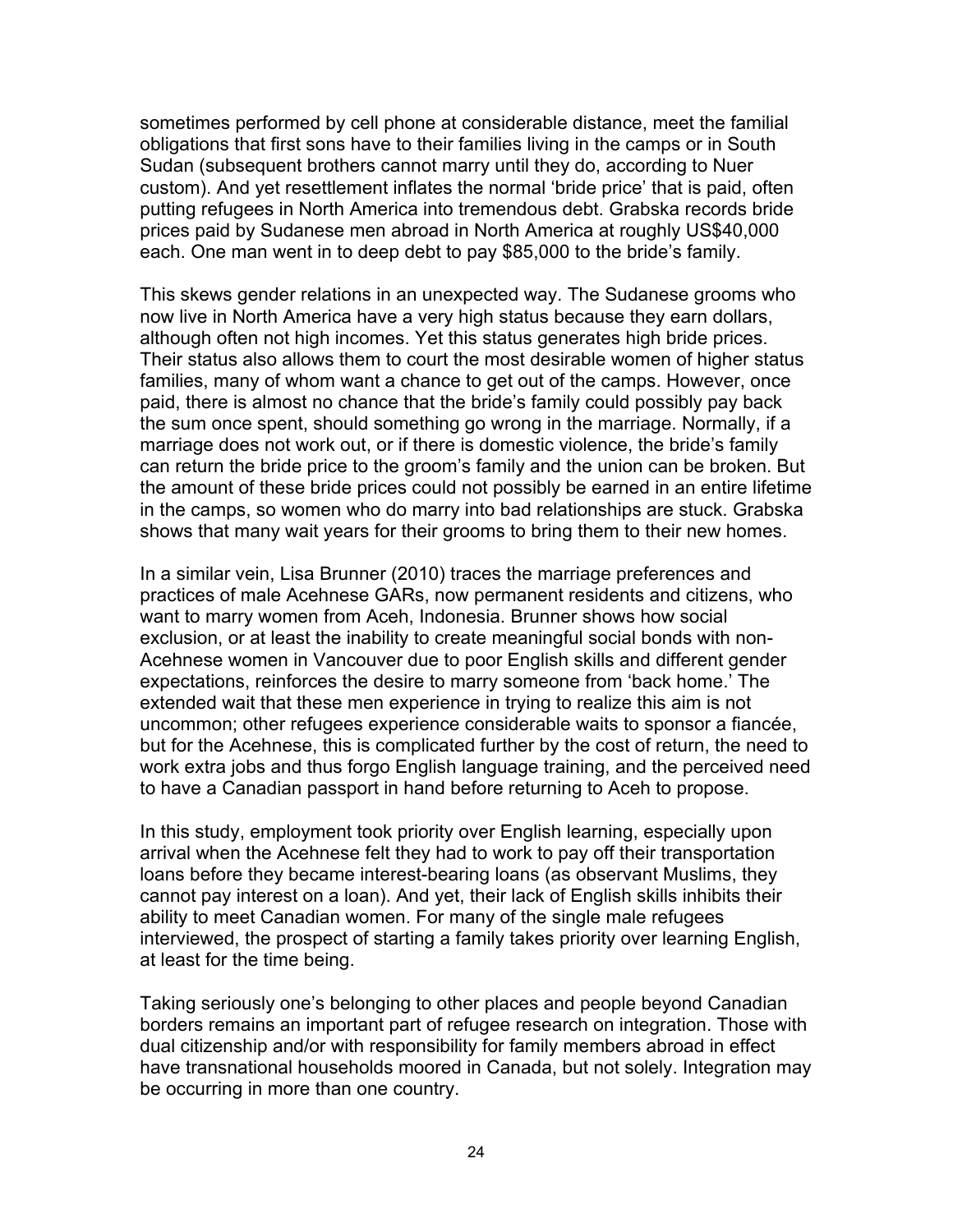sometimes performed by cell phone at considerable distance, meet the familial obligations that first sons have to their families living in the camps or in South Sudan (subsequent brothers cannot marry until they do, according to Nuer custom). And yet resettlement inflates the normal 'bride price' that is paid, often putting refugees in North America into tremendous debt. Grabska records bride prices paid by Sudanese men abroad in North America at roughly US\$40,000 each. One man went in to deep debt to pay \$85,000 to the bride's family.

This skews gender relations in an unexpected way. The Sudanese grooms who now live in North America have a very high status because they earn dollars, although often not high incomes. Yet this status generates high bride prices. Their status also allows them to court the most desirable women of higher status families, many of whom want a chance to get out of the camps. However, once paid, there is almost no chance that the bride's family could possibly pay back the sum once spent, should something go wrong in the marriage. Normally, if a marriage does not work out, or if there is domestic violence, the bride's family can return the bride price to the groom's family and the union can be broken. But the amount of these bride prices could not possibly be earned in an entire lifetime in the camps, so women who do marry into bad relationships are stuck. Grabska shows that many wait years for their grooms to bring them to their new homes.

In a similar vein, Lisa Brunner (2010) traces the marriage preferences and practices of male Acehnese GARs, now permanent residents and citizens, who want to marry women from Aceh, Indonesia. Brunner shows how social exclusion, or at least the inability to create meaningful social bonds with non-Acehnese women in Vancouver due to poor English skills and different gender expectations, reinforces the desire to marry someone from 'back home.' The extended wait that these men experience in trying to realize this aim is not uncommon; other refugees experience considerable waits to sponsor a fiancée, but for the Acehnese, this is complicated further by the cost of return, the need to work extra jobs and thus forgo English language training, and the perceived need to have a Canadian passport in hand before returning to Aceh to propose.

In this study, employment took priority over English learning, especially upon arrival when the Acehnese felt they had to work to pay off their transportation loans before they became interest-bearing loans (as observant Muslims, they cannot pay interest on a loan). And yet, their lack of English skills inhibits their ability to meet Canadian women. For many of the single male refugees interviewed, the prospect of starting a family takes priority over learning English, at least for the time being.

Taking seriously one's belonging to other places and people beyond Canadian borders remains an important part of refugee research on integration. Those with dual citizenship and/or with responsibility for family members abroad in effect have transnational households moored in Canada, but not solely. Integration may be occurring in more than one country.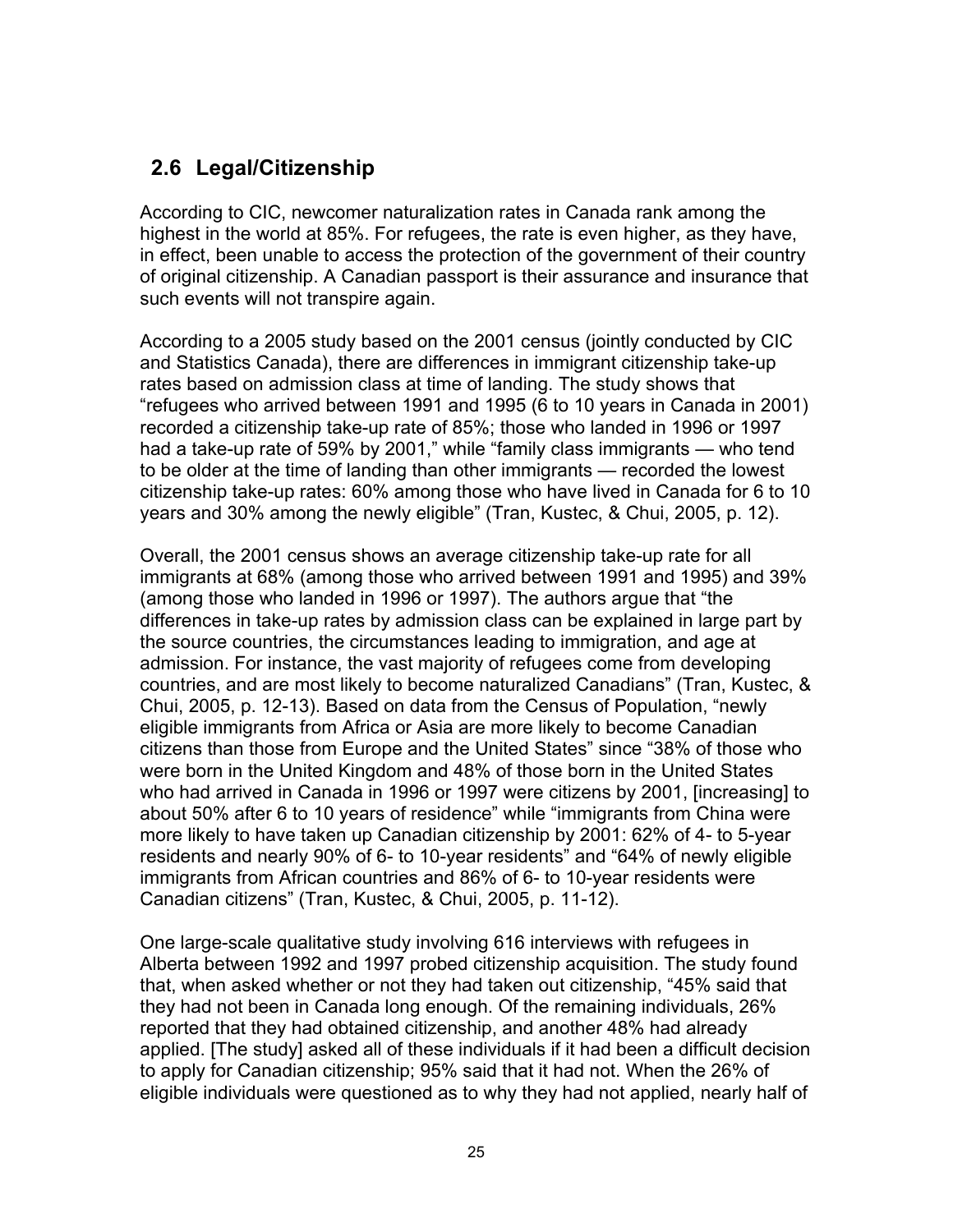### **2.6 Legal/Citizenship**

According to CIC, newcomer naturalization rates in Canada rank among the highest in the world at 85%. For refugees, the rate is even higher, as they have, in effect, been unable to access the protection of the government of their country of original citizenship. A Canadian passport is their assurance and insurance that such events will not transpire again.

According to a 2005 study based on the 2001 census (jointly conducted by CIC and Statistics Canada), there are differences in immigrant citizenship take-up rates based on admission class at time of landing. The study shows that "refugees who arrived between 1991 and 1995 (6 to 10 years in Canada in 2001) recorded a citizenship take-up rate of 85%; those who landed in 1996 or 1997 had a take-up rate of 59% by 2001," while "family class immigrants — who tend to be older at the time of landing than other immigrants — recorded the lowest citizenship take-up rates: 60% among those who have lived in Canada for 6 to 10 years and 30% among the newly eligible" (Tran, Kustec, & Chui, 2005, p. 12).

Overall, the 2001 census shows an average citizenship take-up rate for all immigrants at 68% (among those who arrived between 1991 and 1995) and 39% (among those who landed in 1996 or 1997). The authors argue that "the differences in take-up rates by admission class can be explained in large part by the source countries, the circumstances leading to immigration, and age at admission. For instance, the vast majority of refugees come from developing countries, and are most likely to become naturalized Canadians" (Tran, Kustec, & Chui, 2005, p. 12-13). Based on data from the Census of Population, "newly eligible immigrants from Africa or Asia are more likely to become Canadian citizens than those from Europe and the United States" since "38% of those who were born in the United Kingdom and 48% of those born in the United States who had arrived in Canada in 1996 or 1997 were citizens by 2001, [increasing] to about 50% after 6 to 10 years of residence" while "immigrants from China were more likely to have taken up Canadian citizenship by 2001: 62% of 4- to 5-year residents and nearly 90% of 6- to 10-year residents" and "64% of newly eligible immigrants from African countries and 86% of 6- to 10-year residents were Canadian citizens" (Tran, Kustec, & Chui, 2005, p. 11-12).

One large-scale qualitative study involving 616 interviews with refugees in Alberta between 1992 and 1997 probed citizenship acquisition. The study found that, when asked whether or not they had taken out citizenship, "45% said that they had not been in Canada long enough. Of the remaining individuals, 26% reported that they had obtained citizenship, and another 48% had already applied. [The study] asked all of these individuals if it had been a difficult decision to apply for Canadian citizenship; 95% said that it had not. When the 26% of eligible individuals were questioned as to why they had not applied, nearly half of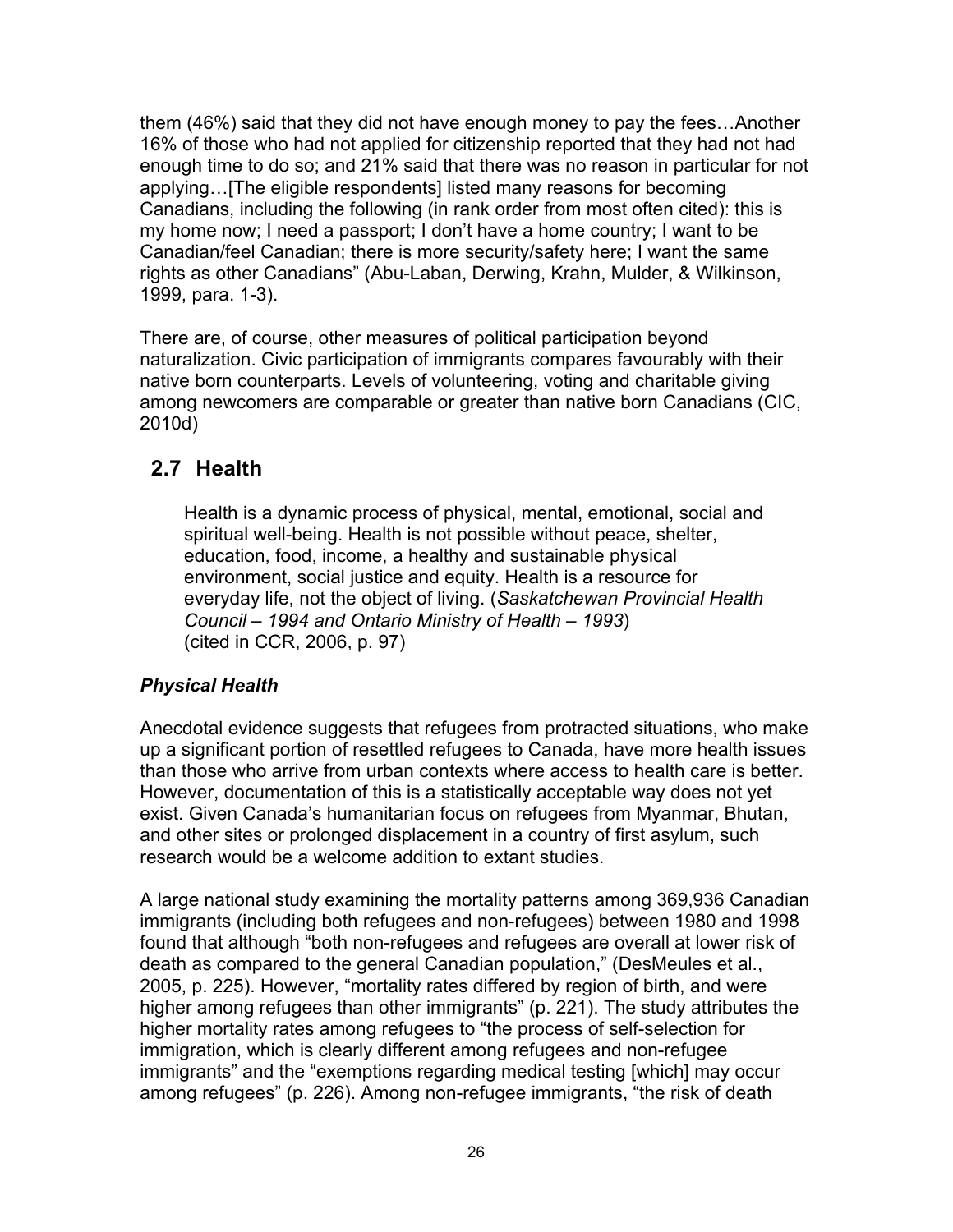them (46%) said that they did not have enough money to pay the fees…Another 16% of those who had not applied for citizenship reported that they had not had enough time to do so; and 21% said that there was no reason in particular for not applying…[The eligible respondents] listed many reasons for becoming Canadians, including the following (in rank order from most often cited): this is my home now; I need a passport; I don't have a home country; I want to be Canadian/feel Canadian; there is more security/safety here; I want the same rights as other Canadians" (Abu-Laban, Derwing, Krahn, Mulder, & Wilkinson, 1999, para. 1-3).

There are, of course, other measures of political participation beyond naturalization. Civic participation of immigrants compares favourably with their native born counterparts. Levels of volunteering, voting and charitable giving among newcomers are comparable or greater than native born Canadians (CIC, 2010d)

### **2.7 Health**

Health is a dynamic process of physical, mental, emotional, social and spiritual well-being. Health is not possible without peace, shelter, education, food, income, a healthy and sustainable physical environment, social justice and equity. Health is a resource for everyday life, not the object of living. (*Saskatchewan Provincial Health Council – 1994 and Ontario Ministry of Health – 1993*) (cited in CCR, 2006, p. 97)

### *Physical Health*

Anecdotal evidence suggests that refugees from protracted situations, who make up a significant portion of resettled refugees to Canada, have more health issues than those who arrive from urban contexts where access to health care is better. However, documentation of this is a statistically acceptable way does not yet exist. Given Canada's humanitarian focus on refugees from Myanmar, Bhutan, and other sites or prolonged displacement in a country of first asylum, such research would be a welcome addition to extant studies.

A large national study examining the mortality patterns among 369,936 Canadian immigrants (including both refugees and non-refugees) between 1980 and 1998 found that although "both non-refugees and refugees are overall at lower risk of death as compared to the general Canadian population," (DesMeules et al., 2005, p. 225). However, "mortality rates differed by region of birth, and were higher among refugees than other immigrants" (p. 221). The study attributes the higher mortality rates among refugees to "the process of self-selection for immigration, which is clearly different among refugees and non-refugee immigrants" and the "exemptions regarding medical testing [which] may occur among refugees" (p. 226). Among non-refugee immigrants, "the risk of death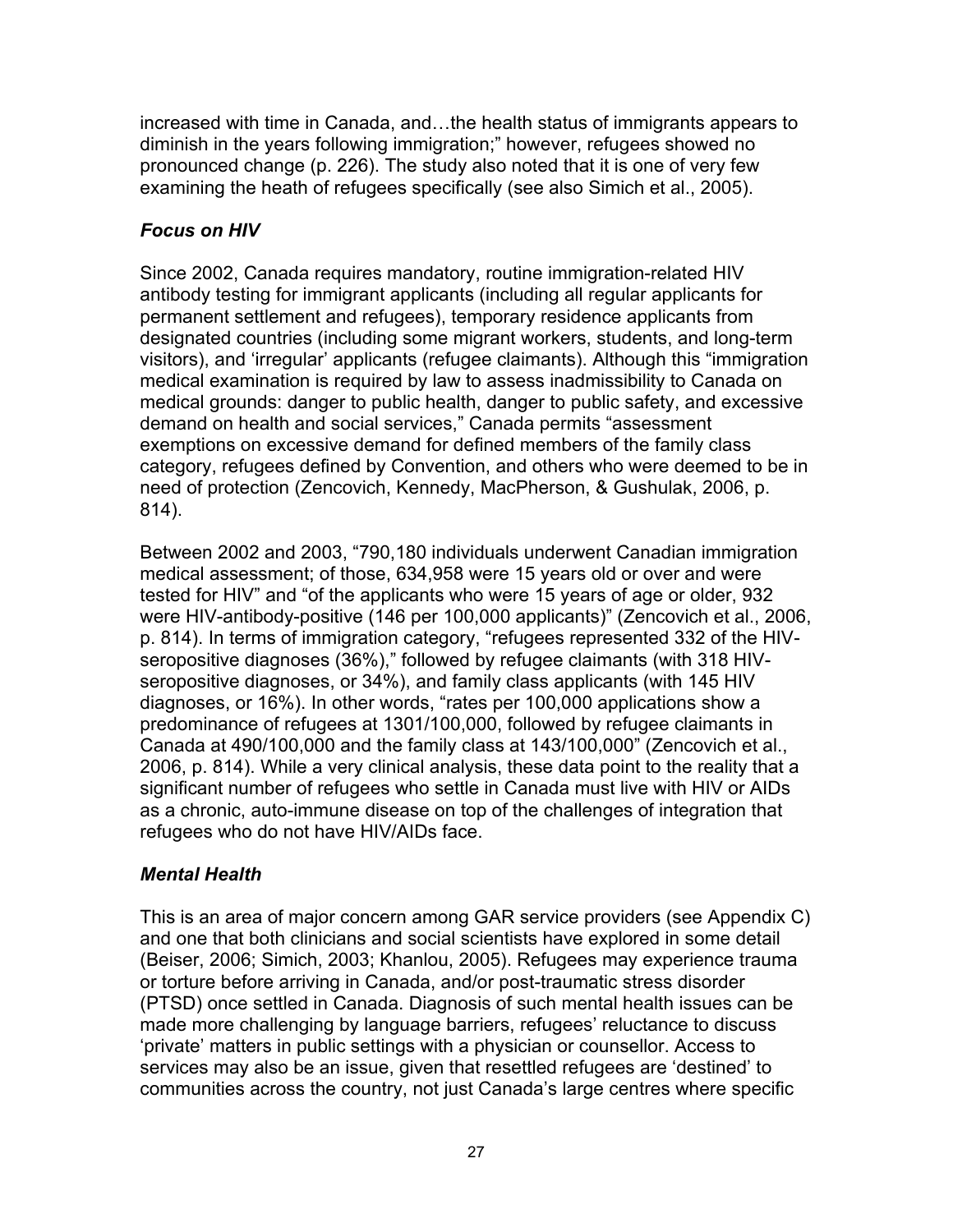increased with time in Canada, and…the health status of immigrants appears to diminish in the years following immigration;" however, refugees showed no pronounced change (p. 226). The study also noted that it is one of very few examining the heath of refugees specifically (see also Simich et al., 2005).

### *Focus on HIV*

Since 2002, Canada requires mandatory, routine immigration-related HIV antibody testing for immigrant applicants (including all regular applicants for permanent settlement and refugees), temporary residence applicants from designated countries (including some migrant workers, students, and long-term visitors), and 'irregular' applicants (refugee claimants). Although this "immigration medical examination is required by law to assess inadmissibility to Canada on medical grounds: danger to public health, danger to public safety, and excessive demand on health and social services," Canada permits "assessment exemptions on excessive demand for defined members of the family class category, refugees defined by Convention, and others who were deemed to be in need of protection (Zencovich, Kennedy, MacPherson, & Gushulak, 2006, p. 814).

Between 2002 and 2003, "790,180 individuals underwent Canadian immigration medical assessment; of those, 634,958 were 15 years old or over and were tested for HIV" and "of the applicants who were 15 years of age or older, 932 were HIV-antibody-positive (146 per 100,000 applicants)" (Zencovich et al., 2006, p. 814). In terms of immigration category, "refugees represented 332 of the HIVseropositive diagnoses (36%)," followed by refugee claimants (with 318 HIVseropositive diagnoses, or 34%), and family class applicants (with 145 HIV diagnoses, or 16%). In other words, "rates per 100,000 applications show a predominance of refugees at 1301/100,000, followed by refugee claimants in Canada at 490/100,000 and the family class at 143/100,000" (Zencovich et al., 2006, p. 814). While a very clinical analysis, these data point to the reality that a significant number of refugees who settle in Canada must live with HIV or AIDs as a chronic, auto-immune disease on top of the challenges of integration that refugees who do not have HIV/AIDs face.

### *Mental Health*

This is an area of major concern among GAR service providers (see Appendix C) and one that both clinicians and social scientists have explored in some detail (Beiser, 2006; Simich, 2003; Khanlou, 2005). Refugees may experience trauma or torture before arriving in Canada, and/or post-traumatic stress disorder (PTSD) once settled in Canada. Diagnosis of such mental health issues can be made more challenging by language barriers, refugees' reluctance to discuss 'private' matters in public settings with a physician or counsellor. Access to services may also be an issue, given that resettled refugees are 'destined' to communities across the country, not just Canada's large centres where specific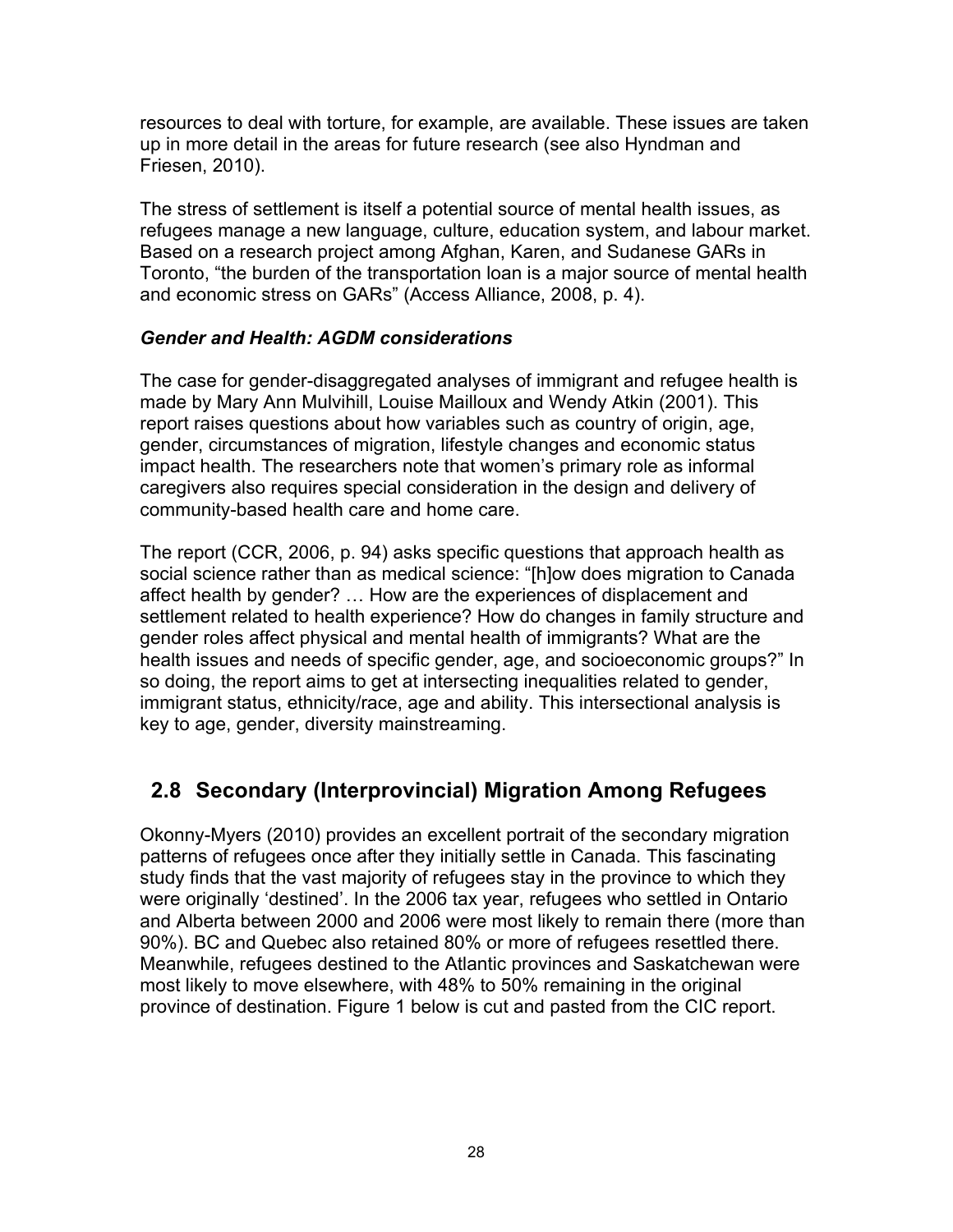resources to deal with torture, for example, are available. These issues are taken up in more detail in the areas for future research (see also Hyndman and Friesen, 2010).

The stress of settlement is itself a potential source of mental health issues, as refugees manage a new language, culture, education system, and labour market. Based on a research project among Afghan, Karen, and Sudanese GARs in Toronto, "the burden of the transportation loan is a major source of mental health and economic stress on GARs" (Access Alliance, 2008, p. 4).

#### *Gender and Health: AGDM considerations*

The case for gender-disaggregated analyses of immigrant and refugee health is made by Mary Ann Mulvihill, Louise Mailloux and Wendy Atkin (2001). This report raises questions about how variables such as country of origin, age, gender, circumstances of migration, lifestyle changes and economic status impact health. The researchers note that women's primary role as informal caregivers also requires special consideration in the design and delivery of community-based health care and home care.

The report (CCR, 2006, p. 94) asks specific questions that approach health as social science rather than as medical science: "[h]ow does migration to Canada affect health by gender? … How are the experiences of displacement and settlement related to health experience? How do changes in family structure and gender roles affect physical and mental health of immigrants? What are the health issues and needs of specific gender, age, and socioeconomic groups?" In so doing, the report aims to get at intersecting inequalities related to gender, immigrant status, ethnicity/race, age and ability. This intersectional analysis is key to age, gender, diversity mainstreaming.

### **2.8 Secondary (Interprovincial) Migration Among Refugees**

Okonny-Myers (2010) provides an excellent portrait of the secondary migration patterns of refugees once after they initially settle in Canada. This fascinating study finds that the vast majority of refugees stay in the province to which they were originally 'destined'. In the 2006 tax year, refugees who settled in Ontario and Alberta between 2000 and 2006 were most likely to remain there (more than 90%). BC and Quebec also retained 80% or more of refugees resettled there. Meanwhile, refugees destined to the Atlantic provinces and Saskatchewan were most likely to move elsewhere, with 48% to 50% remaining in the original province of destination. Figure 1 below is cut and pasted from the CIC report.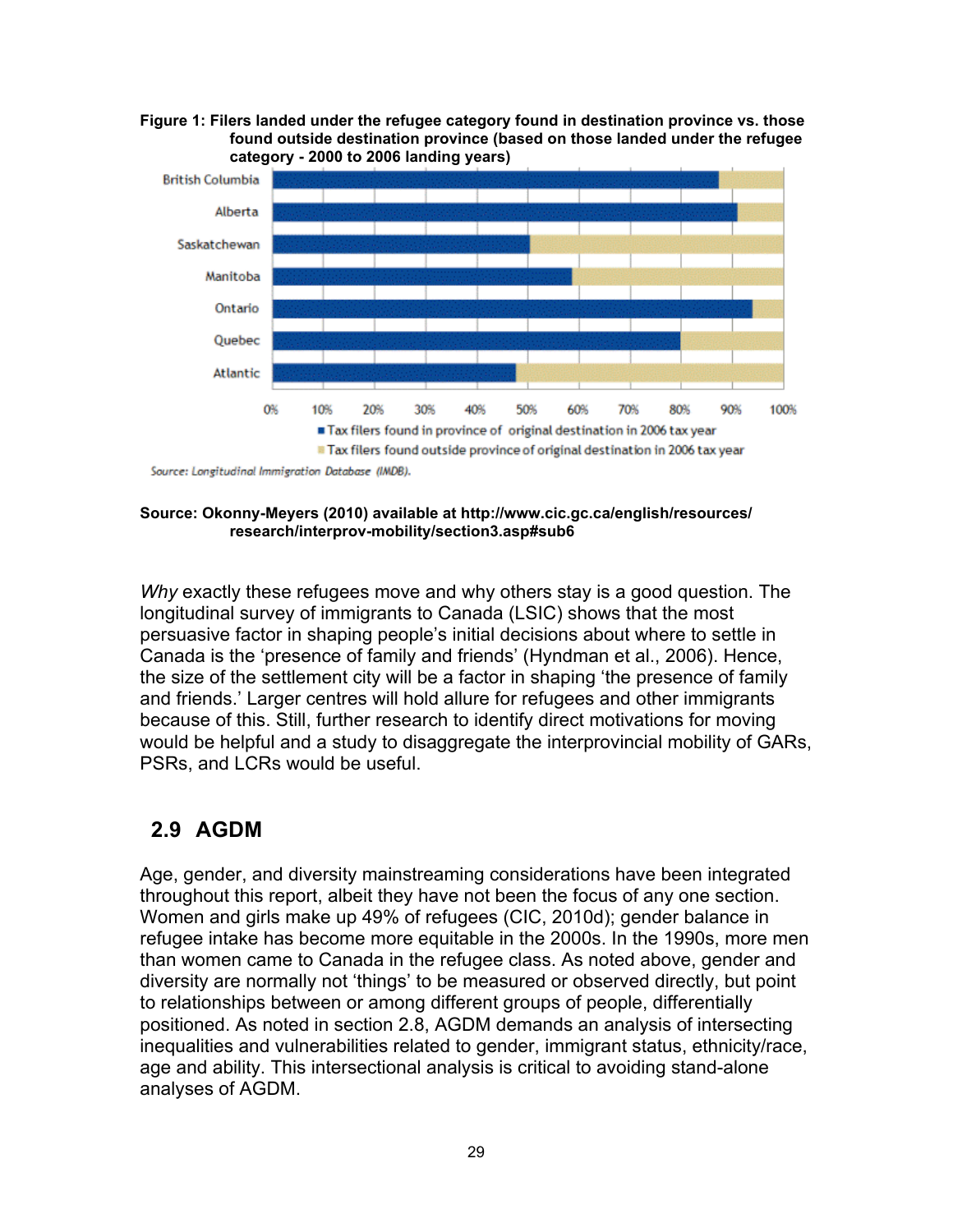**Figure 1: Filers landed under the refugee category found in destination province vs. those found outside destination province (based on those landed under the refugee category - 2000 to 2006 landing years)**



**Source: Okonny-Meyers (2010) available at http://www.cic.gc.ca/english/resources/ research/interprov-mobility/section3.asp#sub6**

*Why* exactly these refugees move and why others stay is a good question. The longitudinal survey of immigrants to Canada (LSIC) shows that the most persuasive factor in shaping people's initial decisions about where to settle in Canada is the 'presence of family and friends' (Hyndman et al., 2006). Hence, the size of the settlement city will be a factor in shaping 'the presence of family and friends.' Larger centres will hold allure for refugees and other immigrants because of this. Still, further research to identify direct motivations for moving would be helpful and a study to disaggregate the interprovincial mobility of GARs, PSRs, and LCRs would be useful.

### **2.9 AGDM**

Age, gender, and diversity mainstreaming considerations have been integrated throughout this report, albeit they have not been the focus of any one section. Women and girls make up 49% of refugees (CIC, 2010d); gender balance in refugee intake has become more equitable in the 2000s. In the 1990s, more men than women came to Canada in the refugee class. As noted above, gender and diversity are normally not 'things' to be measured or observed directly, but point to relationships between or among different groups of people, differentially positioned. As noted in section 2.8, AGDM demands an analysis of intersecting inequalities and vulnerabilities related to gender, immigrant status, ethnicity/race, age and ability. This intersectional analysis is critical to avoiding stand-alone analyses of AGDM.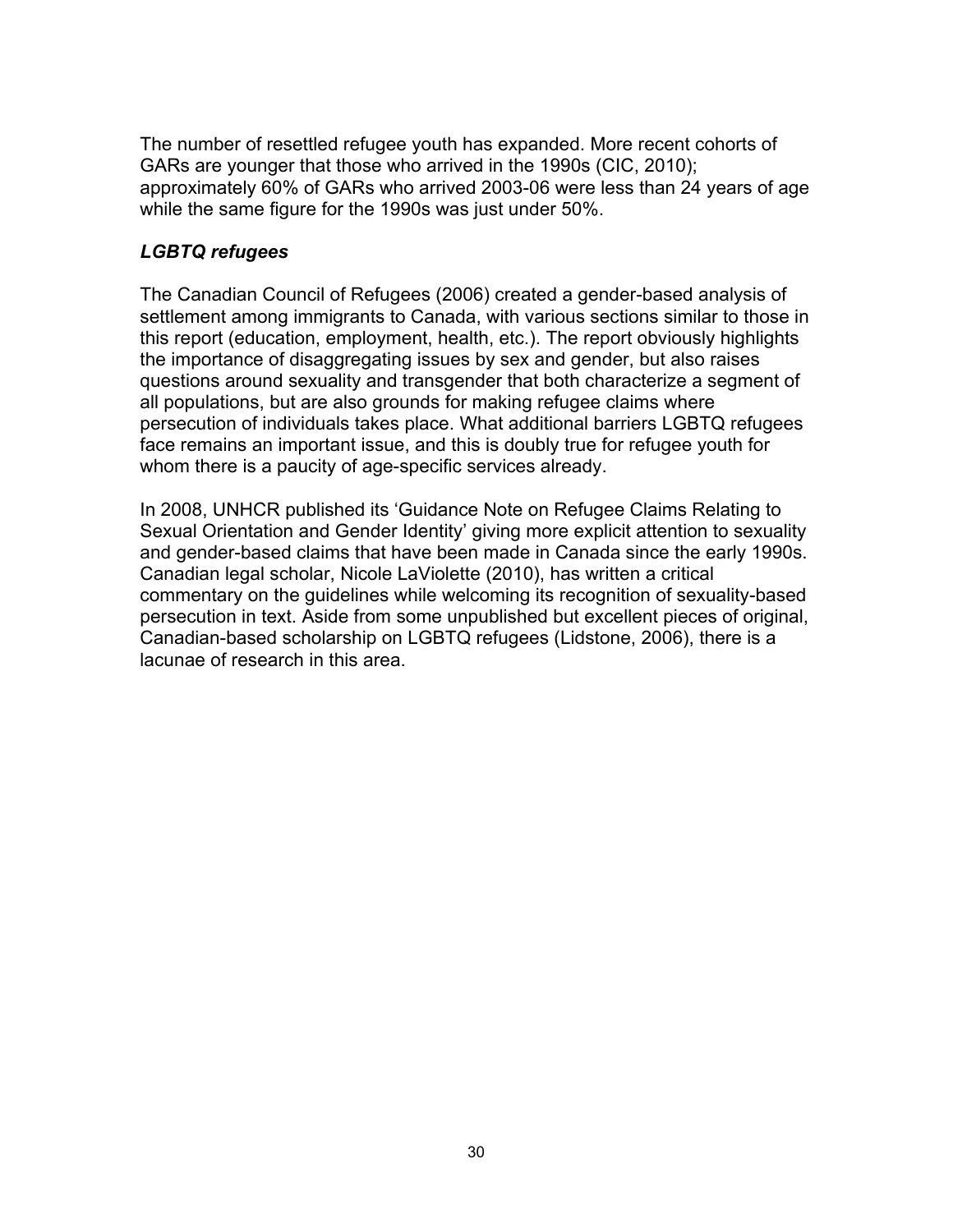The number of resettled refugee youth has expanded. More recent cohorts of GARs are younger that those who arrived in the 1990s (CIC, 2010); approximately 60% of GARs who arrived 2003-06 were less than 24 years of age while the same figure for the 1990s was just under 50%.

### *LGBTQ refugees*

The Canadian Council of Refugees (2006) created a gender-based analysis of settlement among immigrants to Canada, with various sections similar to those in this report (education, employment, health, etc.). The report obviously highlights the importance of disaggregating issues by sex and gender, but also raises questions around sexuality and transgender that both characterize a segment of all populations, but are also grounds for making refugee claims where persecution of individuals takes place. What additional barriers LGBTQ refugees face remains an important issue, and this is doubly true for refugee youth for whom there is a paucity of age-specific services already.

In 2008, UNHCR published its 'Guidance Note on Refugee Claims Relating to Sexual Orientation and Gender Identity' giving more explicit attention to sexuality and gender-based claims that have been made in Canada since the early 1990s. Canadian legal scholar, Nicole LaViolette (2010), has written a critical commentary on the guidelines while welcoming its recognition of sexuality-based persecution in text. Aside from some unpublished but excellent pieces of original, Canadian-based scholarship on LGBTQ refugees (Lidstone, 2006), there is a lacunae of research in this area.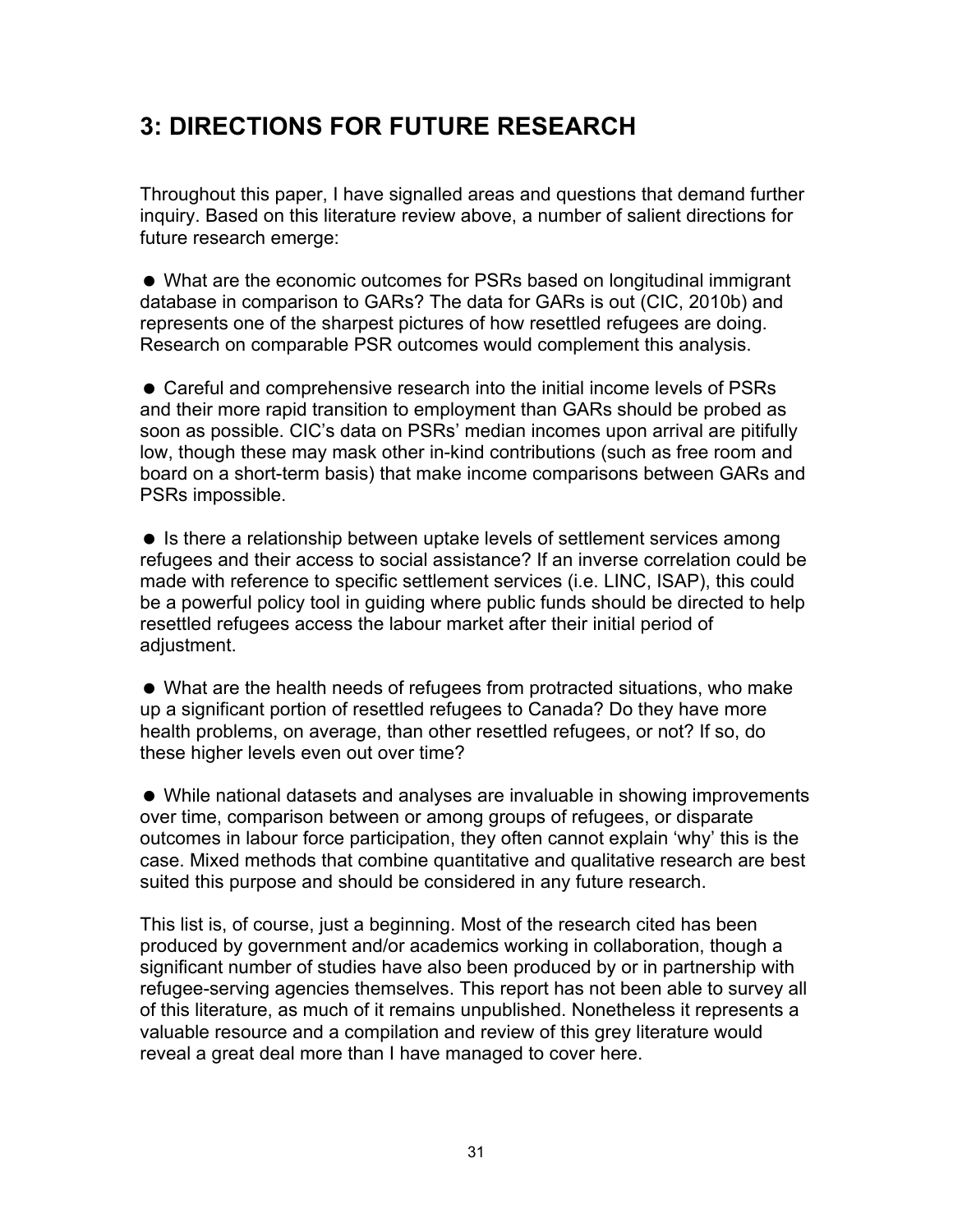## **3: DIRECTIONS FOR FUTURE RESEARCH**

Throughout this paper, I have signalled areas and questions that demand further inquiry. Based on this literature review above, a number of salient directions for future research emerge:

 What are the economic outcomes for PSRs based on longitudinal immigrant database in comparison to GARs? The data for GARs is out (CIC, 2010b) and represents one of the sharpest pictures of how resettled refugees are doing. Research on comparable PSR outcomes would complement this analysis.

 Careful and comprehensive research into the initial income levels of PSRs and their more rapid transition to employment than GARs should be probed as soon as possible. CIC's data on PSRs' median incomes upon arrival are pitifully low, though these may mask other in-kind contributions (such as free room and board on a short-term basis) that make income comparisons between GARs and PSRs impossible.

• Is there a relationship between uptake levels of settlement services among refugees and their access to social assistance? If an inverse correlation could be made with reference to specific settlement services (i.e. LINC, ISAP), this could be a powerful policy tool in guiding where public funds should be directed to help resettled refugees access the labour market after their initial period of adjustment.

 What are the health needs of refugees from protracted situations, who make up a significant portion of resettled refugees to Canada? Do they have more health problems, on average, than other resettled refugees, or not? If so, do these higher levels even out over time?

 While national datasets and analyses are invaluable in showing improvements over time, comparison between or among groups of refugees, or disparate outcomes in labour force participation, they often cannot explain 'why' this is the case. Mixed methods that combine quantitative and qualitative research are best suited this purpose and should be considered in any future research.

This list is, of course, just a beginning. Most of the research cited has been produced by government and/or academics working in collaboration, though a significant number of studies have also been produced by or in partnership with refugee-serving agencies themselves. This report has not been able to survey all of this literature, as much of it remains unpublished. Nonetheless it represents a valuable resource and a compilation and review of this grey literature would reveal a great deal more than I have managed to cover here.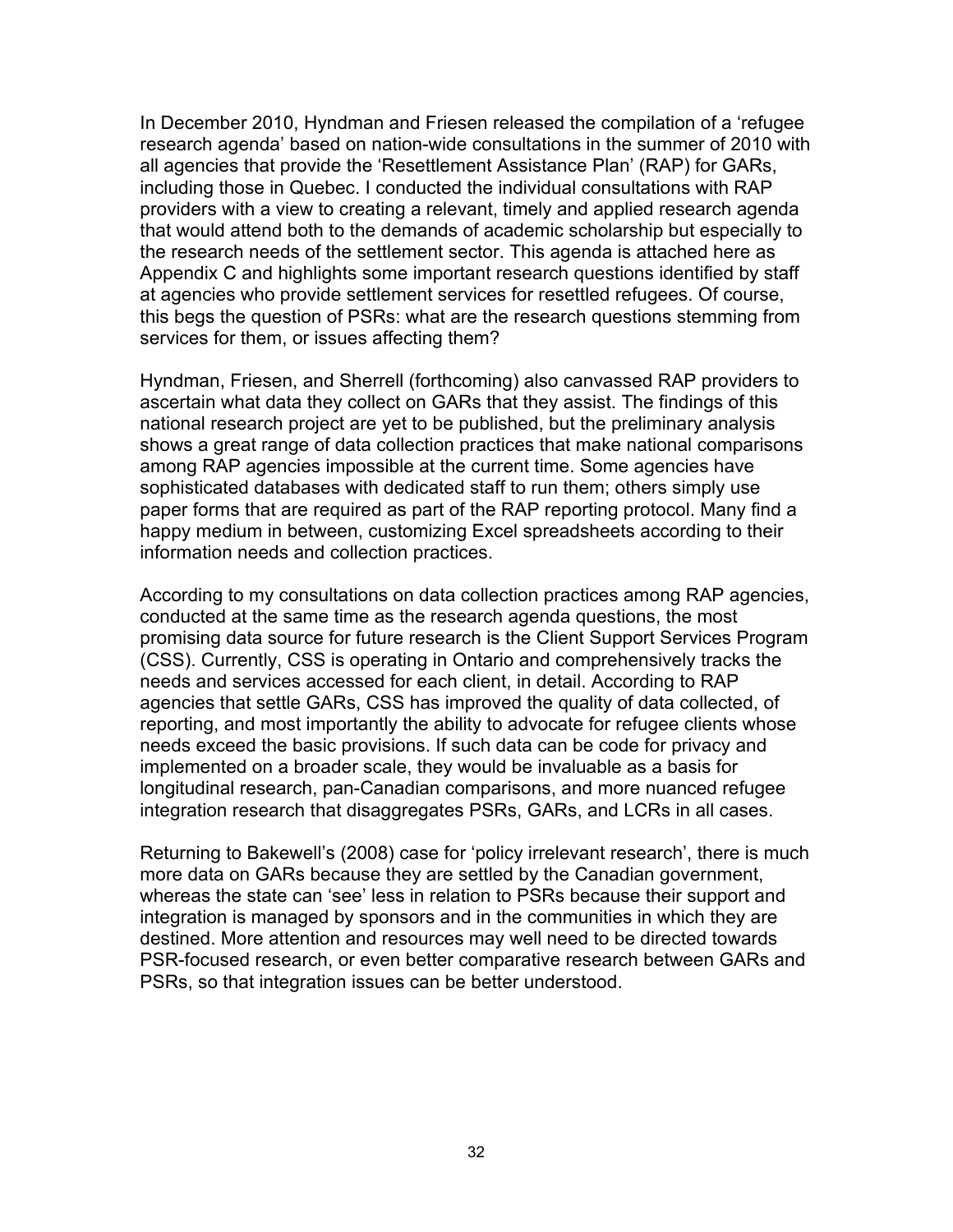In December 2010, Hyndman and Friesen released the compilation of a 'refugee research agenda' based on nation-wide consultations in the summer of 2010 with all agencies that provide the 'Resettlement Assistance Plan' (RAP) for GARs, including those in Quebec. I conducted the individual consultations with RAP providers with a view to creating a relevant, timely and applied research agenda that would attend both to the demands of academic scholarship but especially to the research needs of the settlement sector. This agenda is attached here as Appendix C and highlights some important research questions identified by staff at agencies who provide settlement services for resettled refugees. Of course, this begs the question of PSRs: what are the research questions stemming from services for them, or issues affecting them?

Hyndman, Friesen, and Sherrell (forthcoming) also canvassed RAP providers to ascertain what data they collect on GARs that they assist. The findings of this national research project are yet to be published, but the preliminary analysis shows a great range of data collection practices that make national comparisons among RAP agencies impossible at the current time. Some agencies have sophisticated databases with dedicated staff to run them; others simply use paper forms that are required as part of the RAP reporting protocol. Many find a happy medium in between, customizing Excel spreadsheets according to their information needs and collection practices.

According to my consultations on data collection practices among RAP agencies, conducted at the same time as the research agenda questions, the most promising data source for future research is the Client Support Services Program (CSS). Currently, CSS is operating in Ontario and comprehensively tracks the needs and services accessed for each client, in detail. According to RAP agencies that settle GARs, CSS has improved the quality of data collected, of reporting, and most importantly the ability to advocate for refugee clients whose needs exceed the basic provisions. If such data can be code for privacy and implemented on a broader scale, they would be invaluable as a basis for longitudinal research, pan-Canadian comparisons, and more nuanced refugee integration research that disaggregates PSRs, GARs, and LCRs in all cases.

Returning to Bakewell's (2008) case for 'policy irrelevant research', there is much more data on GARs because they are settled by the Canadian government, whereas the state can 'see' less in relation to PSRs because their support and integration is managed by sponsors and in the communities in which they are destined. More attention and resources may well need to be directed towards PSR-focused research, or even better comparative research between GARs and PSRs, so that integration issues can be better understood.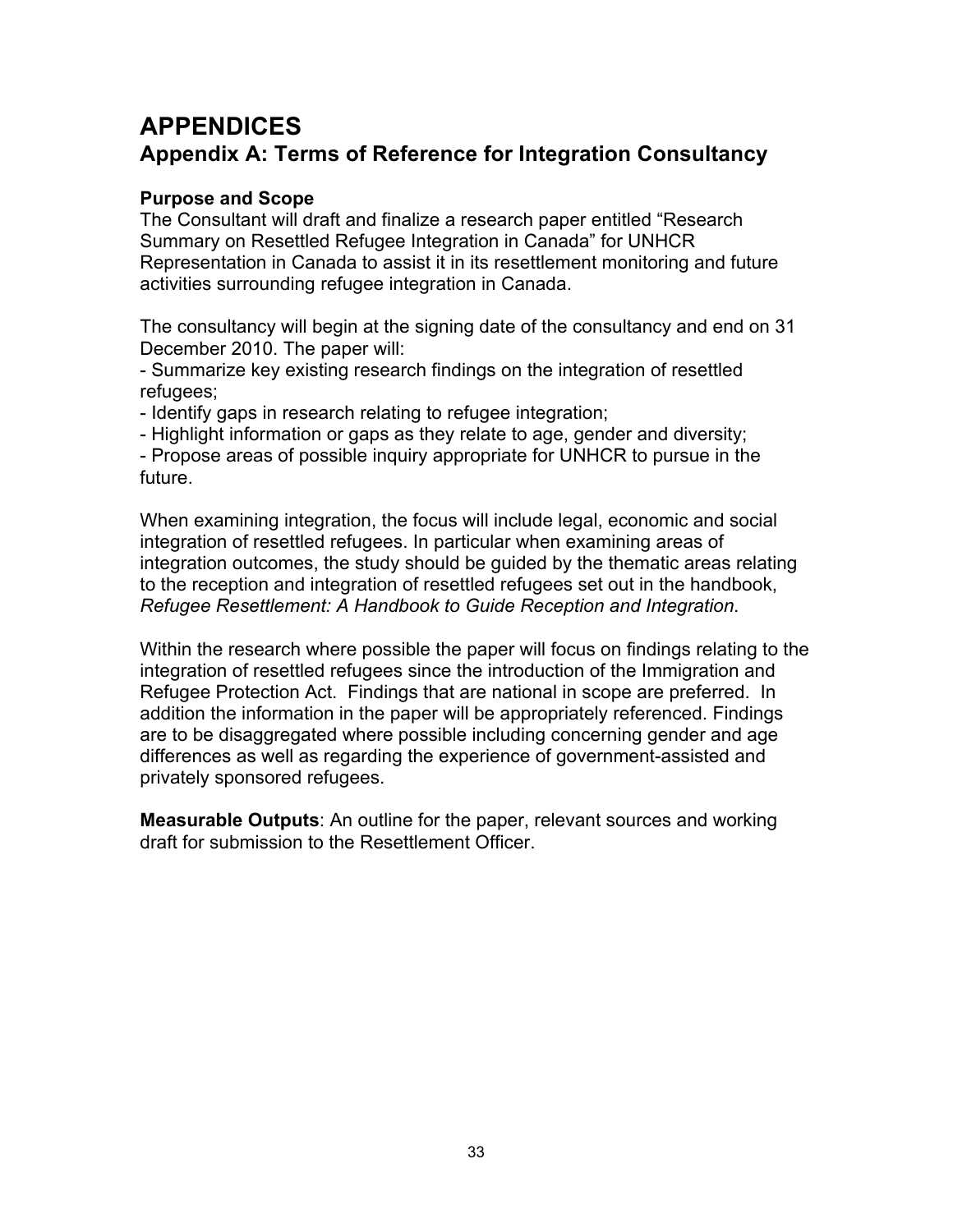## **APPENDICES Appendix A: Terms of Reference for Integration Consultancy**

### **Purpose and Scope**

The Consultant will draft and finalize a research paper entitled "Research Summary on Resettled Refugee Integration in Canada" for UNHCR Representation in Canada to assist it in its resettlement monitoring and future activities surrounding refugee integration in Canada.

The consultancy will begin at the signing date of the consultancy and end on 31 December 2010. The paper will:

- Summarize key existing research findings on the integration of resettled refugees;

- Identify gaps in research relating to refugee integration;

- Highlight information or gaps as they relate to age, gender and diversity;

- Propose areas of possible inquiry appropriate for UNHCR to pursue in the future.

When examining integration, the focus will include legal, economic and social integration of resettled refugees. In particular when examining areas of integration outcomes, the study should be guided by the thematic areas relating to the reception and integration of resettled refugees set out in the handbook, *Refugee Resettlement: A Handbook to Guide Reception and Integration*.

Within the research where possible the paper will focus on findings relating to the integration of resettled refugees since the introduction of the Immigration and Refugee Protection Act. Findings that are national in scope are preferred. In addition the information in the paper will be appropriately referenced. Findings are to be disaggregated where possible including concerning gender and age differences as well as regarding the experience of government-assisted and privately sponsored refugees.

**Measurable Outputs**: An outline for the paper, relevant sources and working draft for submission to the Resettlement Officer.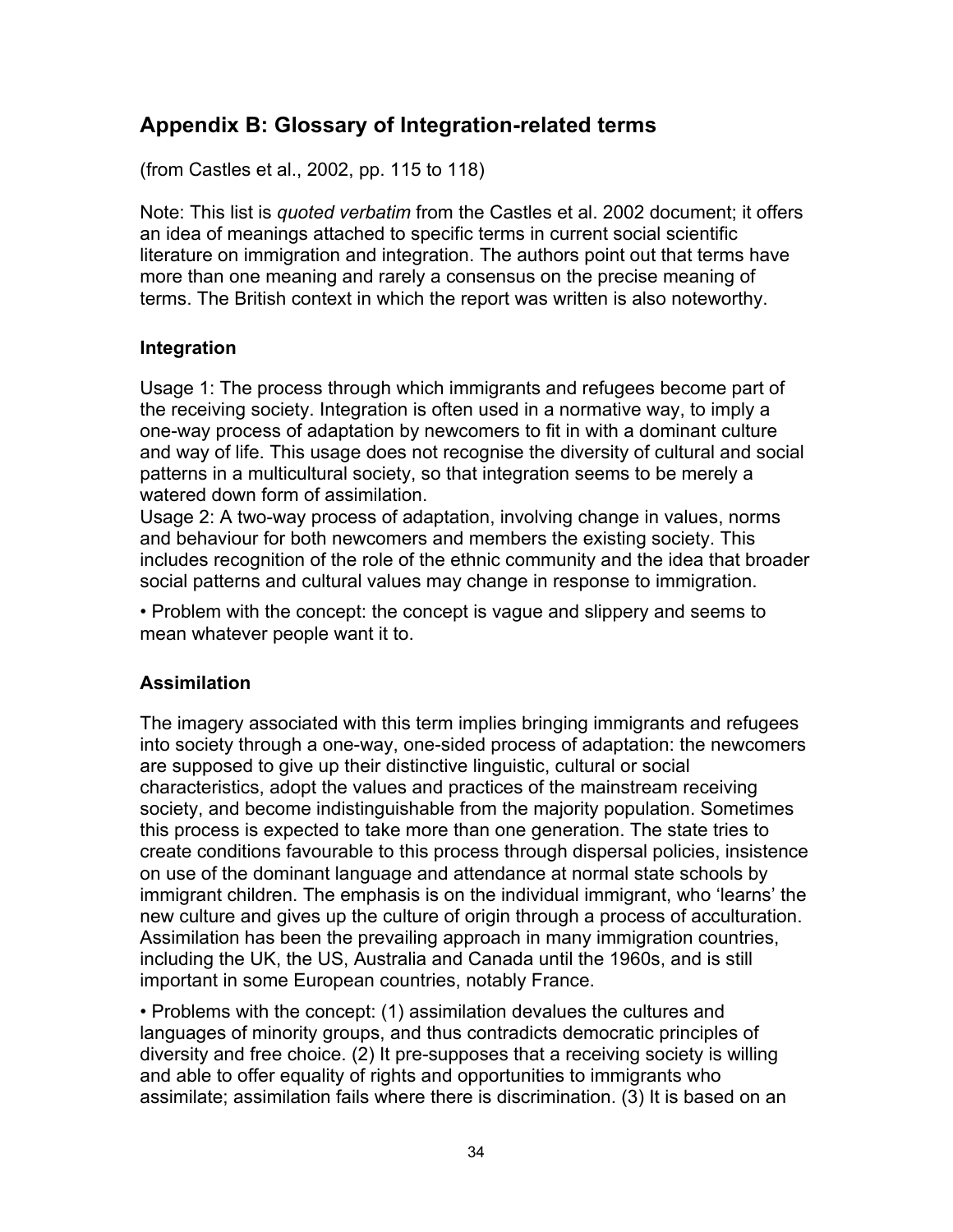### **Appendix B: Glossary of Integration-related terms**

(from Castles et al., 2002, pp. 115 to 118)

Note: This list is *quoted verbatim* from the Castles et al. 2002 document; it offers an idea of meanings attached to specific terms in current social scientific literature on immigration and integration. The authors point out that terms have more than one meaning and rarely a consensus on the precise meaning of terms. The British context in which the report was written is also noteworthy.

### **Integration**

Usage 1: The process through which immigrants and refugees become part of the receiving society. Integration is often used in a normative way, to imply a one-way process of adaptation by newcomers to fit in with a dominant culture and way of life. This usage does not recognise the diversity of cultural and social patterns in a multicultural society, so that integration seems to be merely a watered down form of assimilation.

Usage 2: A two-way process of adaptation, involving change in values, norms and behaviour for both newcomers and members the existing society. This includes recognition of the role of the ethnic community and the idea that broader social patterns and cultural values may change in response to immigration.

• Problem with the concept: the concept is vague and slippery and seems to mean whatever people want it to.

### **Assimilation**

The imagery associated with this term implies bringing immigrants and refugees into society through a one-way, one-sided process of adaptation: the newcomers are supposed to give up their distinctive linguistic, cultural or social characteristics, adopt the values and practices of the mainstream receiving society, and become indistinguishable from the majority population. Sometimes this process is expected to take more than one generation. The state tries to create conditions favourable to this process through dispersal policies, insistence on use of the dominant language and attendance at normal state schools by immigrant children. The emphasis is on the individual immigrant, who 'learns' the new culture and gives up the culture of origin through a process of acculturation. Assimilation has been the prevailing approach in many immigration countries, including the UK, the US, Australia and Canada until the 1960s, and is still important in some European countries, notably France.

• Problems with the concept: (1) assimilation devalues the cultures and languages of minority groups, and thus contradicts democratic principles of diversity and free choice. (2) It pre-supposes that a receiving society is willing and able to offer equality of rights and opportunities to immigrants who assimilate; assimilation fails where there is discrimination. (3) It is based on an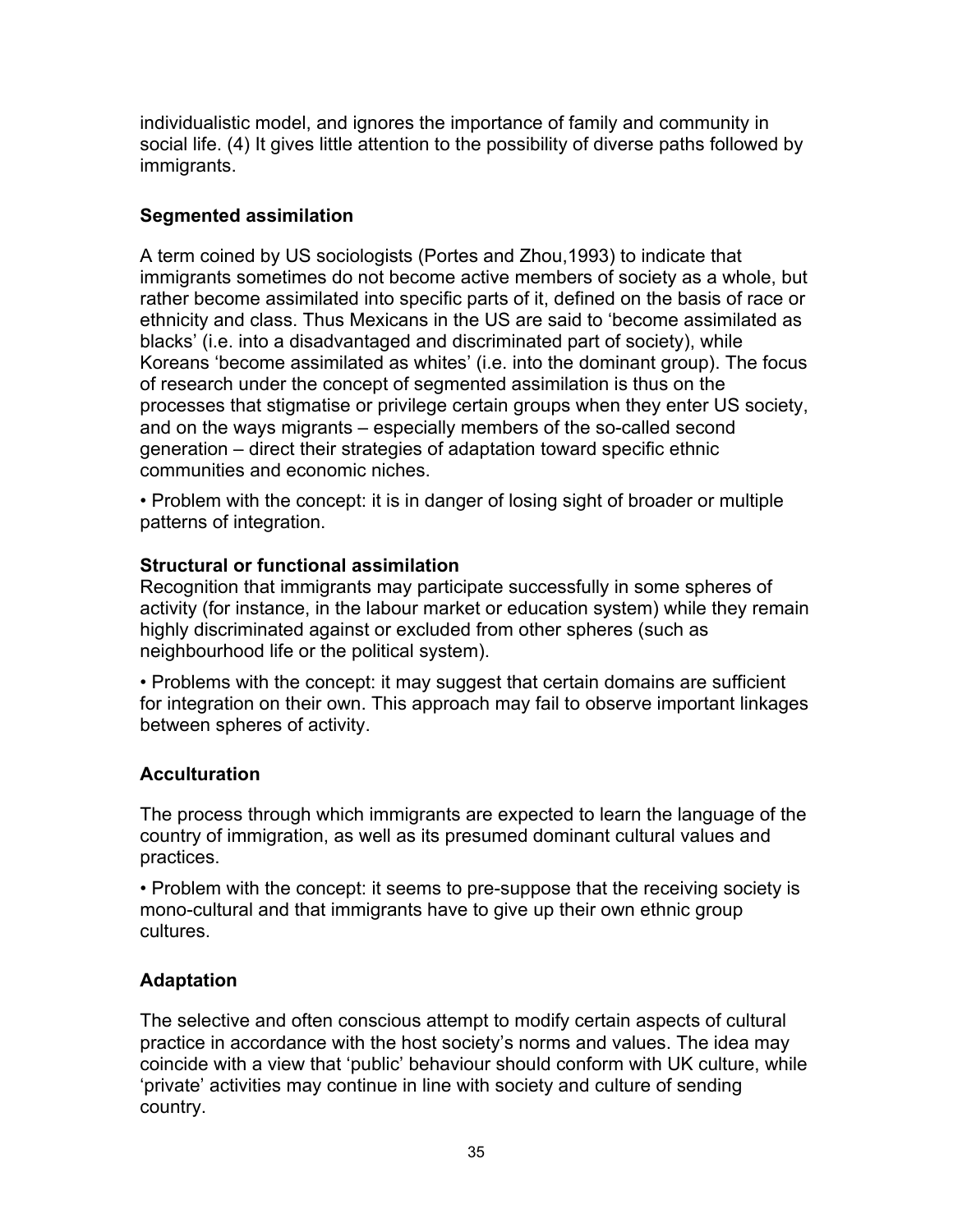individualistic model, and ignores the importance of family and community in social life. (4) It gives little attention to the possibility of diverse paths followed by immigrants.

### **Segmented assimilation**

A term coined by US sociologists (Portes and Zhou,1993) to indicate that immigrants sometimes do not become active members of society as a whole, but rather become assimilated into specific parts of it, defined on the basis of race or ethnicity and class. Thus Mexicans in the US are said to 'become assimilated as blacks' (i.e. into a disadvantaged and discriminated part of society), while Koreans 'become assimilated as whites' (i.e. into the dominant group). The focus of research under the concept of segmented assimilation is thus on the processes that stigmatise or privilege certain groups when they enter US society, and on the ways migrants – especially members of the so-called second generation – direct their strategies of adaptation toward specific ethnic communities and economic niches.

• Problem with the concept: it is in danger of losing sight of broader or multiple patterns of integration.

### **Structural or functional assimilation**

Recognition that immigrants may participate successfully in some spheres of activity (for instance, in the labour market or education system) while they remain highly discriminated against or excluded from other spheres (such as neighbourhood life or the political system).

• Problems with the concept: it may suggest that certain domains are sufficient for integration on their own. This approach may fail to observe important linkages between spheres of activity.

### **Acculturation**

The process through which immigrants are expected to learn the language of the country of immigration, as well as its presumed dominant cultural values and practices.

• Problem with the concept: it seems to pre-suppose that the receiving society is mono-cultural and that immigrants have to give up their own ethnic group cultures.

### **Adaptation**

The selective and often conscious attempt to modify certain aspects of cultural practice in accordance with the host society's norms and values. The idea may coincide with a view that 'public' behaviour should conform with UK culture, while 'private' activities may continue in line with society and culture of sending country.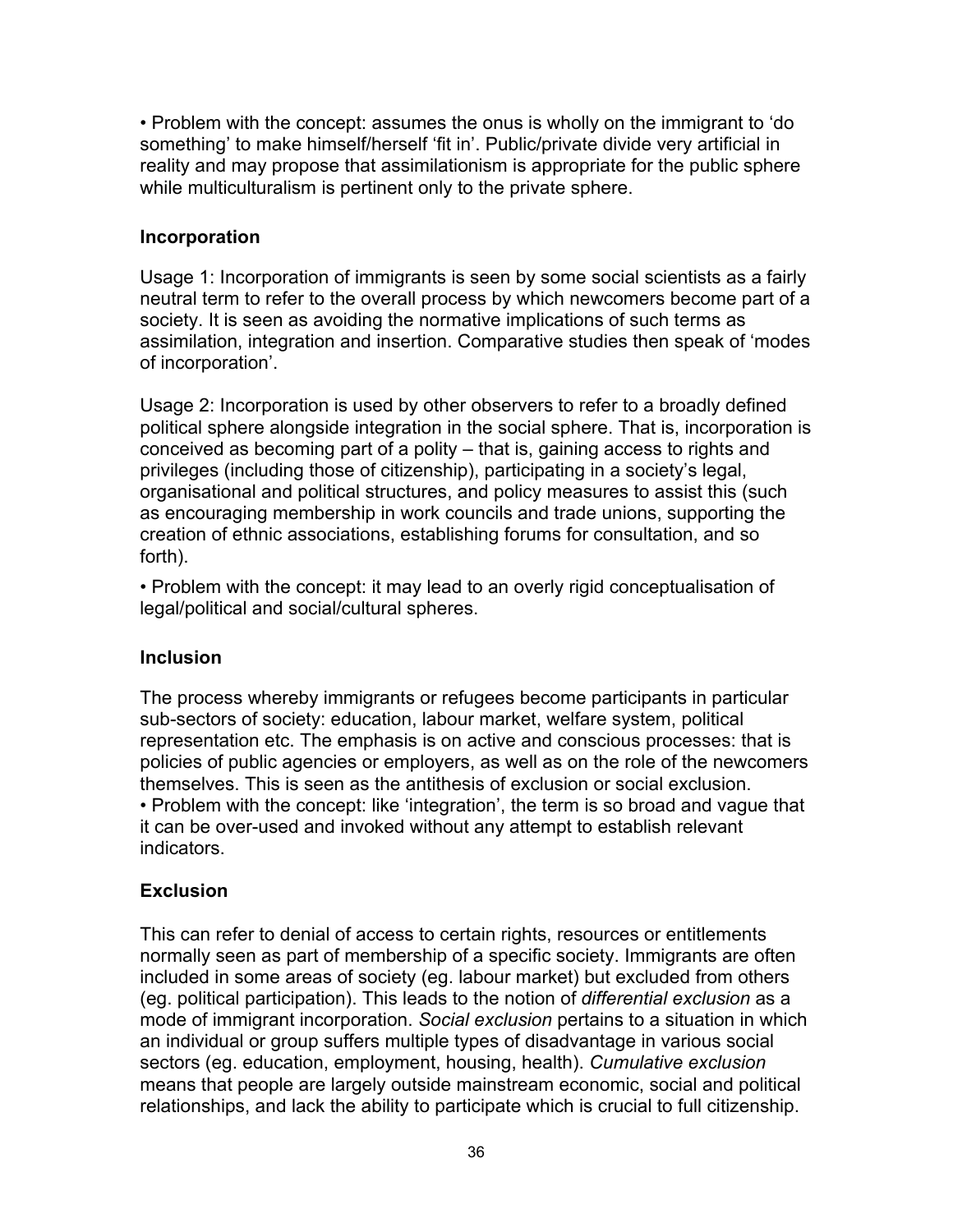• Problem with the concept: assumes the onus is wholly on the immigrant to 'do something' to make himself/herself 'fit in'. Public/private divide very artificial in reality and may propose that assimilationism is appropriate for the public sphere while multiculturalism is pertinent only to the private sphere.

#### **Incorporation**

Usage 1: Incorporation of immigrants is seen by some social scientists as a fairly neutral term to refer to the overall process by which newcomers become part of a society. It is seen as avoiding the normative implications of such terms as assimilation, integration and insertion. Comparative studies then speak of 'modes of incorporation'.

Usage 2: Incorporation is used by other observers to refer to a broadly defined political sphere alongside integration in the social sphere. That is, incorporation is conceived as becoming part of a polity – that is, gaining access to rights and privileges (including those of citizenship), participating in a society's legal, organisational and political structures, and policy measures to assist this (such as encouraging membership in work councils and trade unions, supporting the creation of ethnic associations, establishing forums for consultation, and so forth).

• Problem with the concept: it may lead to an overly rigid conceptualisation of legal/political and social/cultural spheres.

### **Inclusion**

The process whereby immigrants or refugees become participants in particular sub-sectors of society: education, labour market, welfare system, political representation etc. The emphasis is on active and conscious processes: that is policies of public agencies or employers, as well as on the role of the newcomers themselves. This is seen as the antithesis of exclusion or social exclusion. • Problem with the concept: like 'integration', the term is so broad and vague that it can be over-used and invoked without any attempt to establish relevant indicators.

### **Exclusion**

This can refer to denial of access to certain rights, resources or entitlements normally seen as part of membership of a specific society. Immigrants are often included in some areas of society (eg. labour market) but excluded from others (eg. political participation). This leads to the notion of *differential exclusion* as a mode of immigrant incorporation. *Social exclusion* pertains to a situation in which an individual or group suffers multiple types of disadvantage in various social sectors (eg. education, employment, housing, health). *Cumulative exclusion* means that people are largely outside mainstream economic, social and political relationships, and lack the ability to participate which is crucial to full citizenship.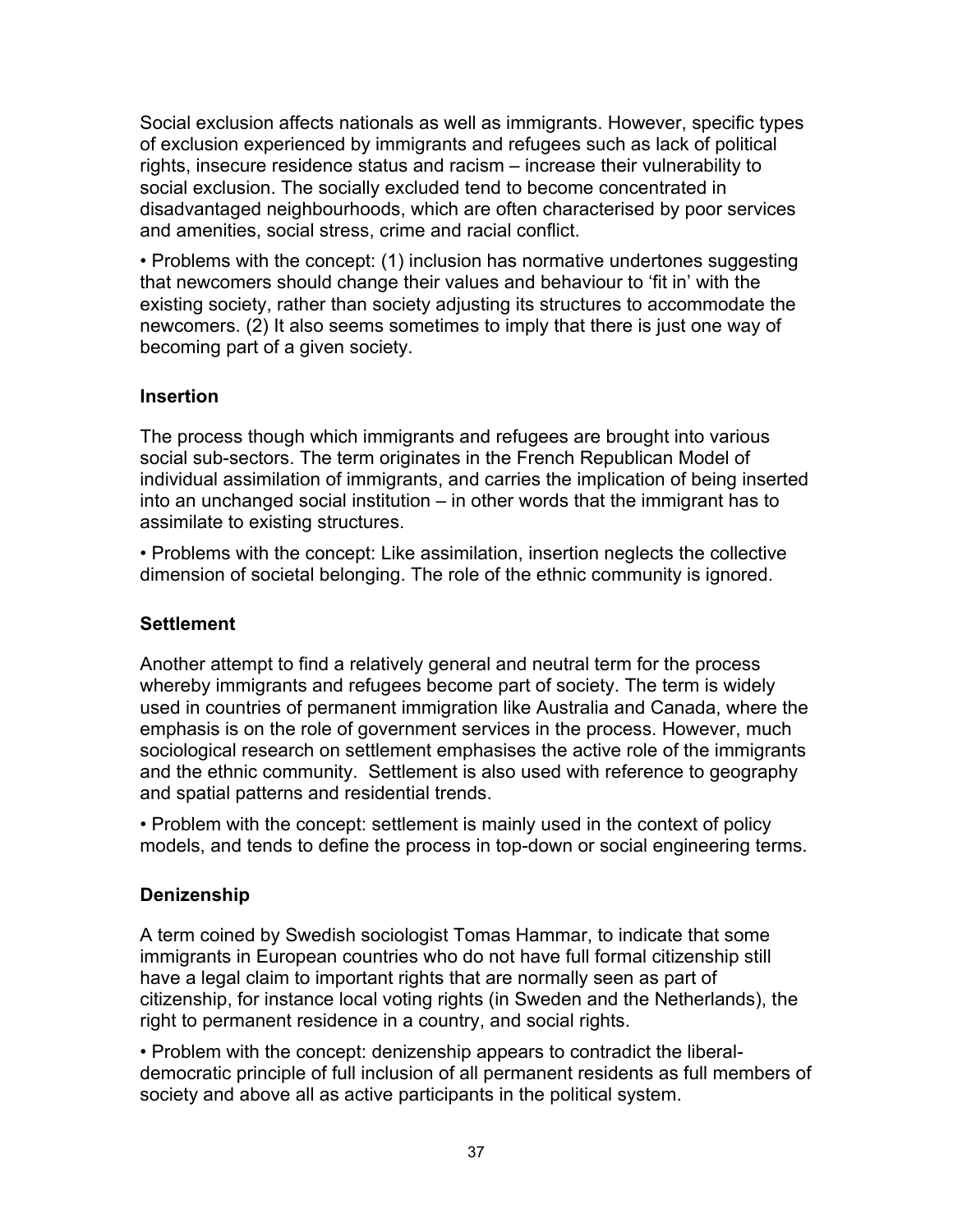Social exclusion affects nationals as well as immigrants. However, specific types of exclusion experienced by immigrants and refugees such as lack of political rights, insecure residence status and racism – increase their vulnerability to social exclusion. The socially excluded tend to become concentrated in disadvantaged neighbourhoods, which are often characterised by poor services and amenities, social stress, crime and racial conflict.

• Problems with the concept: (1) inclusion has normative undertones suggesting that newcomers should change their values and behaviour to 'fit in' with the existing society, rather than society adjusting its structures to accommodate the newcomers. (2) It also seems sometimes to imply that there is just one way of becoming part of a given society.

### **Insertion**

The process though which immigrants and refugees are brought into various social sub-sectors. The term originates in the French Republican Model of individual assimilation of immigrants, and carries the implication of being inserted into an unchanged social institution – in other words that the immigrant has to assimilate to existing structures.

• Problems with the concept: Like assimilation, insertion neglects the collective dimension of societal belonging. The role of the ethnic community is ignored.

### **Settlement**

Another attempt to find a relatively general and neutral term for the process whereby immigrants and refugees become part of society. The term is widely used in countries of permanent immigration like Australia and Canada, where the emphasis is on the role of government services in the process. However, much sociological research on settlement emphasises the active role of the immigrants and the ethnic community. Settlement is also used with reference to geography and spatial patterns and residential trends.

• Problem with the concept: settlement is mainly used in the context of policy models, and tends to define the process in top-down or social engineering terms.

### **Denizenship**

A term coined by Swedish sociologist Tomas Hammar, to indicate that some immigrants in European countries who do not have full formal citizenship still have a legal claim to important rights that are normally seen as part of citizenship, for instance local voting rights (in Sweden and the Netherlands), the right to permanent residence in a country, and social rights.

• Problem with the concept: denizenship appears to contradict the liberaldemocratic principle of full inclusion of all permanent residents as full members of society and above all as active participants in the political system.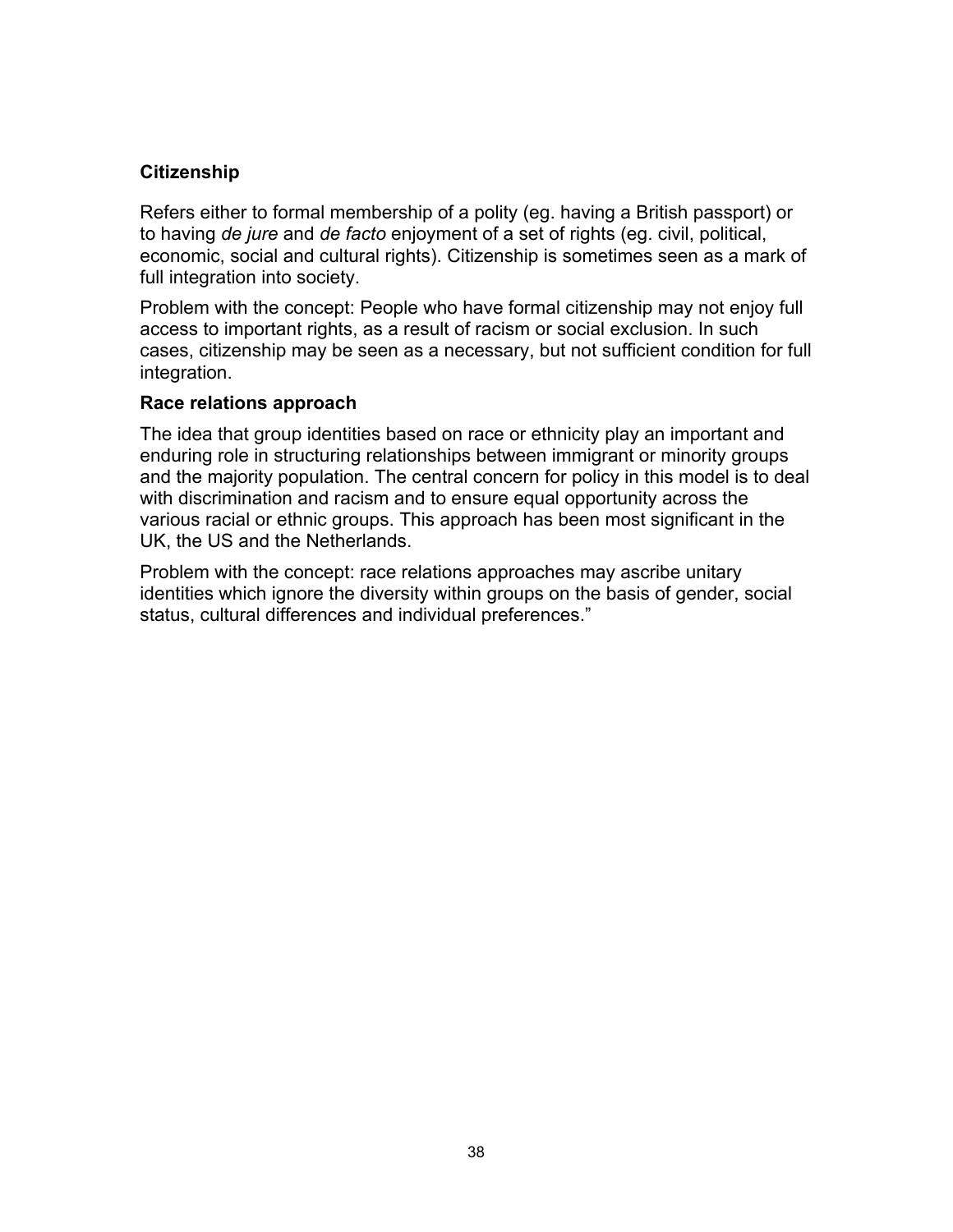### **Citizenship**

Refers either to formal membership of a polity (eg. having a British passport) or to having *de jure* and *de facto* enjoyment of a set of rights (eg. civil, political, economic, social and cultural rights). Citizenship is sometimes seen as a mark of full integration into society.

Problem with the concept: People who have formal citizenship may not enjoy full access to important rights, as a result of racism or social exclusion. In such cases, citizenship may be seen as a necessary, but not sufficient condition for full integration.

#### **Race relations approach**

The idea that group identities based on race or ethnicity play an important and enduring role in structuring relationships between immigrant or minority groups and the majority population. The central concern for policy in this model is to deal with discrimination and racism and to ensure equal opportunity across the various racial or ethnic groups. This approach has been most significant in the UK, the US and the Netherlands.

Problem with the concept: race relations approaches may ascribe unitary identities which ignore the diversity within groups on the basis of gender, social status, cultural differences and individual preferences."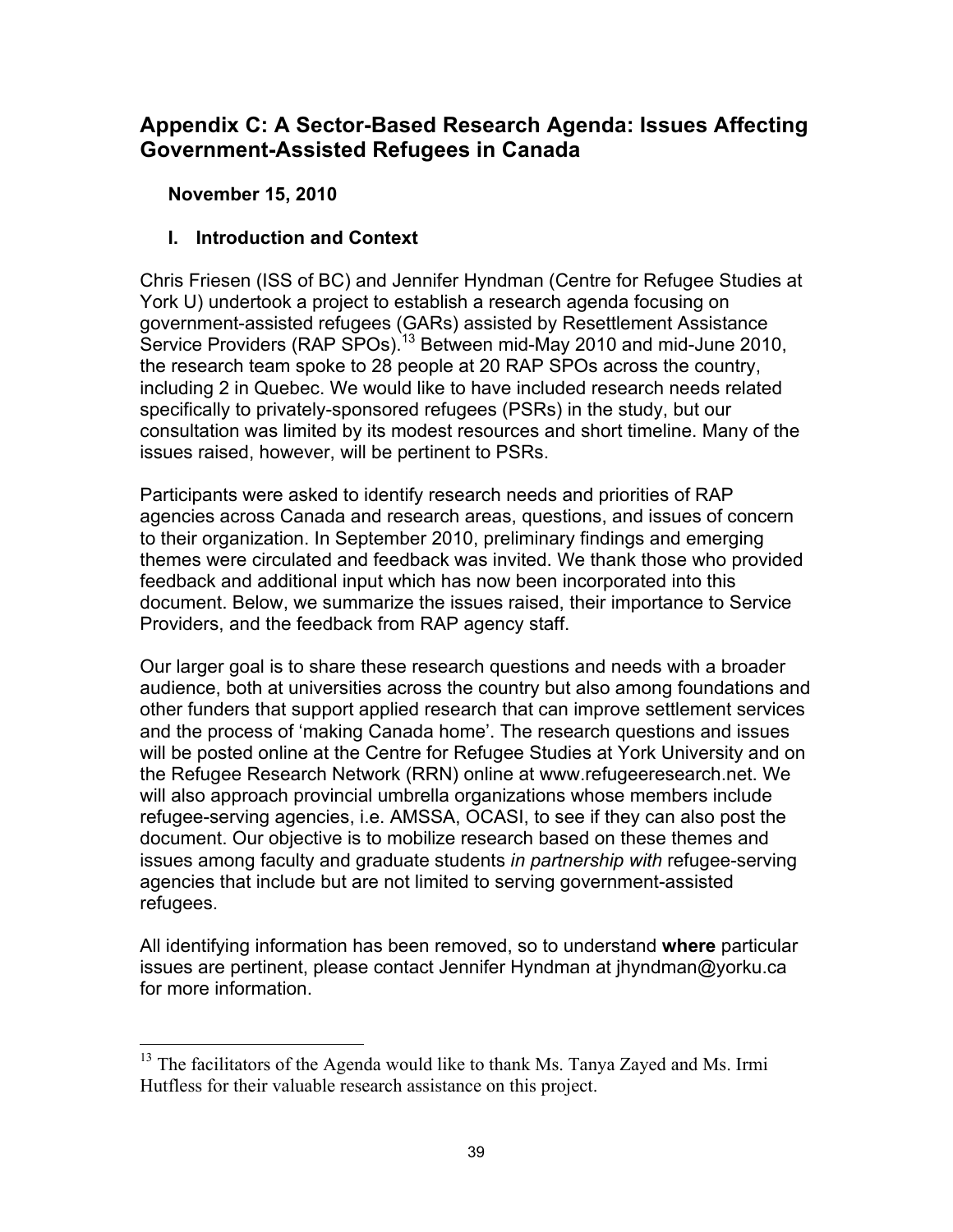### **Appendix C: A Sector-Based Research Agenda: Issues Affecting Government-Assisted Refugees in Canada**

**November 15, 2010**

### **I. Introduction and Context**

Chris Friesen (ISS of BC) and Jennifer Hyndman (Centre for Refugee Studies at York U) undertook a project to establish a research agenda focusing on government-assisted refugees (GARs) assisted by Resettlement Assistance Service Providers (RAP SPOs).<sup>13</sup> Between mid-May 2010 and mid-June 2010, the research team spoke to 28 people at 20 RAP SPOs across the country, including 2 in Quebec. We would like to have included research needs related specifically to privately-sponsored refugees (PSRs) in the study, but our consultation was limited by its modest resources and short timeline. Many of the issues raised, however, will be pertinent to PSRs.

Participants were asked to identify research needs and priorities of RAP agencies across Canada and research areas, questions, and issues of concern to their organization. In September 2010, preliminary findings and emerging themes were circulated and feedback was invited. We thank those who provided feedback and additional input which has now been incorporated into this document. Below, we summarize the issues raised, their importance to Service Providers, and the feedback from RAP agency staff.

Our larger goal is to share these research questions and needs with a broader audience, both at universities across the country but also among foundations and other funders that support applied research that can improve settlement services and the process of 'making Canada home'. The research questions and issues will be posted online at the Centre for Refugee Studies at York University and on the Refugee Research Network (RRN) online at www.refugeeresearch.net. We will also approach provincial umbrella organizations whose members include refugee-serving agencies, i.e. AMSSA, OCASI, to see if they can also post the document. Our objective is to mobilize research based on these themes and issues among faculty and graduate students *in partnership with* refugee-serving agencies that include but are not limited to serving government-assisted refugees.

All identifying information has been removed, so to understand **where** particular issues are pertinent, please contact Jennifer Hyndman at jhyndman@yorku.ca for more information.

 $13$  The facilitators of the Agenda would like to thank Ms. Tanya Zayed and Ms. Irmi Hutfless for their valuable research assistance on this project.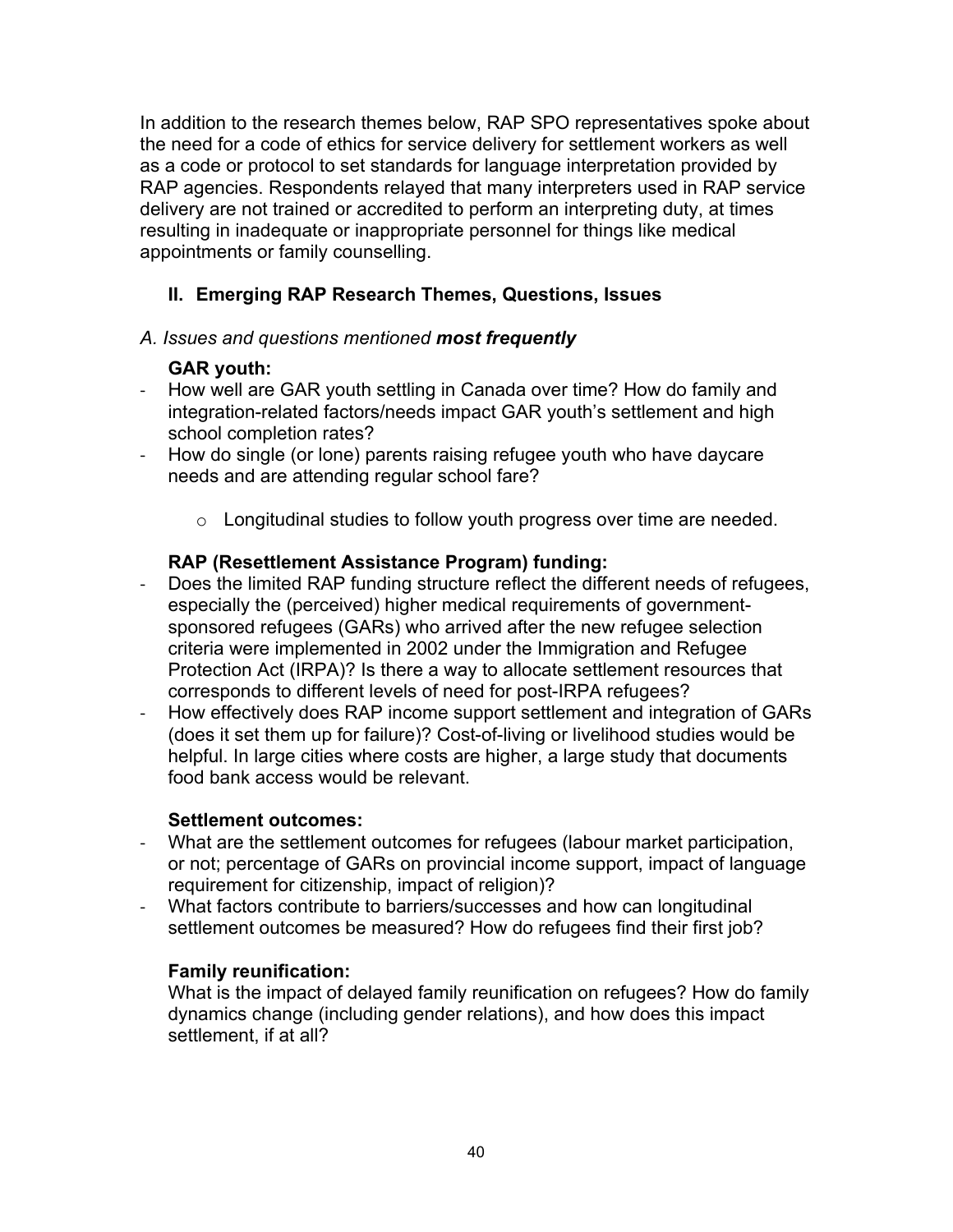In addition to the research themes below, RAP SPO representatives spoke about the need for a code of ethics for service delivery for settlement workers as well as a code or protocol to set standards for language interpretation provided by RAP agencies. Respondents relayed that many interpreters used in RAP service delivery are not trained or accredited to perform an interpreting duty, at times resulting in inadequate or inappropriate personnel for things like medical appointments or family counselling.

### **II. Emerging RAP Research Themes, Questions, Issues**

### *A. Issues and questions mentioned most frequently*

### **GAR youth:**

- How well are GAR youth settling in Canada over time? How do family and integration-related factors/needs impact GAR youth's settlement and high school completion rates?
- How do single (or lone) parents raising refugee youth who have daycare needs and are attending regular school fare?
	- o Longitudinal studies to follow youth progress over time are needed.

### **RAP (Resettlement Assistance Program) funding:**

- Does the limited RAP funding structure reflect the different needs of refugees, especially the (perceived) higher medical requirements of governmentsponsored refugees (GARs) who arrived after the new refugee selection criteria were implemented in 2002 under the Immigration and Refugee Protection Act (IRPA)? Is there a way to allocate settlement resources that corresponds to different levels of need for post-IRPA refugees?
- How effectively does RAP income support settlement and integration of GARs (does it set them up for failure)? Cost-of-living or livelihood studies would be helpful. In large cities where costs are higher, a large study that documents food bank access would be relevant.

### **Settlement outcomes:**

- What are the settlement outcomes for refugees (labour market participation, or not; percentage of GARs on provincial income support, impact of language requirement for citizenship, impact of religion)?
- What factors contribute to barriers/successes and how can longitudinal settlement outcomes be measured? How do refugees find their first job?

### **Family reunification:**

What is the impact of delayed family reunification on refugees? How do family dynamics change (including gender relations), and how does this impact settlement, if at all?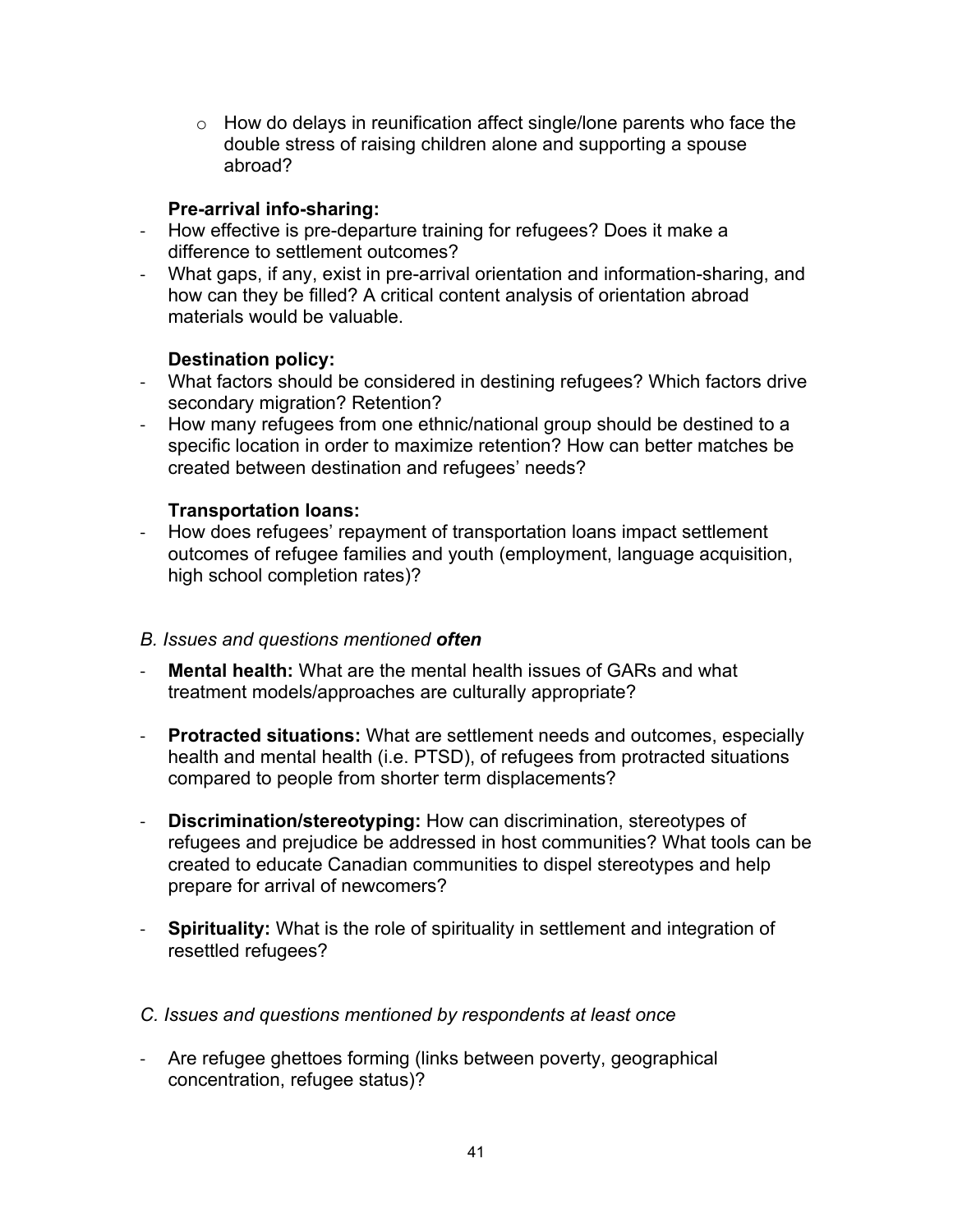$\circ$  How do delays in reunification affect single/lone parents who face the double stress of raising children alone and supporting a spouse abroad?

#### **Pre-arrival info-sharing:**

- How effective is pre-departure training for refugees? Does it make a difference to settlement outcomes?
- What gaps, if any, exist in pre-arrival orientation and information-sharing, and how can they be filled? A critical content analysis of orientation abroad materials would be valuable.

#### **Destination policy:**

- What factors should be considered in destining refugees? Which factors drive secondary migration? Retention?
- How many refugees from one ethnic/national group should be destined to a specific location in order to maximize retention? How can better matches be created between destination and refugees' needs?

#### **Transportation loans:**

- How does refugees' repayment of transportation loans impact settlement outcomes of refugee families and youth (employment, language acquisition, high school completion rates)?

#### *B. Issues and questions mentioned often*

- **Mental health:** What are the mental health issues of GARs and what treatment models/approaches are culturally appropriate?
- **Protracted situations:** What are settlement needs and outcomes, especially health and mental health (i.e. PTSD), of refugees from protracted situations compared to people from shorter term displacements?
- " **Discrimination/stereotyping:** How can discrimination, stereotypes of refugees and prejudice be addressed in host communities? What tools can be created to educate Canadian communities to dispel stereotypes and help prepare for arrival of newcomers?
- " **Spirituality:** What is the role of spirituality in settlement and integration of resettled refugees?
- *C. Issues and questions mentioned by respondents at least once*
- Are refugee ghettoes forming (links between poverty, geographical concentration, refugee status)?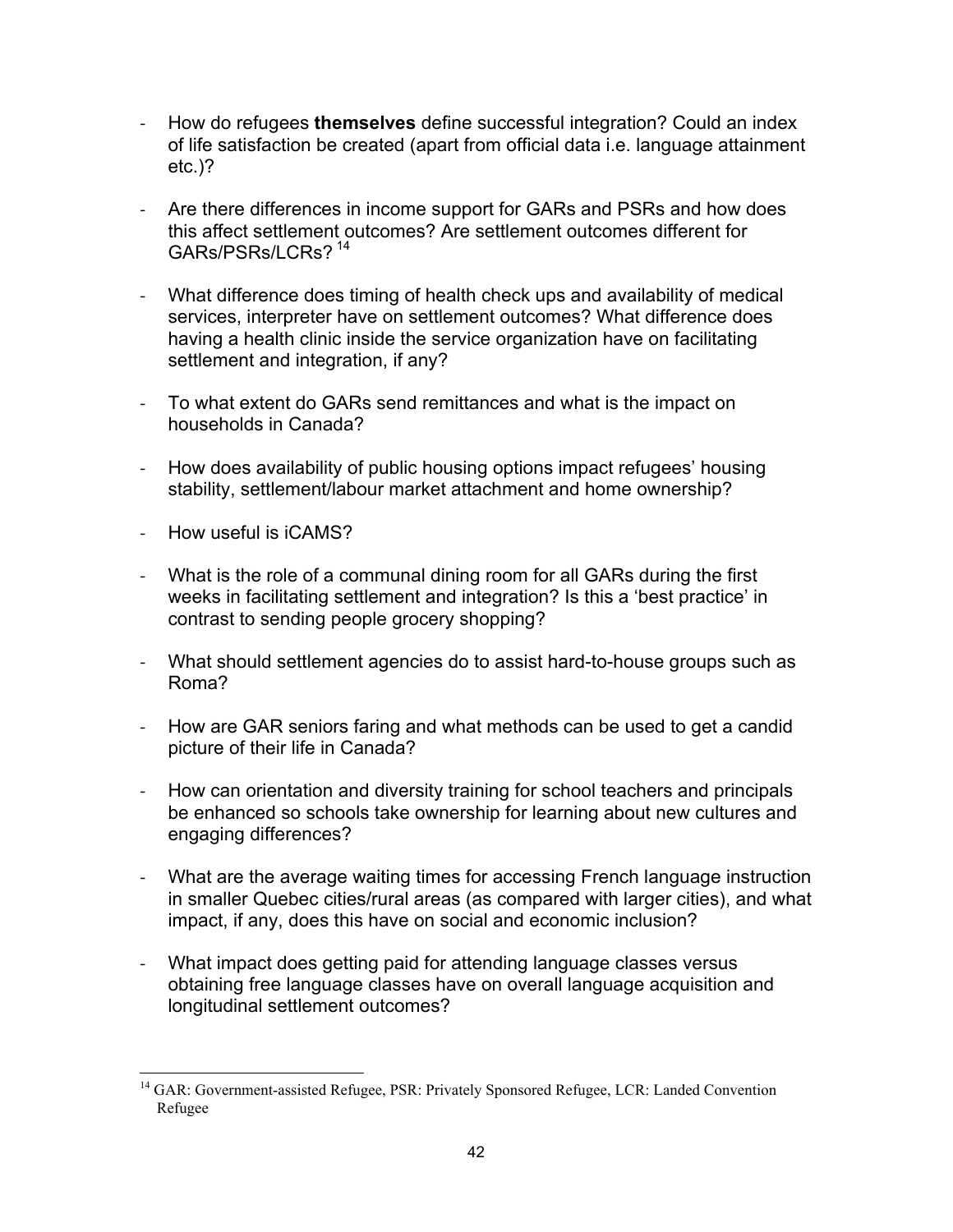- How do refugees **themselves** define successful integration? Could an index of life satisfaction be created (apart from official data i.e. language attainment etc.)?
- Are there differences in income support for GARs and PSRs and how does this affect settlement outcomes? Are settlement outcomes different for GARs/PSRs/LCRs? <sup>14</sup>
- What difference does timing of health check ups and availability of medical services, interpreter have on settlement outcomes? What difference does having a health clinic inside the service organization have on facilitating settlement and integration, if any?
- To what extent do GARs send remittances and what is the impact on households in Canada?
- How does availability of public housing options impact refugees' housing stability, settlement/labour market attachment and home ownership?
- How useful is iCAMS?
- What is the role of a communal dining room for all GARs during the first weeks in facilitating settlement and integration? Is this a 'best practice' in contrast to sending people grocery shopping?
- What should settlement agencies do to assist hard-to-house groups such as Roma?
- How are GAR seniors faring and what methods can be used to get a candid picture of their life in Canada?
- How can orientation and diversity training for school teachers and principals be enhanced so schools take ownership for learning about new cultures and engaging differences?
- What are the average waiting times for accessing French language instruction in smaller Quebec cities/rural areas (as compared with larger cities), and what impact, if any, does this have on social and economic inclusion?
- What impact does getting paid for attending language classes versus obtaining free language classes have on overall language acquisition and longitudinal settlement outcomes?

<sup>&</sup>lt;sup>14</sup> GAR: Government-assisted Refugee, PSR: Privately Sponsored Refugee, LCR: Landed Convention Refugee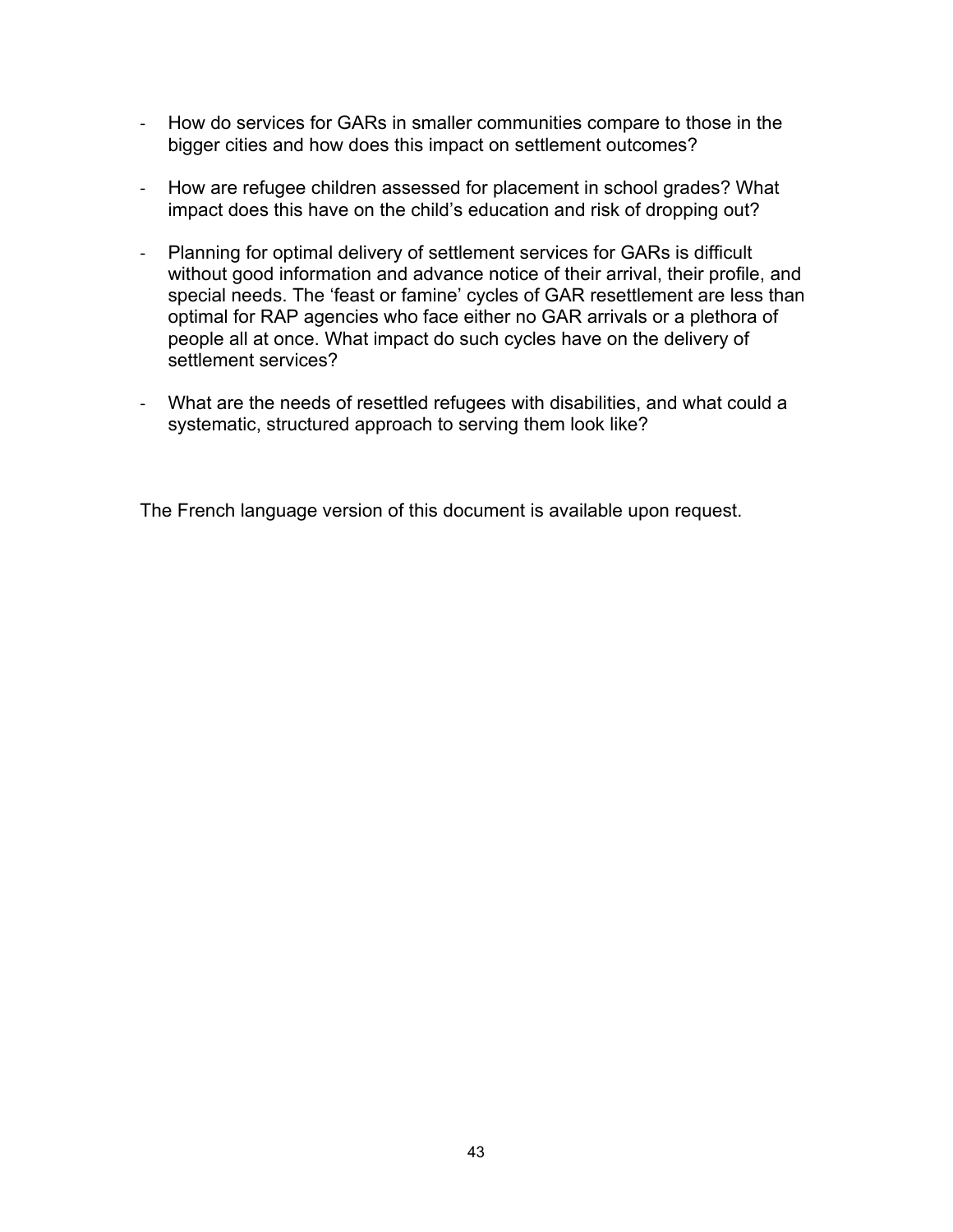- How do services for GARs in smaller communities compare to those in the bigger cities and how does this impact on settlement outcomes?
- How are refugee children assessed for placement in school grades? What impact does this have on the child's education and risk of dropping out?
- Planning for optimal delivery of settlement services for GARs is difficult without good information and advance notice of their arrival, their profile, and special needs. The 'feast or famine' cycles of GAR resettlement are less than optimal for RAP agencies who face either no GAR arrivals or a plethora of people all at once. What impact do such cycles have on the delivery of settlement services?
- What are the needs of resettled refugees with disabilities, and what could a systematic, structured approach to serving them look like?

The French language version of this document is available upon request.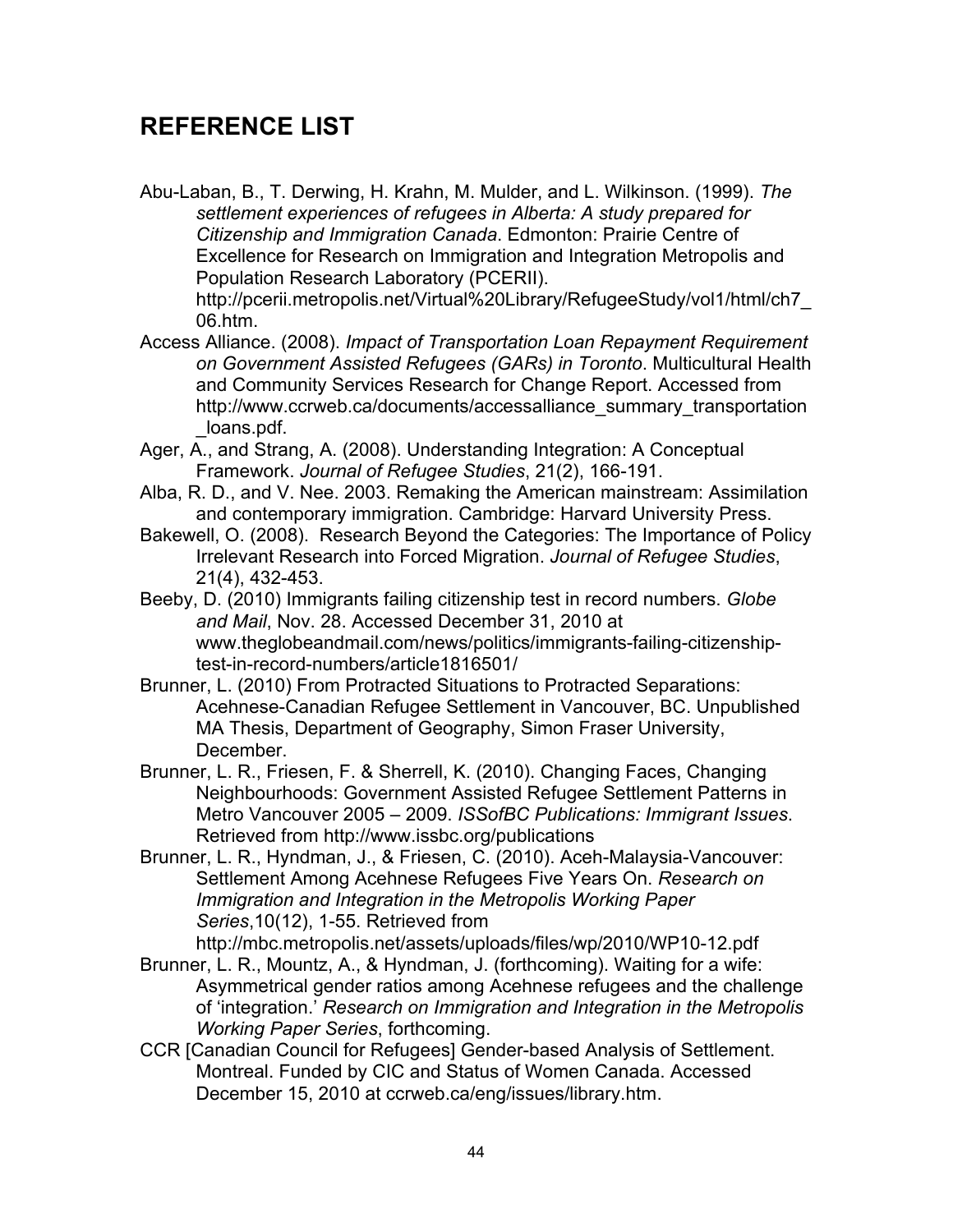## **REFERENCE LIST**

Abu-Laban, B., T. Derwing, H. Krahn, M. Mulder, and L. Wilkinson. (1999). *The settlement experiences of refugees in Alberta: A study prepared for Citizenship and Immigration Canada*. Edmonton: Prairie Centre of Excellence for Research on Immigration and Integration Metropolis and Population Research Laboratory (PCERII). http://pcerii.metropolis.net/Virtual%20Library/RefugeeStudy/vol1/html/ch7\_ 06.htm.

- Access Alliance. (2008). *Impact of Transportation Loan Repayment Requirement on Government Assisted Refugees (GARs) in Toronto*. Multicultural Health and Community Services Research for Change Report. Accessed from http://www.ccrweb.ca/documents/accessalliance\_summary\_transportation loans.pdf.
- Ager, A., and Strang, A. (2008). Understanding Integration: A Conceptual Framework. *Journal of Refugee Studies*, 21(2), 166-191.
- Alba, R. D., and V. Nee. 2003. Remaking the American mainstream: Assimilation and contemporary immigration. Cambridge: Harvard University Press.
- Bakewell, O. (2008). Research Beyond the Categories: The Importance of Policy Irrelevant Research into Forced Migration. *Journal of Refugee Studies*, 21(4), 432-453.
- Beeby, D. (2010) Immigrants failing citizenship test in record numbers. *Globe and Mail*, Nov. 28. Accessed December 31, 2010 at www.theglobeandmail.com/news/politics/immigrants-failing-citizenshiptest-in-record-numbers/article1816501/
- Brunner, L. (2010) From Protracted Situations to Protracted Separations: Acehnese-Canadian Refugee Settlement in Vancouver, BC. Unpublished MA Thesis, Department of Geography, Simon Fraser University, December.
- Brunner, L. R., Friesen, F. & Sherrell, K. (2010). Changing Faces, Changing Neighbourhoods: Government Assisted Refugee Settlement Patterns in Metro Vancouver 2005 – 2009. *ISSofBC Publications: Immigrant Issues*. Retrieved from http://www.issbc.org/publications
- Brunner, L. R., Hyndman, J., & Friesen, C. (2010). Aceh-Malaysia-Vancouver: Settlement Among Acehnese Refugees Five Years On. *Research on Immigration and Integration in the Metropolis Working Paper Series*,10(12), 1-55. Retrieved from

http://mbc.metropolis.net/assets/uploads/files/wp/2010/WP10-12.pdf

- Brunner, L. R., Mountz, A., & Hyndman, J. (forthcoming). Waiting for a wife: Asymmetrical gender ratios among Acehnese refugees and the challenge of 'integration.' *Research on Immigration and Integration in the Metropolis Working Paper Series*, forthcoming.
- CCR [Canadian Council for Refugees] Gender-based Analysis of Settlement. Montreal. Funded by CIC and Status of Women Canada. Accessed December 15, 2010 at ccrweb.ca/eng/issues/library.htm.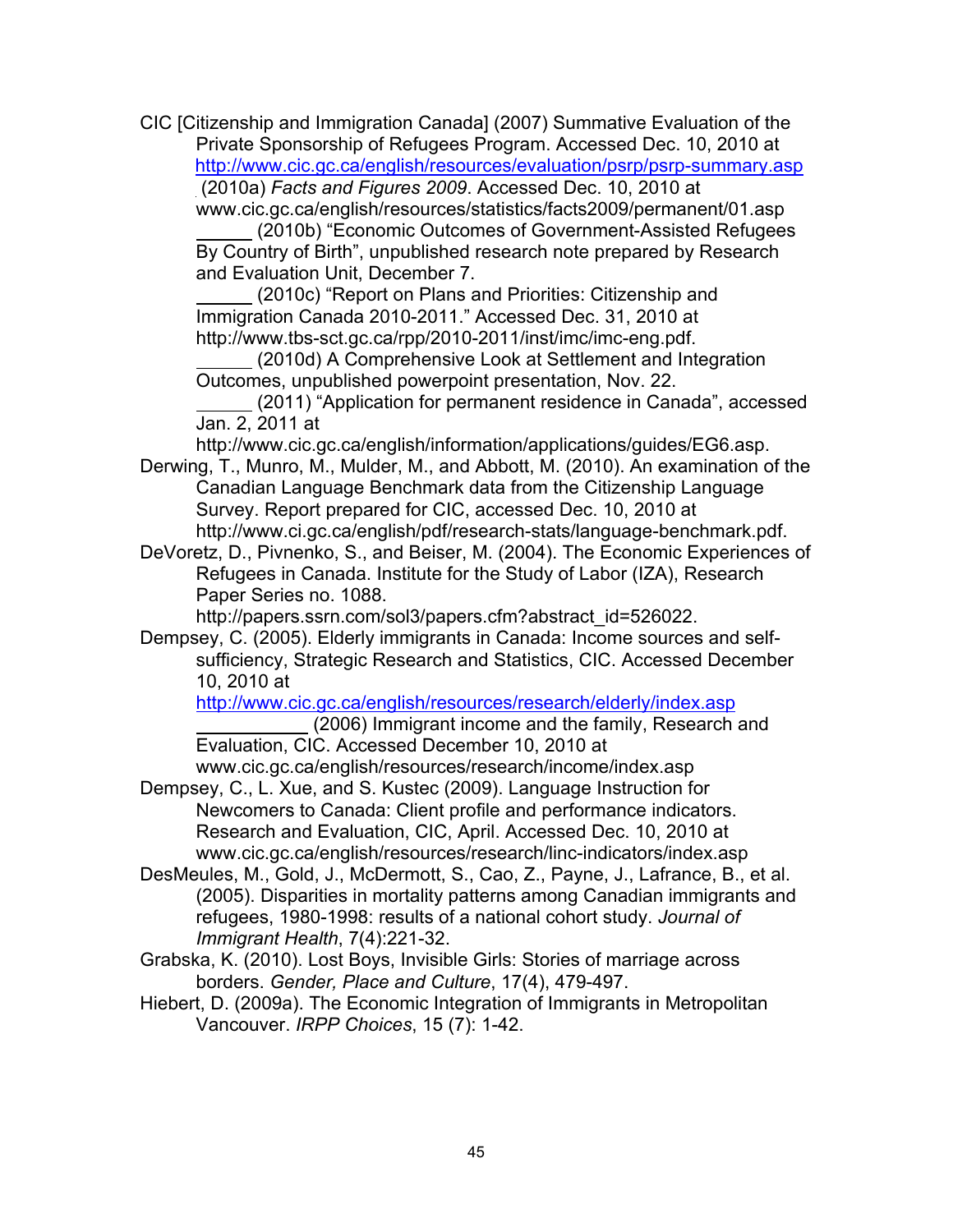CIC [Citizenship and Immigration Canada] (2007) Summative Evaluation of the Private Sponsorship of Refugees Program. Accessed Dec. 10, 2010 at http://www.cic.gc.ca/english/resources/evaluation/psrp/psrp-summary.asp (2010a) *Facts and Figures 2009*. Accessed Dec. 10, 2010 at

www.cic.gc.ca/english/resources/statistics/facts2009/permanent/01.asp

 (2010b) "Economic Outcomes of Government-Assisted Refugees By Country of Birth", unpublished research note prepared by Research and Evaluation Unit, December 7.

 (2010c) "Report on Plans and Priorities: Citizenship and Immigration Canada 2010-2011." Accessed Dec. 31, 2010 at http://www.tbs-sct.gc.ca/rpp/2010-2011/inst/imc/imc-eng.pdf.

 (2010d) A Comprehensive Look at Settlement and Integration Outcomes, unpublished powerpoint presentation, Nov. 22.

 (2011) "Application for permanent residence in Canada", accessed Jan. 2, 2011 at

http://www.cic.gc.ca/english/information/applications/guides/EG6.asp. Derwing, T., Munro, M., Mulder, M., and Abbott, M. (2010). An examination of the

Canadian Language Benchmark data from the Citizenship Language Survey. Report prepared for CIC, accessed Dec. 10, 2010 at http://www.ci.gc.ca/english/pdf/research-stats/language-benchmark.pdf.

DeVoretz, D., Pivnenko, S., and Beiser, M. (2004). The Economic Experiences of Refugees in Canada. Institute for the Study of Labor (IZA), Research Paper Series no. 1088.

http://papers.ssrn.com/sol3/papers.cfm?abstract\_id=526022.

Dempsey, C. (2005). Elderly immigrants in Canada: Income sources and selfsufficiency, Strategic Research and Statistics, CIC. Accessed December 10, 2010 at

http://www.cic.gc.ca/english/resources/research/elderly/index.asp

 (2006) Immigrant income and the family, Research and Evaluation, CIC. Accessed December 10, 2010 at

www.cic.gc.ca/english/resources/research/income/index.asp Dempsey, C., L. Xue, and S. Kustec (2009). Language Instruction for

Newcomers to Canada: Client profile and performance indicators. Research and Evaluation, CIC, April. Accessed Dec. 10, 2010 at www.cic.gc.ca/english/resources/research/linc-indicators/index.asp

- DesMeules, M., Gold, J., McDermott, S., Cao, Z., Payne, J., Lafrance, B., et al. (2005). Disparities in mortality patterns among Canadian immigrants and refugees, 1980-1998: results of a national cohort study. *Journal of Immigrant Health*, 7(4):221-32.
- Grabska, K. (2010). Lost Boys, Invisible Girls: Stories of marriage across borders. *Gender, Place and Culture*, 17(4), 479-497.
- Hiebert, D. (2009a). The Economic Integration of Immigrants in Metropolitan Vancouver. *IRPP Choices*, 15 (7): 1-42.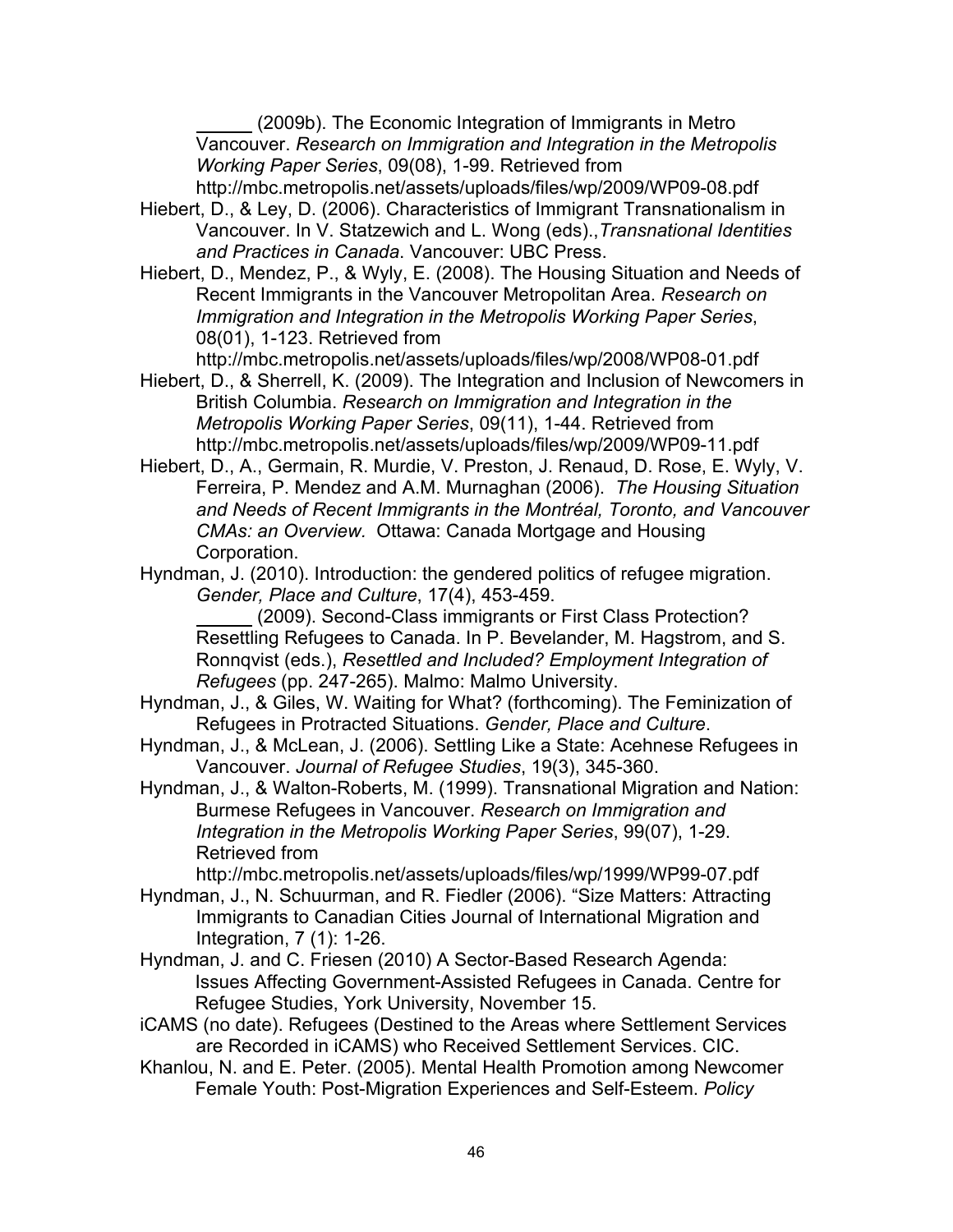(2009b). The Economic Integration of Immigrants in Metro Vancouver. *Research on Immigration and Integration in the Metropolis Working Paper Series*, 09(08), 1-99. Retrieved from

http://mbc.metropolis.net/assets/uploads/files/wp/2009/WP09-08.pdf

- Hiebert, D., & Ley, D. (2006). Characteristics of Immigrant Transnationalism in Vancouver. In V. Statzewich and L. Wong (eds).,*Transnational Identities and Practices in Canada*. Vancouver: UBC Press.
- Hiebert, D., Mendez, P., & Wyly, E. (2008). The Housing Situation and Needs of Recent Immigrants in the Vancouver Metropolitan Area. *Research on Immigration and Integration in the Metropolis Working Paper Series*, 08(01), 1-123. Retrieved from

http://mbc.metropolis.net/assets/uploads/files/wp/2008/WP08-01.pdf

Hiebert, D., & Sherrell, K. (2009). The Integration and Inclusion of Newcomers in British Columbia. *Research on Immigration and Integration in the Metropolis Working Paper Series*, 09(11), 1-44. Retrieved from http://mbc.metropolis.net/assets/uploads/files/wp/2009/WP09-11.pdf

- Hiebert, D., A., Germain, R. Murdie, V. Preston, J. Renaud, D. Rose, E. Wyly, V. Ferreira, P. Mendez and A.M. Murnaghan (2006). *The Housing Situation and Needs of Recent Immigrants in the Montréal, Toronto, and Vancouver CMAs: an Overview.* Ottawa: Canada Mortgage and Housing Corporation.
- Hyndman, J. (2010). Introduction: the gendered politics of refugee migration. *Gender, Place and Culture*, 17(4), 453-459.

 (2009). Second-Class immigrants or First Class Protection? Resettling Refugees to Canada. In P. Bevelander, M. Hagstrom, and S. Ronnqvist (eds.), *Resettled and Included? Employment Integration of Refugees* (pp. 247-265). Malmo: Malmo University.

- Hyndman, J., & Giles, W. Waiting for What? (forthcoming). The Feminization of Refugees in Protracted Situations. *Gender, Place and Culture*.
- Hyndman, J., & McLean, J. (2006). Settling Like a State: Acehnese Refugees in Vancouver. *Journal of Refugee Studies*, 19(3), 345-360.
- Hyndman, J., & Walton-Roberts, M. (1999). Transnational Migration and Nation: Burmese Refugees in Vancouver. *Research on Immigration and Integration in the Metropolis Working Paper Series*, 99(07), 1-29. Retrieved from

http://mbc.metropolis.net/assets/uploads/files/wp/1999/WP99-07.pdf

- Hyndman, J., N. Schuurman, and R. Fiedler (2006). "Size Matters: Attracting Immigrants to Canadian Cities Journal of International Migration and Integration, 7 (1): 1-26.
- Hyndman, J. and C. Friesen (2010) A Sector-Based Research Agenda: Issues Affecting Government-Assisted Refugees in Canada. Centre for Refugee Studies, York University, November 15.
- iCAMS (no date). Refugees (Destined to the Areas where Settlement Services are Recorded in iCAMS) who Received Settlement Services. CIC.
- Khanlou, N. and E. Peter. (2005). Mental Health Promotion among Newcomer Female Youth: Post-Migration Experiences and Self-Esteem. *Policy*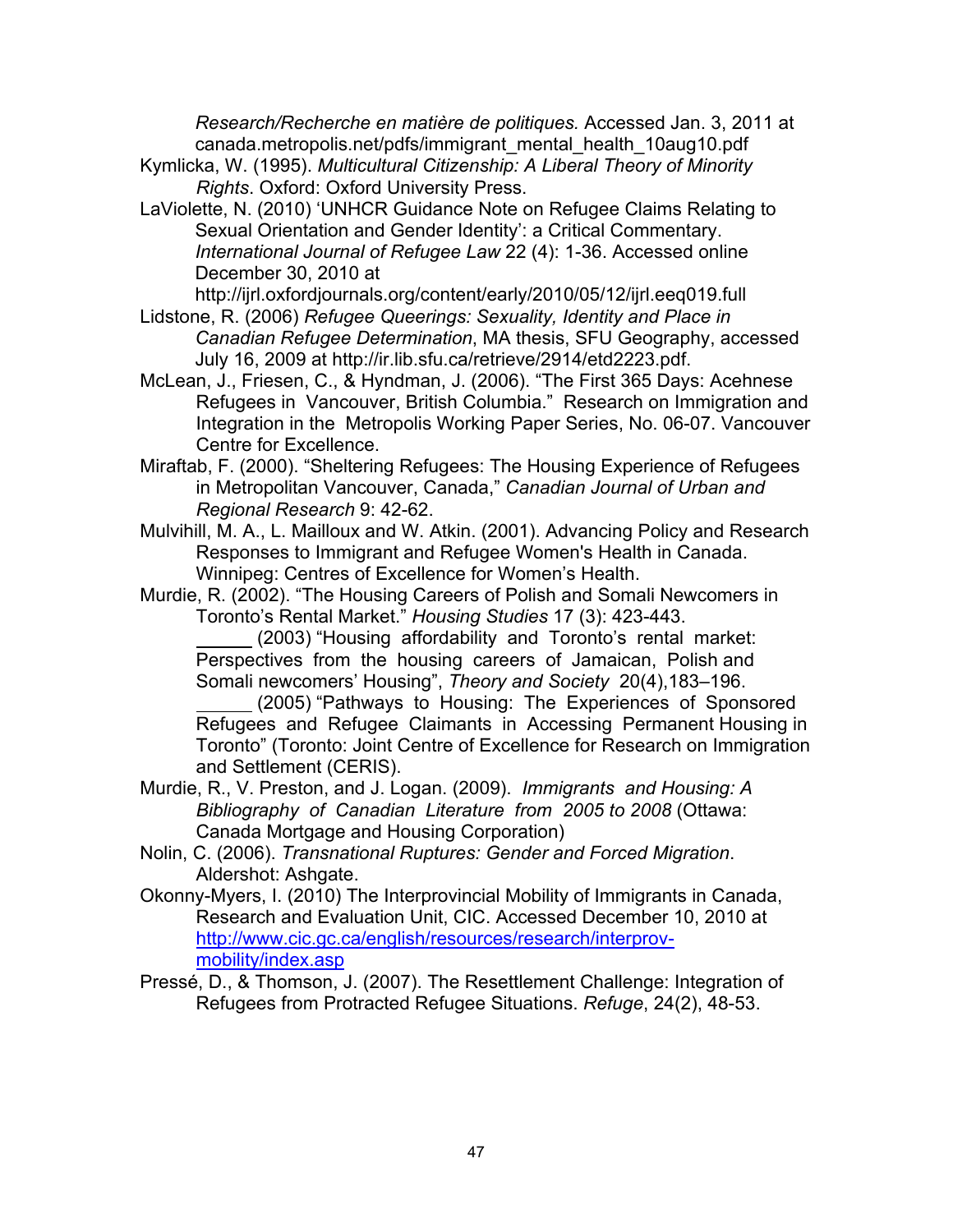*Research/Recherche en matière de politiques.* Accessed Jan. 3, 2011 at canada.metropolis.net/pdfs/immigrant\_mental\_health\_10aug10.pdf

- Kymlicka, W. (1995). *Multicultural Citizenship: A Liberal Theory of Minority Rights*. Oxford: Oxford University Press.
- LaViolette, N. (2010) 'UNHCR Guidance Note on Refugee Claims Relating to Sexual Orientation and Gender Identity': a Critical Commentary. *International Journal of Refugee Law* 22 (4): 1-36. Accessed online December 30, 2010 at

http://ijrl.oxfordjournals.org/content/early/2010/05/12/ijrl.eeq019.full

- Lidstone, R. (2006) *Refugee Queerings: Sexuality, Identity and Place in Canadian Refugee Determination*, MA thesis, SFU Geography, accessed July 16, 2009 at http://ir.lib.sfu.ca/retrieve/2914/etd2223.pdf.
- McLean, J., Friesen, C., & Hyndman, J. (2006). "The First 365 Days: Acehnese Refugees in Vancouver, British Columbia."Research on Immigration and Integration in the Metropolis Working Paper Series, No. 06-07. Vancouver Centre for Excellence.
- Miraftab, F. (2000). "Sheltering Refugees: The Housing Experience of Refugees in Metropolitan Vancouver, Canada," *Canadian Journal of Urban and Regional Research* 9: 42-62.
- Mulvihill, M. A., L. Mailloux and W. Atkin. (2001). Advancing Policy and Research Responses to Immigrant and Refugee Women's Health in Canada. Winnipeg: Centres of Excellence for Women's Health.
- Murdie, R. (2002). "The Housing Careers of Polish and Somali Newcomers in Toronto's Rental Market." *Housing Studies* 17 (3): 423-443.

 (2003) "Housing affordability and Toronto's rental market: Perspectives from the housing careers of Jamaican, Polish and Somali newcomers' Housing", *Theory and Society* 20(4),183–196.

 (2005) "Pathways to Housing: The Experiences of Sponsored Refugees and Refugee Claimants in Accessing Permanent Housing in Toronto" (Toronto: Joint Centre of Excellence for Research on Immigration and Settlement (CERIS).

- Murdie, R., V. Preston, and J. Logan. (2009). *Immigrants and Housing: A Bibliography of Canadian Literature from 2005 to 2008* (Ottawa: Canada Mortgage and Housing Corporation)
- Nolin, C. (2006). *Transnational Ruptures: Gender and Forced Migration*. Aldershot: Ashgate.
- Okonny-Myers, I. (2010) The Interprovincial Mobility of Immigrants in Canada, Research and Evaluation Unit, CIC. Accessed December 10, 2010 at http://www.cic.gc.ca/english/resources/research/interprovmobility/index.asp
- Pressé, D., & Thomson, J. (2007). The Resettlement Challenge: Integration of Refugees from Protracted Refugee Situations. *Refuge*, 24(2), 48-53.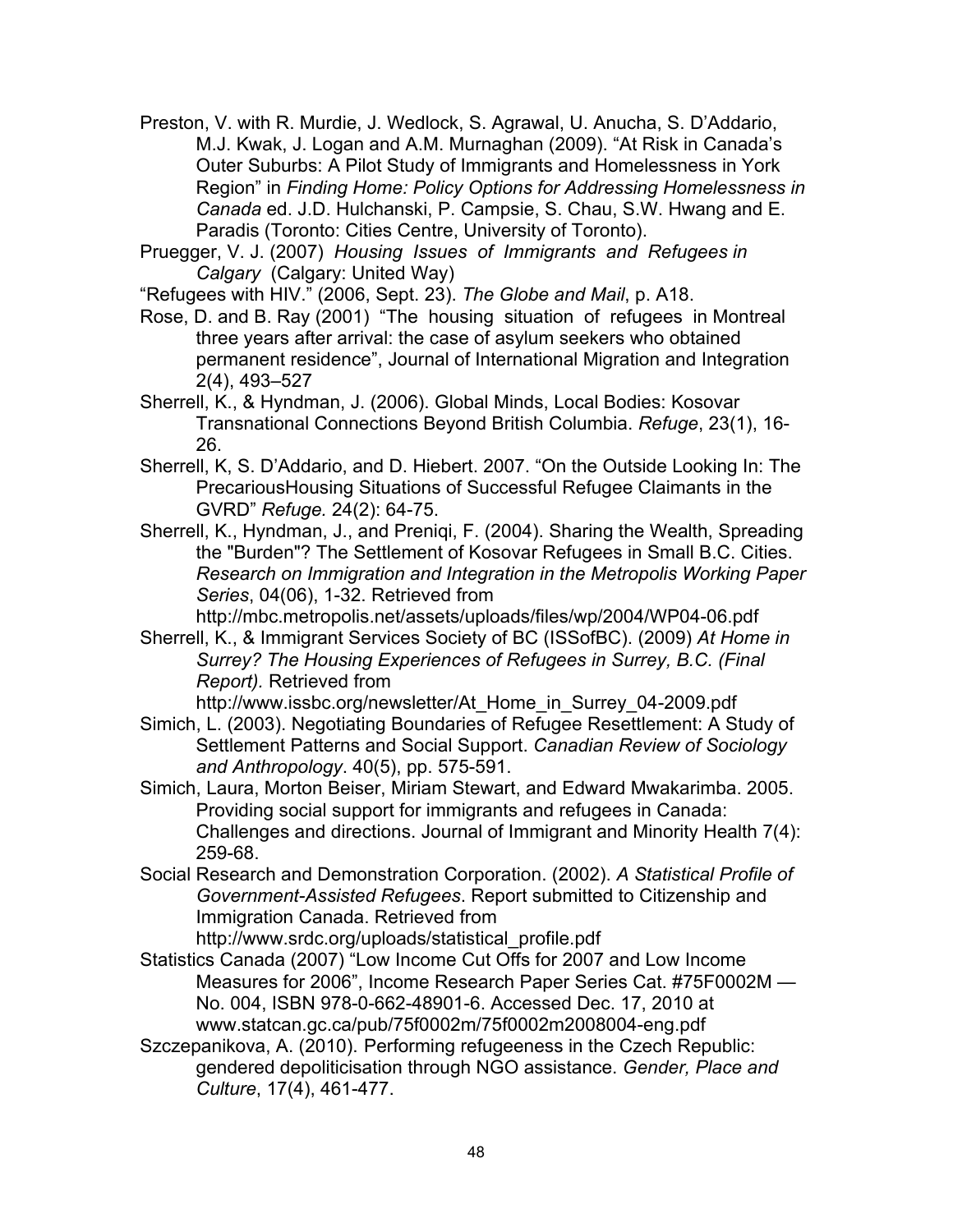- Preston, V. with R. Murdie, J. Wedlock, S. Agrawal, U. Anucha, S. D'Addario, M.J. Kwak, J. Logan and A.M. Murnaghan (2009). "At Risk in Canada's Outer Suburbs: A Pilot Study of Immigrants and Homelessness in York Region" in *Finding Home: Policy Options for Addressing Homelessness in Canada* ed. J.D. Hulchanski, P. Campsie, S. Chau, S.W. Hwang and E. Paradis (Toronto: Cities Centre, University of Toronto).
- Pruegger, V. J. (2007) *Housing Issues of Immigrants and Refugees in Calgary* (Calgary: United Way)

"Refugees with HIV." (2006, Sept. 23). *The Globe and Mail*, p. A18.

Rose, D. and B. Ray (2001) "The housing situation of refugees in Montreal three years after arrival: the case of asylum seekers who obtained permanent residence", Journal of International Migration and Integration 2(4), 493–527

Sherrell, K., & Hyndman, J. (2006). Global Minds, Local Bodies: Kosovar Transnational Connections Beyond British Columbia. *Refuge*, 23(1), 16- 26.

- Sherrell, K, S. D'Addario, and D. Hiebert. 2007. "On the Outside Looking In: The PrecariousHousing Situations of Successful Refugee Claimants in the GVRD" *Refuge.* 24(2): 64-75.
- Sherrell, K., Hyndman, J., and Preniqi, F. (2004). Sharing the Wealth, Spreading the "Burden"? The Settlement of Kosovar Refugees in Small B.C. Cities. *Research on Immigration and Integration in the Metropolis Working Paper Series*, 04(06), 1-32. Retrieved from

http://mbc.metropolis.net/assets/uploads/files/wp/2004/WP04-06.pdf

Sherrell, K., & Immigrant Services Society of BC (ISSofBC). (2009) *At Home in Surrey? The Housing Experiences of Refugees in Surrey, B.C. (Final Report).* Retrieved from

http://www.issbc.org/newsletter/At\_Home\_in\_Surrey\_04-2009.pdf

- Simich, L. (2003). Negotiating Boundaries of Refugee Resettlement: A Study of Settlement Patterns and Social Support. *Canadian Review of Sociology and Anthropology*. 40(5), pp. 575-591.
- Simich, Laura, Morton Beiser, Miriam Stewart, and Edward Mwakarimba. 2005. Providing social support for immigrants and refugees in Canada: Challenges and directions. Journal of Immigrant and Minority Health 7(4): 259-68.
- Social Research and Demonstration Corporation. (2002). *A Statistical Profile of Government-Assisted Refugees*. Report submitted to Citizenship and Immigration Canada. Retrieved from

http://www.srdc.org/uploads/statistical\_profile.pdf

- Statistics Canada (2007) "Low Income Cut Offs for 2007 and Low Income Measures for 2006", Income Research Paper Series Cat. #75F0002M — No. 004, ISBN 978-0-662-48901-6. Accessed Dec. 17, 2010 at www.statcan.gc.ca/pub/75f0002m/75f0002m2008004-eng.pdf
- Szczepanikova, A. (2010). Performing refugeeness in the Czech Republic: gendered depoliticisation through NGO assistance. *Gender, Place and Culture*, 17(4), 461-477.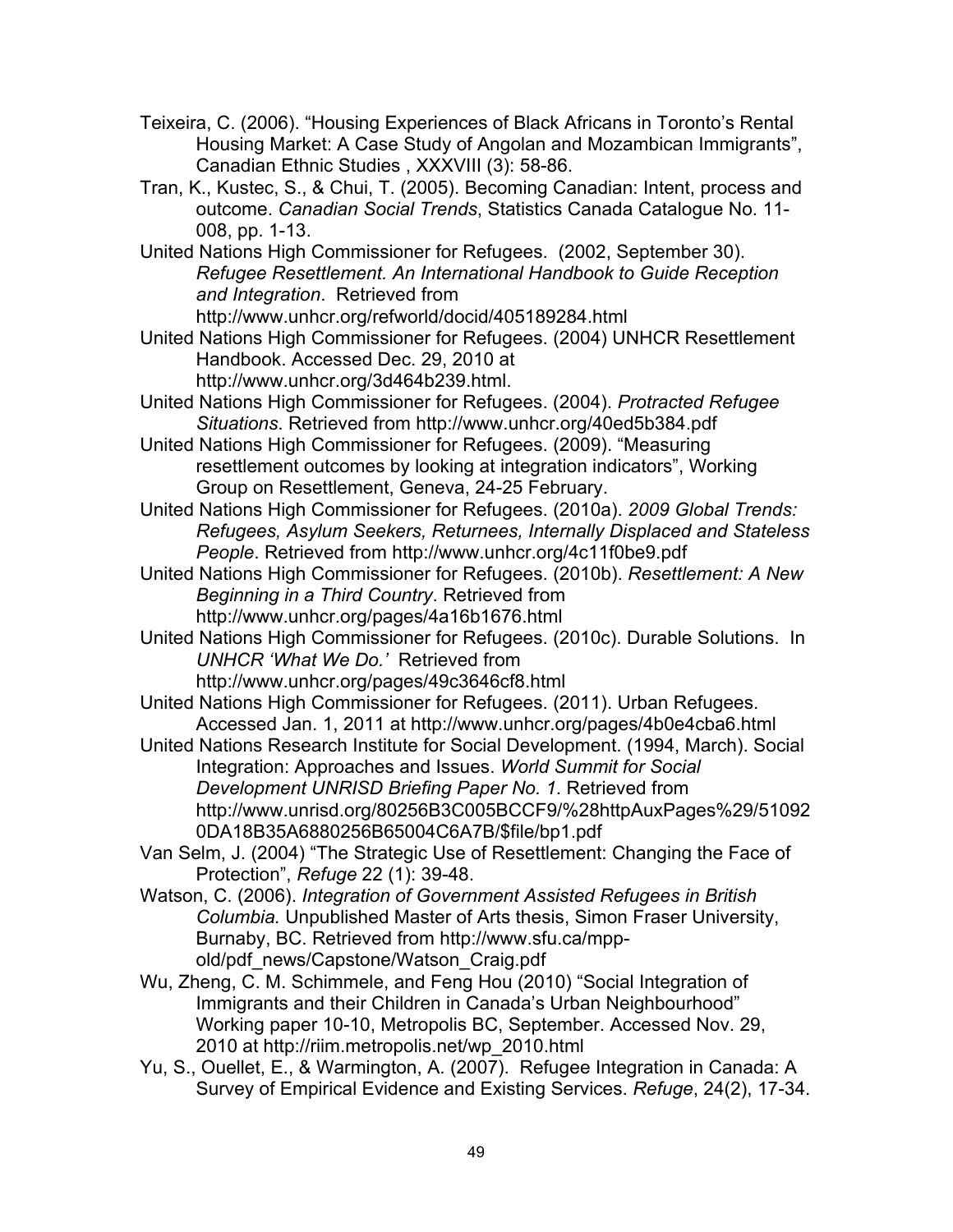- Teixeira, C. (2006). "Housing Experiences of Black Africans in Toronto's Rental Housing Market: A Case Study of Angolan and Mozambican Immigrants", Canadian Ethnic Studies , XXXVIII (3): 58-86.
- Tran, K., Kustec, S., & Chui, T. (2005). Becoming Canadian: Intent, process and outcome. *Canadian Social Trends*, Statistics Canada Catalogue No. 11- 008, pp. 1-13.
- United Nations High Commissioner for Refugees. (2002, September 30). *Refugee Resettlement. An International Handbook to Guide Reception and Integration*. Retrieved from

http://www.unhcr.org/refworld/docid/405189284.html

- United Nations High Commissioner for Refugees. (2004) UNHCR Resettlement Handbook. Accessed Dec. 29, 2010 at http://www.unhcr.org/3d464b239.html.
- United Nations High Commissioner for Refugees. (2004). *Protracted Refugee Situations*. Retrieved from http://www.unhcr.org/40ed5b384.pdf
- United Nations High Commissioner for Refugees. (2009). "Measuring resettlement outcomes by looking at integration indicators", Working Group on Resettlement, Geneva, 24-25 February.
- United Nations High Commissioner for Refugees. (2010a). *2009 Global Trends: Refugees, Asylum Seekers, Returnees, Internally Displaced and Stateless People*. Retrieved from http://www.unhcr.org/4c11f0be9.pdf
- United Nations High Commissioner for Refugees. (2010b). *Resettlement: A New Beginning in a Third Country*. Retrieved from http://www.unhcr.org/pages/4a16b1676.html
- United Nations High Commissioner for Refugees. (2010c). Durable Solutions. In *UNHCR 'What We Do.'* Retrieved from http://www.unhcr.org/pages/49c3646cf8.html
- United Nations High Commissioner for Refugees. (2011). Urban Refugees. Accessed Jan. 1, 2011 at http://www.unhcr.org/pages/4b0e4cba6.html
- United Nations Research Institute for Social Development. (1994, March). Social Integration: Approaches and Issues. *World Summit for Social Development UNRISD Briefing Paper No. 1*. Retrieved from http://www.unrisd.org/80256B3C005BCCF9/%28httpAuxPages%29/51092 0DA18B35A6880256B65004C6A7B/\$file/bp1.pdf
- Van Selm, J. (2004) "The Strategic Use of Resettlement: Changing the Face of Protection", *Refuge* 22 (1): 39-48.
- Watson, C. (2006). *Integration of Government Assisted Refugees in British Columbia.* Unpublished Master of Arts thesis, Simon Fraser University, Burnaby, BC. Retrieved from http://www.sfu.ca/mppold/pdf\_news/Capstone/Watson\_Craig.pdf
- Wu, Zheng, C. M. Schimmele, and Feng Hou (2010) "Social Integration of Immigrants and their Children in Canada's Urban Neighbourhood" Working paper 10-10, Metropolis BC, September. Accessed Nov. 29, 2010 at http://riim.metropolis.net/wp\_2010.html
- Yu, S., Ouellet, E., & Warmington, A. (2007). Refugee Integration in Canada: A Survey of Empirical Evidence and Existing Services. *Refuge*, 24(2), 17-34.